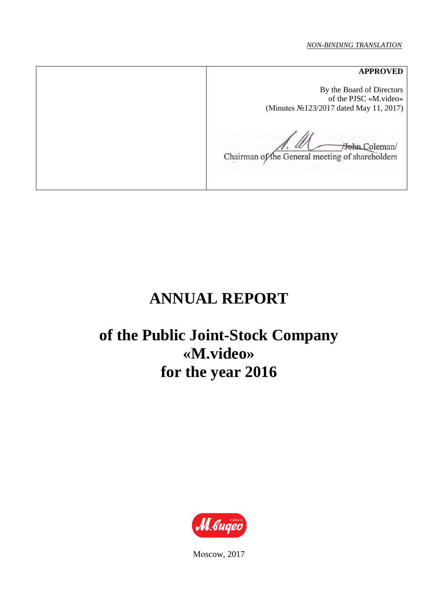#### *NON-BINDING TRANSLATION*

**APPROVED**  By the Board of Directors of the PJSC «M.video» (Minutes №123/2017 dated May 11, 2017) Hohn Coleman/ Chairman of the General meeting of shareholders

# **ANNUAL REPORT**

# **of the Public Joint-Stock Company «M.video» for the year 2016**



Моscow, 2017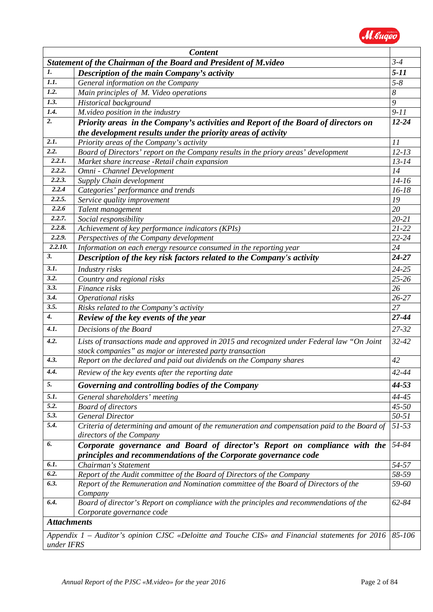

|                    | <b>Content</b>                                                                                    |           |
|--------------------|---------------------------------------------------------------------------------------------------|-----------|
|                    | <b>Statement of the Chairman of the Board and President of M.video</b>                            | $3 - 4$   |
| 1.                 | Description of the main Company's activity                                                        | $5 - 11$  |
| 1.1.               | General information on the Company                                                                | $5 - 8$   |
| 1.2.               | Main principles of M. Video operations                                                            | 8         |
| 1.3.               | Historical background                                                                             | 9         |
| 1.4.               | M.video position in the industry                                                                  | $9 - 11$  |
| 2.                 | Priority areas in the Company's activities and Report of the Board of directors on                | $12 - 24$ |
|                    | the development results under the priority areas of activity                                      |           |
| 2.1.               | Priority areas of the Company's activity                                                          | 11        |
| $\overline{2.2.}$  | Board of Directors' report on the Company results in the priory areas' development                | $12 - 13$ |
| 2.2.1.             | Market share increase -Retail chain expansion                                                     | $13 - 14$ |
| 2.2.2.             | Omni - Channel Development                                                                        | 14        |
| 2.2.3.             | Supply Chain development                                                                          | $14-16$   |
| 2.2.4              | Categories' performance and trends                                                                | $16 - 18$ |
| 2.2.5.             | Service quality improvement                                                                       | 19        |
| 2.2.6              | Talent management                                                                                 | 20        |
| 2.2.7.             | Social responsibility                                                                             | $20 - 21$ |
| 2.2.8.             | Achievement of key performance indicators (KPIs)                                                  | $21 - 22$ |
| 2.2.9.             | Perspectives of the Company development                                                           | $22 - 24$ |
| 2.2.10.            | Information on each energy resource consumed in the reporting year                                | 24        |
| 3.                 | Description of the key risk factors related to the Company's activity                             | $24 - 27$ |
| 3.1.               | Industry risks                                                                                    | $24 - 25$ |
| 3.2.               | Country and regional risks                                                                        | 25-26     |
| 3.3.               | Finance risks                                                                                     | 26        |
| 3.4.               | Operational risks                                                                                 | $26 - 27$ |
| 3.5.               | Risks related to the Company's activity                                                           | 27        |
| $\boldsymbol{4}$ . | Review of the key events of the year                                                              | 27-44     |
| 4.1.               | Decisions of the Board                                                                            | 27-32     |
| 4.2.               | Lists of transactions made and approved in 2015 and recognized under Federal law "On Joint        | $32 - 42$ |
|                    | stock companies" as major or interested party transaction                                         |           |
| 4.3.               | Report on the declared and paid out dividends on the Company shares                               | 42        |
| 4.4.               | Review of the key events after the reporting date                                                 | $42 - 44$ |
| 5.                 | Governing and controlling bodies of the Company                                                   | 44-53     |
| 5.1.               | General shareholders' meeting                                                                     | 44-45     |
| 5.2.               | <b>Board of directors</b>                                                                         | $45 - 50$ |
| 5.3.               | <b>General Director</b>                                                                           | $50 - 51$ |
| 5.4.               | Criteria of determining and amount of the remuneration and compensation paid to the Board of      | $51 - 53$ |
|                    | directors of the Company                                                                          |           |
| 6.                 | Corporate governance and Board of director's Report on compliance with the                        | 54-84     |
|                    | principles and recommendations of the Corporate governance code                                   |           |
| 6.1.               | Chairman's Statement                                                                              | 54-57     |
| 6.2.               | Report of the Audit committee of the Board of Directors of the Company                            | 58-59     |
| 6.3.               | Report of the Remuneration and Nomination committee of the Board of Directors of the              | 59-60     |
|                    | Company                                                                                           |           |
| 6.4.               | Board of director's Report on compliance with the principles and recommendations of the           | $62 - 84$ |
|                    | Corporate governance code                                                                         |           |
| <b>Attachments</b> |                                                                                                   |           |
|                    | Appendix $1$ – Auditor's opinion CJSC «Deloitte and Touche CIS» and Financial statements for 2016 | 85-106    |
| under IFRS         |                                                                                                   |           |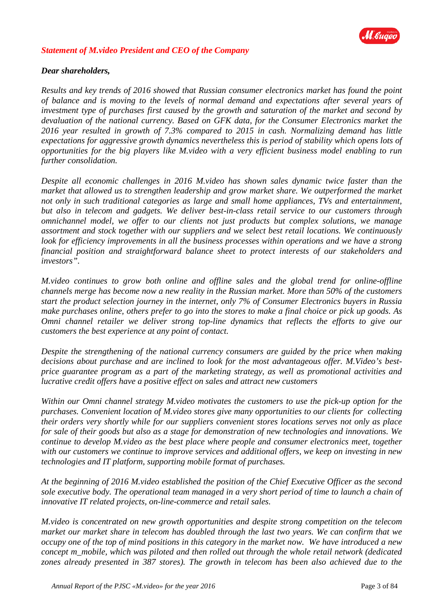

### *Statement of M.video President and CEO of the Company*

#### *Dear shareholders,*

*Results and key trends of 2016 showed that Russian consumer electronics market has found the point of balance and is moving to the levels of normal demand and expectations after several years of investment type of purchases first caused by the growth and saturation of the market and second by devaluation of the national currency. Based on GFK data, for the Consumer Electronics market the 2016 year resulted in growth of 7.3% compared to 2015 in cash. Normalizing demand has little expectations for aggressive growth dynamics nevertheless this is period of stability which opens lots of opportunities for the big players like M.video with a very efficient business model enabling to run further consolidation.*

*Despite all economic challenges in 2016 M.video has shown sales dynamic twice faster than the market that allowed us to strengthen leadership and grow market share. We outperformed the market not only in such traditional categories as large and small home appliances, TVs and entertainment, but also in telecom and gadgets. We deliver best-in-class retail service to our customers through omnichannel model, we offer to our clients not just products but complex solutions, we manage assortment and stock together with our suppliers and we select best retail locations. We continuously look for efficiency improvements in all the business processes within operations and we have a strong financial position and straightforward balance sheet to protect interests of our stakeholders and investors".*

*M.video continues to grow both online and offline sales and the global trend for online-offline channels merge has become now a new reality in the Russian market. More than 50% of the customers start the product selection journey in the internet, only 7% of Consumer Electronics buyers in Russia make purchases online, others prefer to go into the stores to make a final choice or pick up goods. As Omni channel retailer we deliver strong top-line dynamics that reflects the efforts to give our customers the best experience at any point of contact.*

*Despite the strengthening of the national currency consumers are guided by the price when making decisions about purchase and are inclined to look for the most advantageous offer. M.Video's bestprice guarantee program as a part of the marketing strategy, as well as promotional activities and lucrative credit offers have a positive effect on sales and attract new customers* 

*Within our Omni channel strategy M.video motivates the customers to use the pick-up option for the purchases. Convenient location of M.video stores give many opportunities to our clients for collecting their orders very shortly while for our suppliers convenient stores locations serves not only as place for sale of their goods but also as a stage for demonstration of new technologies and innovations. We continue to develop M.video as the best place where people and consumer electronics meet, together with our customers we continue to improve services and additional offers, we keep on investing in new technologies and IT platform, supporting mobile format of purchases.* 

*At the beginning of 2016 M.video established the position of the Chief Executive Officer as the second sole executive body. The operational team managed in a very short period of time to launch a chain of innovative IT related projects, on-line-commerce and retail sales.* 

*M.video is concentrated on new growth opportunities and despite strong competition on the telecom market our market share in telecom has doubled through the last two years. We can confirm that we occupy one of the top of mind positions in this category in the market now. We have introduced a new concept m\_mobile, which was piloted and then rolled out through the whole retail network (dedicated zones already presented in 387 stores). The growth in telecom has been also achieved due to the*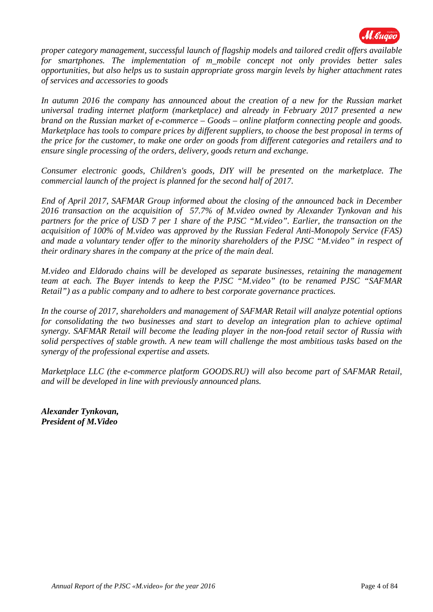

*proper category management, successful launch of flagship models and tailored credit offers available for smartphones. The implementation of m\_mobile concept not only provides better sales opportunities, but also helps us to sustain appropriate gross margin levels by higher attachment rates of services and accessories to goods*

In autumn 2016 the company has announced about the creation of a new for the Russian market *universal trading internet platform (marketplace) and already in February 2017 presented a new brand on the Russian market of e-commerce – Goods – online platform connecting people and goods. Marketplace has tools to compare prices by different suppliers, to choose the best proposal in terms of the price for the customer, to make one order on goods from different categories and retailers and to ensure single processing of the orders, delivery, goods return and exchange.*

*Consumer electronic goods, Children's goods, DIY will be presented on the marketplace. The commercial launch of the project is planned for the second half of 2017.*

*End of April 2017, SAFMAR Group informed about the closing of the announced back in December 2016 transaction on the acquisition of 57.7% of M.video owned by Alexander Tynkovan and his partners for the price of USD 7 per 1 share of the PJSC "M.video". Earlier, the transaction on the acquisition of 100% of M.video was approved by the Russian Federal Anti-Monopoly Service (FAS) and made a voluntary tender offer to the minority shareholders of the PJSC "M.video" in respect of their ordinary shares in the company at the price of the main deal.*

*M.video and Eldorado chains will be developed as separate businesses, retaining the management team at each. The Buyer intends to keep the PJSC "M.video" (to be renamed PJSC "SAFMAR Retail") as a public company and to adhere to best corporate governance practices.*

*In the course of 2017, shareholders and management of SAFMAR Retail will analyze potential options for consolidating the two businesses and start to develop an integration plan to achieve optimal synergy. SAFMAR Retail will become the leading player in the non-food retail sector of Russia with solid perspectives of stable growth. A new team will challenge the most ambitious tasks based on the synergy of the professional expertise and assets.*

*Marketplace LLC (the e-commerce platform GOODS.RU) will also become part of SAFMAR Retail, and will be developed in line with previously announced plans.* 

*Alexander Tynkovan, President of M.Video*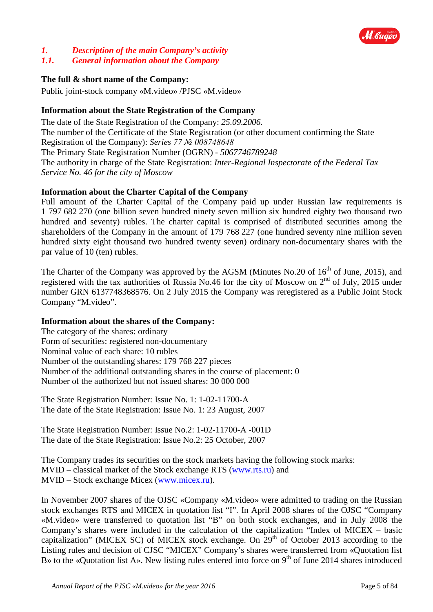

## *1. Description of the main Company's activity*

#### *1.1. General information about the Company*

## **The full & short name of the Company:**

Public joint-stock company «M.video» /PJSC «M.video»

## **Information about the State Registration of the Company**

The date of the State Registration of the Company: *25.09.2006.* The number of the Certificate of the State Registration (or other document confirming the State Registration of the Company): *Series 77 № 008748648* The Primary State Registration Number (OGRN) - *5067746789248* The authority in charge of the State Registration: *Inter-Regional Inspectorate of the Federal Tax Service No. 46 for the city of Moscow* 

## **Information about the Charter Capital of the Company**

Full amount of the Charter Capital of the Company paid up under Russian law requirements is 1 797 682 270 (one billion seven hundred ninety seven million six hundred eighty two thousand two hundred and seventy) rubles. The charter capital is comprised of distributed securities among the shareholders of the Company in the amount of 179 768 227 (one hundred seventy nine million seven hundred sixty eight thousand two hundred twenty seven) ordinary non-documentary shares with the par value of 10 (ten) rubles.

The Charter of the Company was approved by the AGSM (Minutes No.20 of 16<sup>th</sup> of June, 2015), and registered with the tax authorities of Russia No.46 for the city of Moscow on 2<sup>nd</sup> of July, 2015 under number GRN 6137748368576. On 2 July 2015 the Company was reregistered as a Public Joint Stock Company "M.video".

## **Information about the shares of the Company:**

The category of the shares: ordinary Form of securities: registered non-documentary Nominal value of each share: 10 rubles Number of the outstanding shares: 179 768 227 pieces Number of the additional outstanding shares in the course of placement: 0 Number of the authorized but not issued shares: 30 000 000

The State Registration Number: Issue No. 1: 1-02-11700-А The date of the State Registration: Issue No. 1: 23 August, 2007

The State Registration Number: Issue No.2: 1-02-11700-А -001D The date of the State Registration: Issue No.2: 25 October, 2007

The Company trades its securities on the stock markets having the following stock marks: MVID – classical market of the Stock exchange RTS [\(www.rts.ru\)](http://www.rts.ru/) and MVID – Stock exchange Micex [\(www.micex.ru\)](http://www.micex.ru/).

In November 2007 shares of the OJSC «Company «M.video» were admitted to trading on the Russian stock exchanges RTS and MICEX in quotation list "I". In April 2008 shares of the OJSC "Company «M.video» were transferred to quotation list "B" on both stock exchanges, and in July 2008 the Company's shares were included in the calculation of the capitalization "Index of MICEX – basic capitalization" (MICEX SC) of MICEX stock exchange. On  $29<sup>th</sup>$  of October 2013 according to the Listing rules and decision of CJSC "MICEX" Company's shares were transferred from «Quotation list B» to the «Quotation list A». New listing rules entered into force on 9<sup>th</sup> of June 2014 shares introduced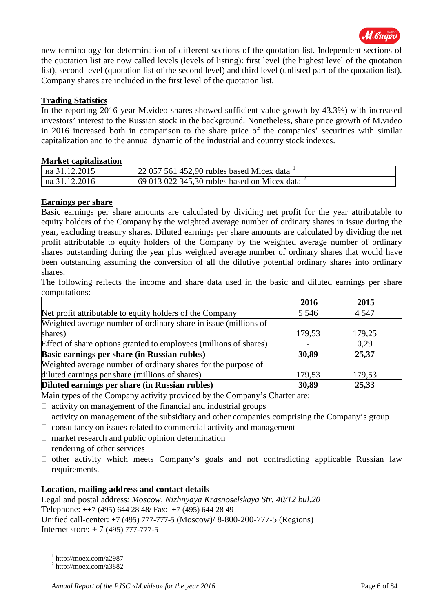

new terminology for determination of different sections of the quotation list. Independent sections of the quotation list are now called levels (levels of listing): first level (the highest level of the quotation list), second level (quotation list of the second level) and third level (unlisted part of the quotation list). Company shares are included in the first level of the quotation list.

### **Trading Statistics**

In the reporting 2016 year M.video shares showed sufficient value growth by 43.3%) with increased investors' interest to the Russian stock in the background. Nonetheless, share price growth of M.video in 2016 increased both in comparison to the share price of the companies' securities with similar capitalization and to the annual dynamic of the industrial and country stock indexes.

### **Market capitalization**

| $\frac{1}{1}$ Ha 31.12.2015 | $\frac{1}{22}$ 057 561 452,90 rubles based Micex data                    |
|-----------------------------|--------------------------------------------------------------------------|
| $\frac{1}{1}$ Ha 31.12.2016 | $\frac{1}{2}$ 69 013 022 345,30 rubles based on Micex data $\frac{2}{3}$ |

### **Earnings per share**

Basic earnings per share amounts are calculated by dividing net profit for the year attributable to equity holders of the Company by the weighted average number of ordinary shares in issue during the year, excluding treasury shares. Diluted earnings per share amounts are calculated by dividing the net profit attributable to equity holders of the Company by the weighted average number of ordinary shares outstanding during the year plus weighted average number of ordinary shares that would have been outstanding assuming the conversion of all the dilutive potential ordinary shares into ordinary shares.

The following reflects the income and share data used in the basic and diluted earnings per share computations:

|                                                                   | 2016    | 2015    |
|-------------------------------------------------------------------|---------|---------|
| Net profit attributable to equity holders of the Company          | 5 5 4 6 | 4 5 4 7 |
| Weighted average number of ordinary share in issue (millions of   |         |         |
| shares)                                                           | 179,53  | 179,25  |
| Effect of share options granted to employees (millions of shares) |         | 0.29    |
| Basic earnings per share (in Russian rubles)                      | 30,89   | 25,37   |
| Weighted average number of ordinary shares for the purpose of     |         |         |
| diluted earnings per share (millions of shares)                   | 179,53  | 179,53  |
| Diluted earnings per share (in Russian rubles)                    | 30,89   | 25,33   |

Main types of the Company activity provided by the Company's Charter are:

 $\Box$  activity on management of the financial and industrial groups

- $\Box$  activity on management of the subsidiary and other companies comprising the Company's group
- $\Box$  consultancy on issues related to commercial activity and management
- $\Box$  market research and public opinion determination
- $\Box$  rendering of other services
- $\Box$  other activity which meets Company's goals and not contradicting applicable Russian law requirements.

## **Location, mailing address and contact details**

Legal and postal address*: Moscow, Nizhnyaya Krasnoselskaya Str. 40/12 bul.20* Telephone: *++*7 (495) 644 28 48/ Fax: +7 (495) 644 28 49 Unified call-center: +7 (495) 777-777-5 (Moscow)/ 8-800-200-777-5 (Regions) Internet store: + 7 (495) 777-777-5

<u>.</u>

<span id="page-5-0"></span> $1$  http://moex.com/a2987

<span id="page-5-1"></span> $2 \text{ http://moex.com/a3882}$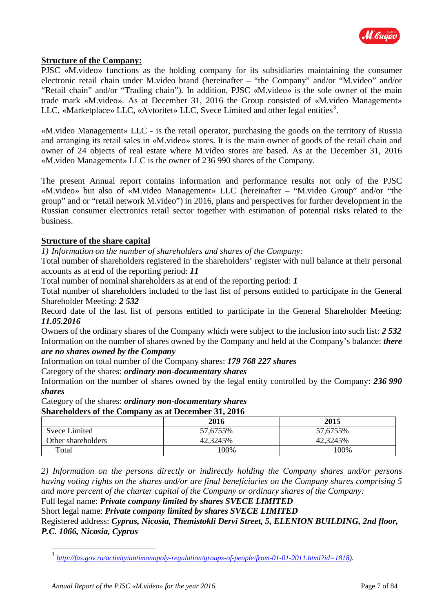

#### **Structure of the Company:**

PJSC «M.video» functions as the holding company for its subsidiaries maintaining the consumer electronic retail chain under M.video brand (hereinafter – "the Company" and/or "M.video" and/or "Retail chain" and/or "Trading chain"). In addition, PJSC «M.video» is the sole owner of the main trade mark «M.video». As at December 31, 2016 the Group consisted of «M.video Management» LLC, «Marketplace» LLC, «Avtoritet» LLC, Svece Limited and other legal entities<sup>[3](#page-6-0)</sup>.

«M.video Management» LLC - is the retail operator, purchasing the goods on the territory of Russia and arranging its retail sales in «M.video» stores. It is the main owner of goods of the retail chain and owner of 24 objects of real estate where M.video stores are based. As at the December 31, 2016 «M.video Management» LLC is the owner of 236 990 shares of the Company.

The present Annual report contains information and performance results not only of the PJSC «M.video» but also of «M.video Management» LLC (hereinafter – "M.video Group" and/or "the group" and or "retail network M.video") in 2016, plans and perspectives for further development in the Russian consumer electronics retail sector together with estimation of potential risks related to the business.

#### **Structure of the share capital**

*1) Information on the number of shareholders and shares of the Company:*

Total number of shareholders registered in the shareholders' register with null balance at their personal accounts as at end of the reporting period: *11*

Total number of nominal shareholders as at end of the reporting period: *1*

Total number of shareholders included to the last list of persons entitled to participate in the General Shareholder Meeting: *2 532*

Record date of the last list of persons entitled to participate in the General Shareholder Meeting: *11.05.2016*

Owners of the ordinary shares of the Company which were subject to the inclusion into such list: *2 532* Information on the number of shares owned by the Company and held at the Company's balance: *there* 

#### *are no shares owned by the Company*

Information on total number of the Company shares: *179 768 227 shares*

Category of the shares: *ordinary non-documentary shares* 

Information on the number of shares owned by the legal entity controlled by the Company: *236 990 shares* 

Category of the shares: *ordinary non-documentary shares* 

#### **Shareholders of the Company as at December 31, 2016**

|                    | 2016     | 2015      |
|--------------------|----------|-----------|
| Svece Limited      | 57,6755% | 57,6755%  |
| Other shareholders | 42,3245% | 42,3245\% |
| Total              | 100%     | 100%      |

*2) Information on the persons directly or indirectly holding the Company shares and/or persons having voting rights on the shares and/or are final beneficiaries on the Company shares comprising 5 and more percent of the charter capital of the Company or ordinary shares of the Company:*

Full legal name: *Private company limited by shares SVECE LIMITED*

Short legal name: *Private company limited by shares SVECE LIMITED*

Registered address: *Cyprus, Nicosia, Themistokli Dervi Street, 5, ELENION BUILDING, 2nd floor, P.C. 1066, Nicosia, Cyprus*

<u>.</u>

<span id="page-6-0"></span><sup>3</sup> *[http://fas.gov.ru/activity/antimonopoly-regulation/groups-of-people/from-01-01-2011.html?id=1818\)](http://fas.gov.ru/activity/antimonopoly-regulation/groups-of-people/from-01-01-2011.html?id=1818).*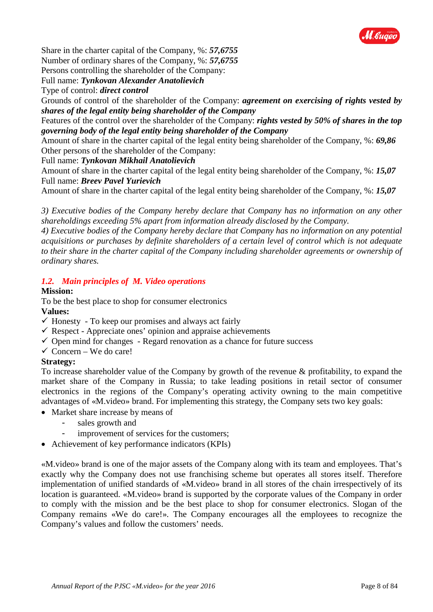

Share in the charter capital of the Company, %: *57,6755* 

Number of ordinary shares of the Company, %: *57,6755*

Persons controlling the shareholder of the Company:

Full name: *Tynkovan Alexander Anatolievich*

Type of control: *direct control*

Grounds of control of the shareholder of the Company: *agreement on exercising of rights vested by shares of the legal entity being shareholder of the Company* 

Features of the control over the shareholder of the Company: *rights vested by 50% of shares in the top governing body of the legal entity being shareholder of the Company* 

Amount of share in the charter capital of the legal entity being shareholder of the Company, %: *69,86* Other persons of the shareholder of the Company:

Full name: *Tynkovan Mikhail Anatolievich*

Amount of share in the charter capital of the legal entity being shareholder of the Company, %: *15,07* Full name: *Breev Pavel Yurievich*

Amount of share in the charter capital of the legal entity being shareholder of the Company, %: *15,07*

*3) Executive bodies of the Company hereby declare that Company has no information on any other shareholdings exceeding 5% apart from information already disclosed by the Company.*

*4) Executive bodies of the Company hereby declare that Company has no information on any potential acquisitions or purchases by definite shareholders of a certain level of control which is not adequate to their share in the charter capital of the Company including shareholder agreements or ownership of ordinary shares.*

## *1.2. Main principles of M. Video operations*

## **Mission:**

To be the best place to shop for consumer electronics

## **Values:**

- $\checkmark$  Honesty To keep our promises and always act fairly
- $\checkmark$  Respect Appreciate ones' opinion and appraise achievements
- $\checkmark$  Open mind for changes Regard renovation as a chance for future success
- $\checkmark$  Concern We do care!

## **Strategy:**

To increase shareholder value of the Company by growth of the revenue & profitability, to expand the market share of the Company in Russia; to take leading positions in retail sector of consumer electronics in the regions of the Company's operating activity owning to the main competitive advantages of «M.video» brand. For implementing this strategy, the Company sets two key goals:

- Market share increase by means of
	- sales growth and
		- improvement of services for the customers;
- Achievement of key performance indicators (KPIs)

«M.video» brand is one of the major assets of the Company along with its team and employees. That's exactly why the Company does not use franchising scheme but operates all stores itself. Therefore implementation of unified standards of «M.video» brand in all stores of the chain irrespectively of its location is guaranteed. «M.video» brand is supported by the corporate values of the Company in order to comply with the mission and be the best place to shop for consumer electronics. Slogan of the Company remains «We do care!». The Company encourages all the employees to recognize the Company's values and follow the customers' needs.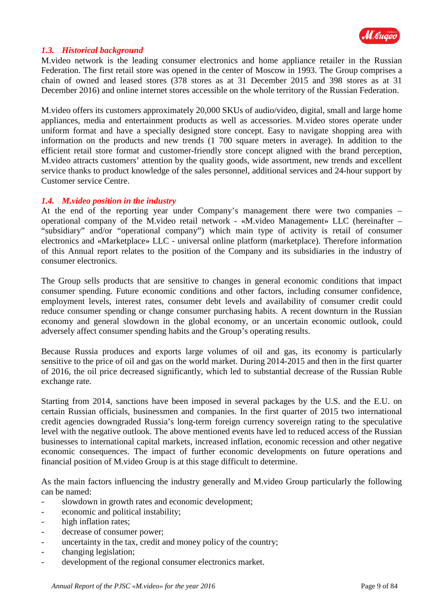

### *1.3. Historical background*

M.video network is the leading consumer electronics and home appliance retailer in the Russian Federation. The first retail store was opened in the center of Moscow in 1993. The Group comprises a chain of owned and leased stores (378 stores as at 31 December 2015 and 398 stores as at 31 December 2016) and online internet stores accessible on the whole territory of the Russian Federation.

M.video offers its customers approximately 20,000 SKUs of audio/video, digital, small and large home appliances, media and entertainment products as well as accessories. M.video stores operate under uniform format and have a specially designed store concept. Easy to navigate shopping area with information on the products and new trends (1 700 square meters in average). In addition to the efficient retail store format and customer-friendly store concept aligned with the brand perception, M.video attracts customers' attention by the quality goods, wide assortment, new trends and excellent service thanks to product knowledge of the sales personnel, additional services and 24-hour support by Customer service Centre.

#### *1.4. M.video position in the industry*

At the end of the reporting year under Company's management there were two companies – operational company of the M.video retail network - «M.video Management» LLC (hereinafter – "subsidiary" and/or "operational company") which main type of activity is retail of consumer electronics and «Marketplace» LLC - universal online platform (marketplace). Therefore information of this Annual report relates to the position of the Company and its subsidiaries in the industry of consumer electronics.

The Group sells products that are sensitive to changes in general economic conditions that impact consumer spending. Future economic conditions and other factors, including consumer confidence, employment levels, interest rates, consumer debt levels and availability of consumer credit could reduce consumer spending or change consumer purchasing habits. A recent downturn in the Russian economy and general slowdown in the global economy, or an uncertain economic outlook, could adversely affect consumer spending habits and the Group's operating results.

Because Russia produces and exports large volumes of oil and gas, its economy is particularly sensitive to the price of oil and gas on the world market. During 2014-2015 and then in the first quarter of 2016, the oil price decreased significantly, which led to substantial decrease of the Russian Ruble exchange rate.

Starting from 2014, sanctions have been imposed in several packages by the U.S. and the E.U. on certain Russian officials, businessmen and companies. In the first quarter of 2015 two international credit agencies downgraded Russia's long-term foreign currency sovereign rating to the speculative level with the negative outlook. The above mentioned events have led to reduced access of the Russian businesses to international capital markets, increased inflation, economic recession and other negative economic consequences. The impact of further economic developments on future operations and financial position of M.video Group is at this stage difficult to determine.

As the main factors influencing the industry generally and M.video Group particularly the following can be named:

- slowdown in growth rates and economic development;
- economic and political instability;
- high inflation rates:
- decrease of consumer power;
- uncertainty in the tax, credit and money policy of the country;
- changing legislation;
- development of the regional consumer electronics market.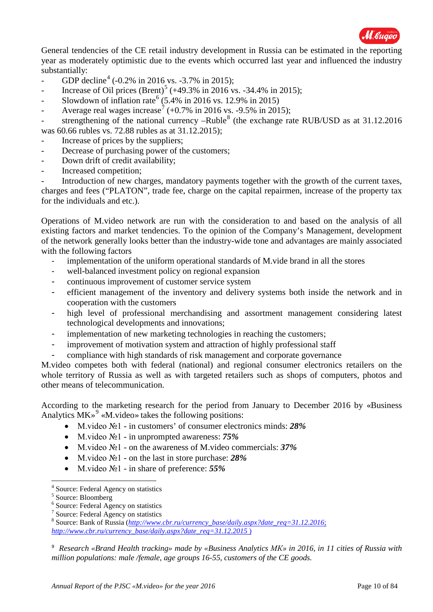

General tendencies of the CE retail industry development in Russia can be estimated in the reporting year as moderately optimistic due to the events which occurred last year and influenced the industry substantially:

- GDP decline<sup>[4](#page-9-0)</sup> (-0.2% in 2016 vs. -3.7% in 2015);
- Increase of Oil prices  $(Brent)^5 (+49.3\% \text{ in } 2016 \text{ vs. } -34.4\% \text{ in } 2015);$  $(Brent)^5 (+49.3\% \text{ in } 2016 \text{ vs. } -34.4\% \text{ in } 2015);$  $(Brent)^5 (+49.3\% \text{ in } 2016 \text{ vs. } -34.4\% \text{ in } 2015);$
- Slowdown of inflation rate<sup>[6](#page-9-2)</sup> (5.4% in 2016 vs. 12.9% in 2015)
- Average real wages increase<sup>[7](#page-9-3)</sup> (+0.7% in 2016 vs. -9.5% in 2015);

strengthening of the national currency –Ruble<sup>[8](#page-9-4)</sup> (the exchange rate RUB/USD as at  $31.12.2016$ ) was 60.66 rubles vs. 72.88 rubles as at 31.12.2015);

- Increase of prices by the suppliers;
- Decrease of purchasing power of the customers;
- Down drift of credit availability;
- Increased competition;

Introduction of new charges, mandatory payments together with the growth of the current taxes, charges and fees ("PLATON", trade fee, charge on the capital repairmen, increase of the property tax for the individuals and etc.).

Operations of M.video network are run with the consideration to and based on the analysis of all existing factors and market tendencies. To the opinion of the Company's Management, development of the network generally looks better than the industry-wide tone and advantages are mainly associated with the following factors

- implementation of the uniform operational standards of M.vide brand in all the stores
- well-balanced investment policy on regional expansion
- continuous improvement of customer service system
- efficient management of the inventory and delivery systems both inside the network and in cooperation with the customers
- high level of professional merchandising and assortment management considering latest technological developments and innovations;
- implementation of new marketing technologies in reaching the customers;
- improvement of motivation system and attraction of highly professional staff
- compliance with high standards of risk management and corporate governance

M.video competes both with federal (national) and regional consumer electronics retailers on the whole territory of Russia as well as with targeted retailers such as shops of computers, photos and other means of telecommunication.

According to the marketing research for the period from January to December 2016 by «Business Analytics  $MK^9$  $MK^9$  «M.video» takes the following positions:

- M.video №1 in customers' of consumer electronics minds: *28%*
- M.video №1 in unprompted awareness: *75%*
- M.video №1 on the awareness of M.video commercials: *37%*
- M.video №1 on the last in store purchase: *28%*
- M.video №1 in share of preference: *55%*

<u>.</u>

<span id="page-9-5"></span><sup>9</sup> *Research «Brand Health tracking» made by «Business Analytics МК» in 2016, in 11 cities of Russia with million populations: male /female, age groups 16-55, customers of the CE goods.*

<sup>4</sup> Source: Federal Agency on statistics

<span id="page-9-4"></span><span id="page-9-3"></span>

<span id="page-9-2"></span><span id="page-9-1"></span><span id="page-9-0"></span><sup>&</sup>lt;sup>5</sup> Source: Bloomberg<br>
<sup>6</sup> Source: Federal Agency on statistics<br>
<sup>7</sup> Source: Federal Agency on statistics<br>
<sup>8</sup> Source: Bank of Russia (*[http://www.cbr.ru/currency\\_base/daily.aspx?date\\_req=31.12.2016](http://www.cbr.ru/currency_base/daily.aspx?date_req=31.12.2016)*; *[http://www.cbr.ru/currency\\_base/daily.aspx?date\\_req=31.12.2015](http://www.cbr.ru/currency_base/daily.aspx?date_req=31.12.2015)* )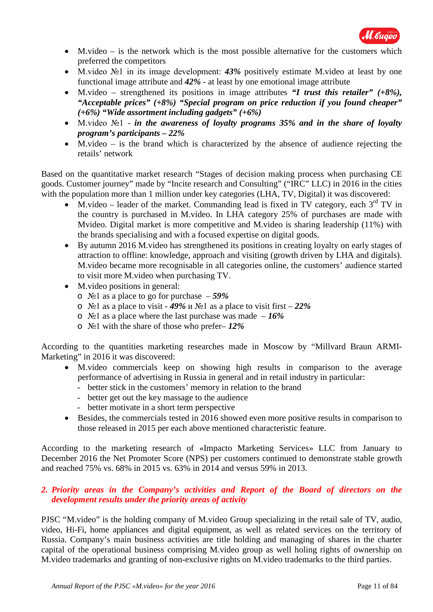

- M.video is the network which is the most possible alternative for the customers which preferred the competitors
- M.video №1 in its image development: *43%* positively estimate M.video at least by one functional image attribute and *42%* - at least by one emotional image attribute
- M.video strengthened its positions in image attributes *"I trust this retailer" (+8%), "Acceptable prices" (+8%) "Special program on price reduction if you found cheaper" (+6%) "Wide assortment including gadgets" (+6%)*
- M.video №1 *in the awareness of loyalty programs 35% and in the share of loyalty program's participants – 22%*
- M.video is the brand which is characterized by the absence of audience rejecting the retails' network

Based on the quantitative market research "Stages of decision making process when purchasing CE goods. Customer journey" made by "Incite research and Consulting" ("IRC" LLC) in 2016 in the cities with the population more than 1 million under key categories (LHA, TV, Digital) it was discovered:

- M.video leader of the market. Commanding lead is fixed in TV category, each  $3<sup>rd</sup>$  TV in the country is purchased in M.video. In LHA category 25% of purchases are made with Mvideo. Digital market is more competitive and M.video is sharing leadership (11%) with the brands specialising and with a focused expertise on digital goods.
- By autumn 2016 M.video has strengthened its positions in creating loyalty on early stages of attraction to offline: knowledge, approach and visiting (growth driven by LHA and digitals). M.video became more recognisable in all categories online, the customers' audience started to visit more M.video when purchasing TV.
- M. video positions in general:
	- o №1 as a place to go for purchase *59%*
	- o №1 as a place to visit *49%* и №1 as a place to visit first *22%*
	- o №1 as a place where the last purchase was made *16%*
	- o №1 with the share of those who prefer– *12%*

According to the quantities marketing researches made in Moscow by "Millvard Braun ARMI-Marketing" in 2016 it was discovered:

- M.video commercials keep on showing high results in comparison to the average performance of advertising in Russia in general and in retail industry in particular:
	- better stick in the customers' memory in relation to the brand
	- better get out the key massage to the audience
	- better motivate in a short term perspective
- Besides, the commercials tested in 2016 showed even more positive results in comparison to those released in 2015 per each above mentioned characteristic feature.

According to the marketing research of «Impacto Marketing Services» LLC from January to December 2016 the Net Promoter Score (NPS) per customers continued to demonstrate stable growth and reached 75% vs. 68% in 2015 vs. 63% in 2014 and versus 59% in 2013.

### *2. Priority areas in the Company's activities and Report of the Board of directors on the development results under the priority areas of activity*

PJSC "M.video" is the holding company of M.video Group specializing in the retail sale of TV, audio, video, Hi-Fi, home appliances and digital equipment, as well as related services on the territory of Russia. Company's main business activities are title holding and managing of shares in the charter capital of the operational business comprising M.video group as well holing rights of ownership on M.video trademarks and granting of non-exclusive rights on M.video trademarks to the third parties.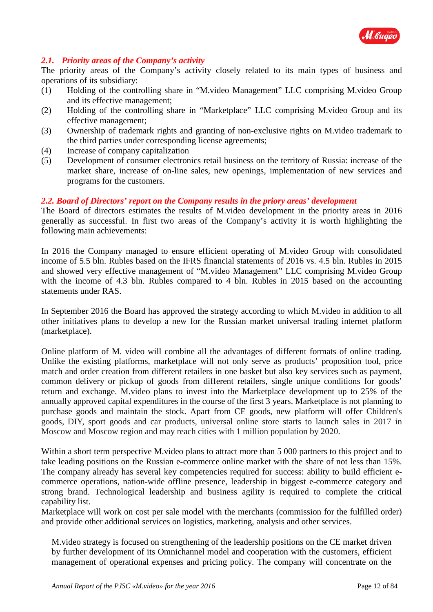

### *2.1. Priority areas of the Company's activity*

The priority areas of the Company's activity closely related to its main types of business and operations of its subsidiary:

- (1) Holding of the controlling share in "M.video Management" LLC comprising M.video Group and its effective management;
- (2) Holding of the controlling share in "Marketplace" LLC comprising M.video Group and its effective management;
- (3) Ownership of trademark rights and granting of non-exclusive rights on M.video trademark to the third parties under corresponding license agreements;
- (4) Increase of company capitalization
- (5) Development of consumer electronics retail business on the territory of Russia: increase of the market share, increase of on-line sales, new openings, implementation of new services and programs for the customers.

#### *2.2. Board of Directors' report on the Company results in the priory areas' development*

The Board of directors estimates the results of M.video development in the priority areas in 2016 generally as successful. In first two areas of the Company's activity it is worth highlighting the following main achievements:

In 2016 the Company managed to ensure efficient operating of M.video Group with consolidated income of 5.5 bln. Rubles based on the IFRS financial statements of 2016 vs. 4.5 bln. Rubles in 2015 and showed very effective management of "M.video Management" LLC comprising M.video Group with the income of 4.3 bln. Rubles compared to 4 bln. Rubles in 2015 based on the accounting statements under RAS.

In September 2016 the Board has approved the strategy according to which M.video in addition to all other initiatives plans to develop a new for the Russian market universal trading internet platform (marketplace).

Online platform of M. video will combine all the advantages of different formats of online trading. Unlike the existing platforms, marketplace will not only serve as products' proposition tool, price match and order creation from different retailers in one basket but also key services such as payment, common delivery or pickup of goods from different retailers, single unique conditions for goods' return and exchange. M.video plans to invest into the Marketplace development up to 25% of the annually approved capital expenditures in the course of the first 3 years. Marketplace is not planning to purchase goods and maintain the stock. Apart from CE goods, new platform will offer Children's goods, DIY, sport goods and car products, universal online store starts to launch sales in 2017 in Moscow and Moscow region and may reach cities with 1 million population by 2020.

Within a short term perspective M.video plans to attract more than 5 000 partners to this project and to take leading positions on the Russian e-commerce online market with the share of not less than 15%. The company already has several key competencies required for success: ability to build efficient ecommerce operations, nation-wide offline presence, leadership in biggest e-commerce category and strong brand. Technological leadership and business agility is required to complete the critical capability list.

Marketplace will work on cost per sale model with the merchants (commission for the fulfilled order) and provide other additional services on logistics, marketing, analysis and other services.

M.video strategy is focused on strengthening of the leadership positions on the CE market driven by further development of its Omnichannel model and cooperation with the customers, efficient management of operational expenses and pricing policy. The company will concentrate on the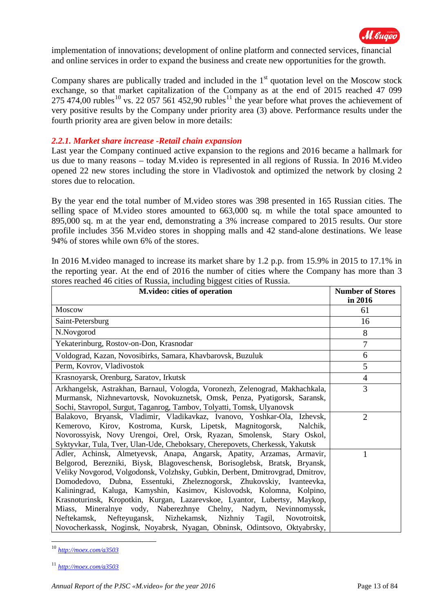

implementation of innovations; development of online platform and connected services, financial and online services in order to expand the business and create new opportunities for the growth.

Company shares are publically traded and included in the  $1<sup>st</sup>$  quotation level on the Moscow stock exchange, so that market capitalization of the Company as at the end of 2015 reached 47 099 275 474,00 rubles<sup>[10](#page-12-0)</sup> vs. 22 057 561 452,90 rubles<sup>[11](#page-12-1)</sup> the year before what proves the achievement of very positive results by the Company under priority area (3) above. Performance results under the fourth priority area are given below in more details:

#### *2.2.1. Market share increase -Retail chain expansion*

Last year the Company continued active expansion to the regions and 2016 became a hallmark for us due to many reasons – today M.video is represented in all regions of Russia. In 2016 M.video opened 22 new stores including the store in Vladivostok and optimized the network by closing 2 stores due to relocation.

By the year end the total number of M.video stores was 398 presented in 165 Russian cities. The selling space of M.video stores amounted to 663,000 sq. m while the total space amounted to 895,000 sq. m at the year end, demonstrating a 3% increase compared to 2015 results. Our store profile includes 356 M.video stores in shopping malls and 42 stand-alone destinations. We lease 94% of stores while own 6% of the stores.

In 2016 M.video managed to increase its market share by 1.2 p.p. from 15.9% in 2015 to 17.1% in the reporting year. At the end of 2016 the number of cities where the Company has more than 3 stores reached 46 cities of Russia, including biggest cities of Russia.

| M.video: cities of operation                                                                                                                                                                                                                                                                                                                                                                                                                                                                                                                                                                                                                                                                 | <b>Number of Stores</b><br>in 2016 |
|----------------------------------------------------------------------------------------------------------------------------------------------------------------------------------------------------------------------------------------------------------------------------------------------------------------------------------------------------------------------------------------------------------------------------------------------------------------------------------------------------------------------------------------------------------------------------------------------------------------------------------------------------------------------------------------------|------------------------------------|
| <b>Moscow</b>                                                                                                                                                                                                                                                                                                                                                                                                                                                                                                                                                                                                                                                                                | 61                                 |
| Saint-Petersburg                                                                                                                                                                                                                                                                                                                                                                                                                                                                                                                                                                                                                                                                             | 16                                 |
| N.Novgorod                                                                                                                                                                                                                                                                                                                                                                                                                                                                                                                                                                                                                                                                                   | 8                                  |
| Yekaterinburg, Rostov-on-Don, Krasnodar                                                                                                                                                                                                                                                                                                                                                                                                                                                                                                                                                                                                                                                      | $\overline{7}$                     |
| Voldograd, Kazan, Novosibirks, Samara, Khavbarovsk, Buzuluk                                                                                                                                                                                                                                                                                                                                                                                                                                                                                                                                                                                                                                  | 6                                  |
| Perm, Kovrov, Vladivostok                                                                                                                                                                                                                                                                                                                                                                                                                                                                                                                                                                                                                                                                    | 5                                  |
| Krasnoyarsk, Orenburg, Saratov, Irkutsk                                                                                                                                                                                                                                                                                                                                                                                                                                                                                                                                                                                                                                                      | $\overline{4}$                     |
| Arkhangelsk, Astrakhan, Barnaul, Vologda, Voronezh, Zelenograd, Makhachkala,<br>Murmansk, Nizhnevartovsk, Novokuznetsk, Omsk, Penza, Pyatigorsk, Saransk,<br>Sochi, Stavropol, Surgut, Taganrog, Tambov, Tolyatti, Tomsk, Ulyanovsk                                                                                                                                                                                                                                                                                                                                                                                                                                                          | 3                                  |
| Balakovo, Bryansk, Vladimir, Vladikavkaz, Ivanovo, Yoshkar-Ola, Izhevsk,<br>Kemerovo, Kirov, Kostroma, Kursk, Lipetsk, Magnitogorsk,<br>Nalchik,<br>Novorossyisk, Novy Urengoi, Orel, Orsk, Ryazan, Smolensk, Stary Oskol,<br>Syktyvkar, Tula, Tver, Ulan-Ude, Cheboksary, Cherepovets, Cherkessk, Yakutsk                                                                                                                                                                                                                                                                                                                                                                                   | 2                                  |
| Adler, Achinsk, Almetyevsk, Anapa, Angarsk, Apatity, Arzamas, Armavir,<br>Belgorod, Berezniki, Biysk, Blagoveschensk, Borisoglebsk, Bratsk, Bryansk,<br>Veliky Novgorod, Volgodonsk, Volzhsky, Gubkin, Derbent, Dmitrovgrad, Dmitrov,<br>Domodedovo, Dubna, Essentuki, Zheleznogorsk, Zhukovskiy, Ivanteevka,<br>Kaliningrad, Kaluga, Kamyshin, Kasimov, Kislovodsk, Kolomna, Kolpino,<br>Krasnoturinsk, Kropotkin, Kurgan, Lazarevskoe, Lyantor, Lubertsy, Maykop,<br>Miass, Mineralnye vody, Naberezhnye Chelny, Nadym, Nevinnomyssk,<br>Neftekamsk, Nefteyugansk, Nizhekamsk, Nizhniy Tagil,<br>Novotroitsk.<br>Novocherkassk, Noginsk, Noyabrsk, Nyagan, Obninsk, Odintsovo, Oktyabrsky, |                                    |

<span id="page-12-0"></span><sup>10</sup> *<http://moex.com/a3503>*

-

<span id="page-12-1"></span><sup>11</sup> *<http://moex.com/a3503>*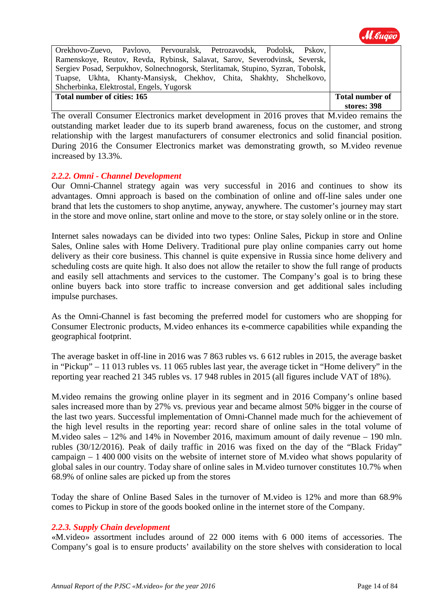

| Orekhovo-Zuevo, Pavlovo, Pervouralsk, Petrozavodsk, Podolsk, Pskov,              |                        |
|----------------------------------------------------------------------------------|------------------------|
| Ramenskoye, Reutov, Revda, Rybinsk, Salavat, Sarov, Severodvinsk, Seversk,       |                        |
| Sergiev Posad, Serpukhov, Solnechnogorsk, Sterlitamak, Stupino, Syzran, Tobolsk, |                        |
| Tuapse, Ukhta, Khanty-Mansiysk, Chekhov, Chita, Shakhty, Shchelkovo,             |                        |
| Shcherbinka, Elektrostal, Engels, Yugorsk                                        |                        |
| Total number of cities: 165                                                      | <b>Total number of</b> |
|                                                                                  | stores: 398            |

The overall Consumer Electronics market development in 2016 proves that M.video remains the outstanding market leader due to its superb brand awareness, focus on the customer, and strong relationship with the largest manufacturers of consumer electronics and solid financial position. During 2016 the Consumer Electronics market was demonstrating growth, so M.video revenue increased by 13.3%.

### *2.2.2. Omni - Channel Development*

Our Omni-Channel strategy again was very successful in 2016 and continues to show its advantages. Omni approach is based on the combination of online and off-line sales under one brand that lets the customers to shop anytime, anyway, anywhere. The customer's journey may start in the store and move online, start online and move to the store, or stay solely online or in the store.

Internet sales nowadays can be divided into two types: Online Sales, Pickup in store and Online Sales, Online sales with Home Delivery. Traditional pure play online companies carry out home delivery as their core business. This channel is quite expensive in Russia since home delivery and scheduling costs are quite high. It also does not allow the retailer to show the full range of products and easily sell attachments and services to the customer. The Company's goal is to bring these online buyers back into store traffic to increase conversion and get additional sales including impulse purchases.

As the Omni-Channel is fast becoming the preferred model for customers who are shopping for Consumer Electronic products, M.video enhances its e-commerce capabilities while expanding the geographical footprint.

The average basket in off-line in 2016 was 7 863 rubles vs. 6 612 rubles in 2015, the average basket in "Pickup" – 11 013 rubles vs. 11 065 rubles last year, the average ticket in "Home delivery" in the reporting year reached 21 345 rubles vs. 17 948 rubles in 2015 (all figures include VAT of 18%).

M.video remains the growing online player in its segment and in 2016 Company's online based sales increased more than by 27% vs. previous year and became almost 50% bigger in the course of the last two years. Successful implementation of Omni-Channel made much for the achievement of the high level results in the reporting year: record share of online sales in the total volume of M.video sales – 12% and 14% in November 2016, maximum amount of daily revenue – 190 mln. rubles (30/12/2016). Peak of daily traffic in 2016 was fixed on the day of the "Black Friday" campaign – 1 400 000 visits on the website of internet store of M.video what shows popularity of global sales in our country. Today share of online sales in M.video turnover constitutes 10.7% when 68.9% of online sales are picked up from the stores

Today the share of Online Based Sales in the turnover of M.video is 12% and more than 68.9% comes to Pickup in store of the goods booked online in the internet store of the Company.

#### *2.2.3. Supply Chain development*

«M.video» assortment includes around of 22 000 items with 6 000 items of accessories. The Company's goal is to ensure products' availability on the store shelves with consideration to local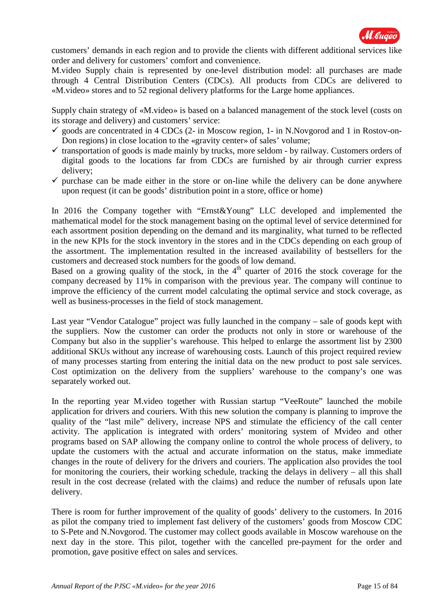

customers' demands in each region and to provide the clients with different additional services like order and delivery for customers' comfort and convenience.

M.video Supply chain is represented by one-level distribution model: all purchases are made through 4 Central Distribution Centers (CDCs). All products from CDCs are delivered to «M.video» stores and to 52 regional delivery platforms for the Large home appliances.

Supply chain strategy of «M.video» is based on a balanced management of the stock level (costs on its storage and delivery) and customers' service:

- $\checkmark$  goods are concentrated in 4 CDCs (2- in Moscow region, 1- in N.Novgorod and 1 in Rostov-on-Don regions) in close location to the «gravity center» of sales' volume;
- $\checkmark$  transportation of goods is made mainly by trucks, more seldom by railway. Customers orders of digital goods to the locations far from CDCs are furnished by air through currier express delivery;
- $\checkmark$  purchase can be made either in the store or on-line while the delivery can be done anywhere upon request (it can be goods' distribution point in a store, office or home)

In 2016 the Company together with "Ernst&Young" LLC developed and implemented the mathematical model for the stock management basing on the optimal level of service determined for each assortment position depending on the demand and its marginality, what turned to be reflected in the new KPIs for the stock inventory in the stores and in the CDCs depending on each group of the assortment. The implementation resulted in the increased availability of bestsellers for the customers and decreased stock numbers for the goods of low demand.

Based on a growing quality of the stock, in the  $4<sup>th</sup>$  quarter of 2016 the stock coverage for the company decreased by 11% in comparison with the previous year. The company will continue to improve the efficiency of the current model calculating the optimal service and stock coverage, as well as business-processes in the field of stock management.

Last year "Vendor Catalogue" project was fully launched in the company – sale of goods kept with the suppliers. Now the customer can order the products not only in store or warehouse of the Company but also in the supplier's warehouse. This helped to enlarge the assortment list by 2300 additional SKUs without any increase of warehousing costs. Launch of this project required review of many processes starting from entering the initial data on the new product to post sale services. Cost optimization on the delivery from the suppliers' warehouse to the company's one was separately worked out.

In the reporting year M.video together with Russian startup "VeeRoute" launched the mobile application for drivers and couriers. With this new solution the company is planning to improve the quality of the "last mile" delivery, increase NPS and stimulate the efficiency of the call center activity. The application is integrated with orders' monitoring system of Mvideo and other programs based on SAP allowing the company online to control the whole process of delivery, to update the customers with the actual and accurate information on the status, make immediate changes in the route of delivery for the drivers and couriers. The application also provides the tool for monitoring the couriers, their working schedule, tracking the delays in delivery – all this shall result in the cost decrease (related with the claims) and reduce the number of refusals upon late delivery.

There is room for further improvement of the quality of goods' delivery to the customers. In 2016 as pilot the company tried to implement fast delivery of the customers' goods from Moscow CDC to S-Pete and N.Novgorod. The customer may collect goods available in Moscow warehouse on the next day in the store. This pilot, together with the cancelled pre-payment for the order and promotion, gave positive effect on sales and services.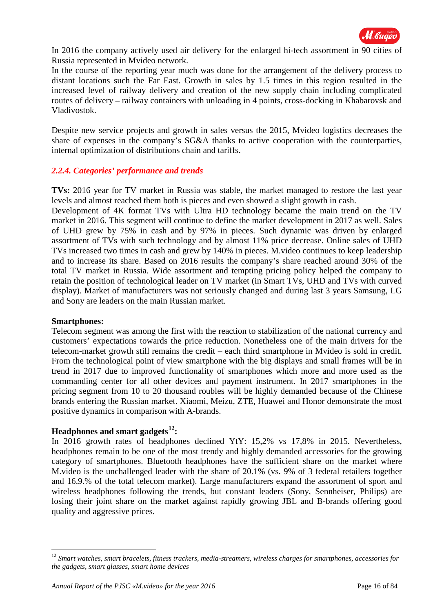

In 2016 the company actively used air delivery for the enlarged hi-tech assortment in 90 cities of Russia represented in Mvideo network.

In the course of the reporting year much was done for the arrangement of the delivery process to distant locations such the Far East. Growth in sales by 1.5 times in this region resulted in the increased level of railway delivery and creation of the new supply chain including complicated routes of delivery – railway containers with unloading in 4 points, cross-docking in Khabarovsk and Vladivostok.

Despite new service projects and growth in sales versus the 2015, Mvideo logistics decreases the share of expenses in the company's SG&A thanks to active cooperation with the counterparties, internal optimization of distributions chain and tariffs.

### *2.2.4. Categories' performance and trends*

**TVs:** 2016 year for TV market in Russia was stable, the market managed to restore the last year levels and almost reached them both is pieces and even showed a slight growth in cash.

Development of 4K format TVs with Ultra HD technology became the main trend on the TV market in 2016. This segment will continue to define the market development in 2017 as well. Sales of UHD grew by 75% in cash and by 97% in pieces. Such dynamic was driven by enlarged assortment of TVs with such technology and by almost 11% price decrease. Online sales of UHD TVs increased two times in cash and grew by 140% in pieces. M.video continues to keep leadership and to increase its share. Based on 2016 results the company's share reached around 30% of the total TV market in Russia. Wide assortment and tempting pricing policy helped the company to retain the position of technological leader on TV market (in Smart TVs, UHD and TVs with curved display). Market of manufacturers was not seriously changed and during last 3 years Samsung, LG and Sony are leaders on the main Russian market.

#### **Smartphones:**

<u>.</u>

Telecom segment was among the first with the reaction to stabilization of the national currency and customers' expectations towards the price reduction. Nonetheless one of the main drivers for the telecom-market growth still remains the credit – each third smartphone in Mvideo is sold in credit. From the technological point of view smartphone with the big displays and small frames will be in trend in 2017 due to improved functionality of smartphones which more and more used as the commanding center for all other devices and payment instrument. In 2017 smartphones in the pricing segment from 10 to 20 thousand roubles will be highly demanded because of the Chinese brands entering the Russian market. Xiaomi, Meizu, ZTE, Huawei and Honor demonstrate the most positive dynamics in comparison with A-brands.

## **Headphones and smart gadgets[12](#page-15-0):**

In 2016 growth rates of headphones declined YtY: 15,2% vs 17,8% in 2015. Nevertheless, headphones remain to be one of the most trendy and highly demanded accessories for the growing category of smartphones. Bluetooth headphones have the sufficient share on the market where M.video is the unchallenged leader with the share of 20.1% (vs. 9% of 3 federal retailers together and 16.9.% of the total telecom market). Large manufacturers expand the assortment of sport and wireless headphones following the trends, but constant leaders (Sony, Sennheiser, Philips) are losing their joint share on the market against rapidly growing JBL and B-brands offering good quality and aggressive prices.

<span id="page-15-0"></span><sup>12</sup> *Smart watches, smart bracelets, fitness trackers, media-streamers, wireless charges for smartphones, accessories for the gadgets, smart glasses, smart home devices*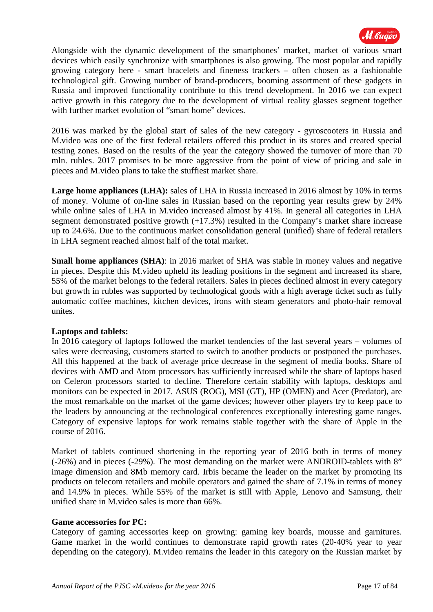

Alongside with the dynamic development of the smartphones' market, market of various smart devices which easily synchronize with smartphones is also growing. The most popular and rapidly growing category here - smart bracelets and fineness trackers – often chosen as a fashionable technological gift. Growing number of brand-producers, booming assortment of these gadgets in Russia and improved functionality contribute to this trend development. In 2016 we can expect active growth in this category due to the development of virtual reality glasses segment together with further market evolution of "smart home" devices.

2016 was marked by the global start of sales of the new category - gyroscooters in Russia and M.video was one of the first federal retailers offered this product in its stores and created special testing zones. Based on the results of the year the category showed the turnover of more than 70 mln. rubles. 2017 promises to be more aggressive from the point of view of pricing and sale in pieces and M.video plans to take the stuffiest market share.

**Large home appliances (LHA):** sales of LHA in Russia increased in 2016 almost by 10% in terms of money. Volume of on-line sales in Russian based on the reporting year results grew by 24% while online sales of LHA in M.video increased almost by 41%. In general all categories in LHA segment demonstrated positive growth (+17.3%) resulted in the Company's market share increase up to 24.6%. Due to the continuous market consolidation general (unified) share of federal retailers in LHA segment reached almost half of the total market.

**Small home appliances (SHA)**: in 2016 market of SHA was stable in money values and negative in pieces. Despite this M.video upheld its leading positions in the segment and increased its share, 55% of the market belongs to the federal retailers. Sales in pieces declined almost in every category but growth in rubles was supported by technological goods with a high average ticket such as fully automatic coffee machines, kitchen devices, irons with steam generators and photo-hair removal unites.

#### **Laptops and tablets:**

In 2016 category of laptops followed the market tendencies of the last several years – volumes of sales were decreasing, customers started to switch to another products or postponed the purchases. All this happened at the back of average price decrease in the segment of media books. Share of devices with AMD and Atom processors has sufficiently increased while the share of laptops based on Celeron processors started to decline. Therefore certain stability with laptops, desktops and monitors can be expected in 2017. ASUS (ROG), MSI (GT), HP (OMEN) and Acer (Predator), are the most remarkable on the market of the game devices; however other players try to keep pace to the leaders by announcing at the technological conferences exceptionally interesting game ranges. Category of expensive laptops for work remains stable together with the share of Apple in the course of 2016.

Market of tablets continued shortening in the reporting year of 2016 both in terms of money (-26%) and in pieces (-29%). The most demanding on the market were ANDROID-tablets with 8" image dimension and 8Mb memory card. Irbis became the leader on the market by promoting its products on telecom retailers and mobile operators and gained the share of 7.1% in terms of money and 14.9% in pieces. While 55% of the market is still with Apple, Lenovo and Samsung, their unified share in M.video sales is more than 66%.

#### **Game accessories for PC:**

Category of gaming accessories keep on growing: gaming key boards, mousse and garnitures. Game market in the world continues to demonstrate rapid growth rates (20-40% year to year depending on the category). M.video remains the leader in this category on the Russian market by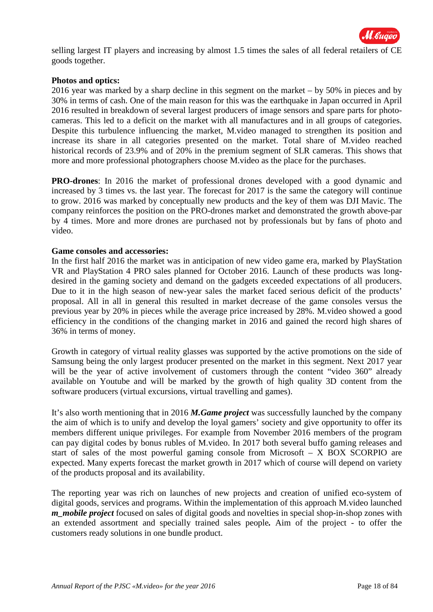

selling largest IT players and increasing by almost 1.5 times the sales of all federal retailers of CE goods together.

#### **Photos and optics:**

2016 year was marked by a sharp decline in this segment on the market – by 50% in pieces and by 30% in terms of cash. One of the main reason for this was the earthquake in Japan occurred in April 2016 resulted in breakdown of several largest producers of image sensors and spare parts for photocameras. This led to a deficit on the market with all manufactures and in all groups of categories. Despite this turbulence influencing the market, M.video managed to strengthen its position and increase its share in all categories presented on the market. Total share of M.video reached historical records of 23.9% and of 20% in the premium segment of SLR cameras. This shows that more and more professional photographers choose M.video as the place for the purchases.

**PRO-drones**: In 2016 the market of professional drones developed with a good dynamic and increased by 3 times vs. the last year. The forecast for 2017 is the same the category will continue to grow. 2016 was marked by conceptually new products and the key of them was DJI Mavic. The company reinforces the position on the PRO-drones market and demonstrated the growth above-par by 4 times. More and more drones are purchased not by professionals but by fans of photo and video.

#### **Game consoles and accessories:**

In the first half 2016 the market was in anticipation of new video game era, marked by PlayStation VR and PlayStation 4 PRO sales planned for October 2016. Launch of these products was longdesired in the gaming society and demand on the gadgets exceeded expectations of all producers. Due to it in the high season of new-year sales the market faced serious deficit of the products' proposal. All in all in general this resulted in market decrease of the game consoles versus the previous year by 20% in pieces while the average price increased by 28%. M.video showed a good efficiency in the conditions of the changing market in 2016 and gained the record high shares of 36% in terms of money.

Growth in category of virtual reality glasses was supported by the active promotions on the side of Samsung being the only largest producer presented on the market in this segment. Next 2017 year will be the year of active involvement of customers through the content "video 360" already available on Youtube and will be marked by the growth of high quality 3D content from the software producers (virtual excursions, virtual travelling and games).

It's also worth mentioning that in 2016 *M.Game project* was successfully launched by the company the aim of which is to unify and develop the loyal gamers' society and give opportunity to offer its members different unique privileges. For example from November 2016 members of the program can pay digital codes by bonus rubles of M.video. In 2017 both several buffo gaming releases and start of sales of the most powerful gaming console from Microsoft – X BOX SCORPIO are expected. Many experts forecast the market growth in 2017 which of course will depend on variety of the products proposal and its availability.

The reporting year was rich on launches of new projects and creation of unified eco-system of digital goods, services and programs. Within the implementation of this approach M.video launched *m\_mobile project* focused on sales of digital goods and novelties in special shop-in-shop zones with an extended assortment and specially trained sales people*.* Aim of the project - to offer the customers ready solutions in one bundle product.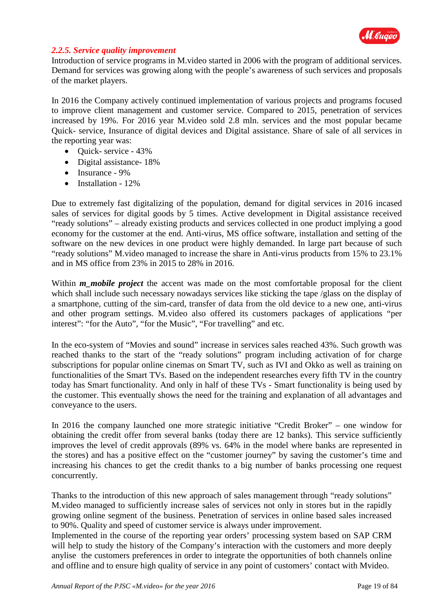

#### *2.2.5. Service quality improvement*

Introduction of service programs in M.video started in 2006 with the program of additional services. Demand for services was growing along with the people's awareness of such services and proposals of the market players.

In 2016 the Company actively continued implementation of various projects and programs focused to improve client management and customer service. Compared to 2015, penetration of services increased by 19%. For 2016 year M.video sold 2.8 mln. services and the most popular became Quick- service, Insurance of digital devices and Digital assistance. Share of sale of all services in the reporting year was:

- Quick- service 43%
- Digital assistance- 18%
- Insurance 9%
- Installation 12%

Due to extremely fast digitalizing of the population, demand for digital services in 2016 incased sales of services for digital goods by 5 times. Active development in Digital assistance received "ready solutions" – already existing products and services collected in one product implying a good economy for the customer at the end. Anti-virus, MS office software, installation and setting of the software on the new devices in one product were highly demanded. In large part because of such "ready solutions" M.video managed to increase the share in Anti-virus products from 15% to 23.1% and in MS office from 23% in 2015 to 28% in 2016.

Within *m* mobile project the accent was made on the most comfortable proposal for the client which shall include such necessary nowadays services like sticking the tape /glass on the display of a smartphone, cutting of the sim-card, transfer of data from the old device to a new one, anti-virus and other program settings. M.video also offered its customers packages of applications "per interest": "for the Auto", "for the Music", "For travelling" and etc.

In the eco-system of "Movies and sound" increase in services sales reached 43%. Such growth was reached thanks to the start of the "ready solutions" program including activation of for charge subscriptions for popular online cinemas on Smart TV, such as IVI and Okko as well as training on functionalities of the Smart TVs. Based on the independent researches every fifth TV in the country today has Smart functionality. And only in half of these TVs - Smart functionality is being used by the customer. This eventually shows the need for the training and explanation of all advantages and conveyance to the users.

In 2016 the company launched one more strategic initiative "Credit Broker" – one window for obtaining the credit offer from several banks (today there are 12 banks). This service sufficiently improves the level of credit approvals (89% vs. 64% in the model where banks are represented in the stores) and has a positive effect on the "customer journey" by saving the customer's time and increasing his chances to get the credit thanks to a big number of banks processing one request concurrently.

Thanks to the introduction of this new approach of sales management through "ready solutions" M.video managed to sufficiently increase sales of services not only in stores but in the rapidly growing online segment of the business. Penetration of services in online based sales increased to 90%. Quality and speed of customer service is always under improvement.

Implemented in the course of the reporting year orders' processing system based on SAP CRM will help to study the history of the Company's interaction with the customers and more deeply anylise the customers preferences in order to integrate the opportunities of both channels online and offline and to ensure high quality of service in any point of customers' contact with Mvideo.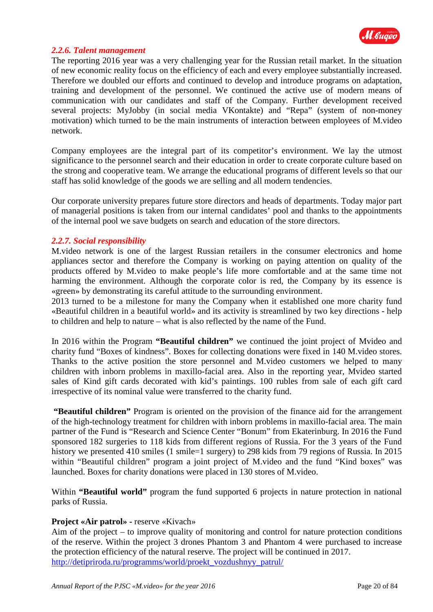

#### *2.2.6. Talent management*

The reporting 2016 year was a very challenging year for the Russian retail market. In the situation of new economic reality focus on the efficiency of each and every employee substantially increased. Therefore we doubled our efforts and continued to develop and introduce programs on adaptation, training and development of the personnel. We continued the active use of modern means of communication with our candidates and staff of the Company. Further development received several projects: MyJobby (in social media VKontakte) and "Repa" (system of non-money motivation) which turned to be the main instruments of interaction between employees of M.video network.

Company employees are the integral part of its competitor's environment. We lay the utmost significance to the personnel search and their education in order to create corporate culture based on the strong and cooperative team. We arrange the educational programs of different levels so that our staff has solid knowledge of the goods we are selling and all modern tendencies.

Our corporate university prepares future store directors and heads of departments. Today major part of managerial positions is taken from our internal candidates' pool and thanks to the appointments of the internal pool we save budgets on search and education of the store directors.

#### *2.2.7. Social responsibility*

M.video network is one of the largest Russian retailers in the consumer electronics and home appliances sector and therefore the Company is working on paying attention on quality of the products offered by M.video to make people's life more comfortable and at the same time not harming the environment. Although the corporate color is red, the Company by its essence is «green» by demonstrating its careful attitude to the surrounding environment.

2013 turned to be a milestone for many the Company when it established one more charity fund «Beautiful children in a beautiful world» and its activity is streamlined by two key directions - help to children and help to nature – what is also reflected by the name of the Fund.

In 2016 within the Program **"Beautiful children"** we continued the joint project of Mvideo and charity fund "Boxes of kindness". Boxes for collecting donations were fixed in 140 M.video stores. Thanks to the active position the store personnel and M.video customers we helped to many children with inborn problems in maxillo-facial area. Also in the reporting year, Mvideo started sales of Kind gift cards decorated with kid's paintings. 100 rubles from sale of each gift card irrespective of its nominal value were transferred to the charity fund.

**"Beautiful children"** Program is oriented on the provision of the finance aid for the arrangement of the high-technology treatment for children with inborn problems in maxillo-facial area. The main partner of the Fund is "Research and Science Center "Bonum" from Ekaterinburg. In 2016 the Fund sponsored 182 surgeries to 118 kids from different regions of Russia. For the 3 years of the Fund history we presented 410 smiles (1 smile=1 surgery) to 298 kids from 79 regions of Russia. In 2015 within "Beautiful children" program a joint project of M.video and the fund "Kind boxes" was launched. Boxes for charity donations were placed in 130 stores of M.video.

Within **"Beautiful world"** program the fund supported 6 projects in nature protection in national parks of Russia.

#### **Project «Air patrol» -** reserve «Kivach»

Aim of the project – to improve quality of monitoring and control for nature protection conditions of the reserve. Within the project 3 drones Phantom 3 and Phantom 4 were purchased to increase the protection efficiency of the natural reserve. The project will be continued in 2017. [http://detipriroda.ru/programms/world/proekt\\_vozdushnyy\\_patrul/](http://detipriroda.ru/programms/world/proekt_vozdushnyy_patrul/)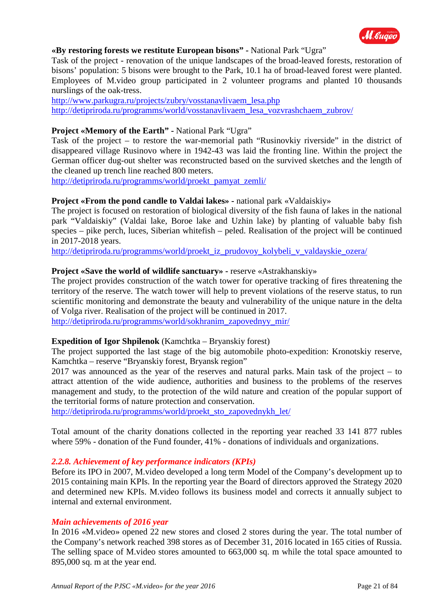

#### **«By restoring forests we restitute European bisons" -** National Park "Ugra"

Task of the project - renovation of the unique landscapes of the broad-leaved forests, restoration of bisons' population: 5 bisons were brought to the Park, 10.1 ha of broad-leaved forest were planted. Employees of M.video group participated in 2 volunteer programs and planted 10 thousands nurslings of the oak-tress.

[http://www.parkugra.ru/projects/zubry/vosstanavlivaem\\_lesa.php](http://www.parkugra.ru/projects/zubry/vosstanavlivaem_lesa.php) [http://detipriroda.ru/programms/world/vosstanavlivaem\\_lesa\\_vozvrashchaem\\_zubrov/](http://detipriroda.ru/programms/world/vosstanavlivaem_lesa_vozvrashchaem_zubrov/)

### **Project «Memory of the Earth" -** National Park "Ugra"

Task of the project – to restore the war-memorial path "Rusinovkiy riverside" in the district of disappeared village Rusinovo where in 1942-43 was laid the fronting line. Within the project the German officer dug-out shelter was reconstructed based on the survived sketches and the length of the cleaned up trench line reached 800 meters.

[http://detipriroda.ru/programms/world/proekt\\_pamyat\\_zemli/](http://detipriroda.ru/programms/world/proekt_pamyat_zemli/)

#### **Project «From the pond candle to Valdai lakes» -** national park «Valdaiskiy»

The project is focused on restoration of biological diversity of the fish fauna of lakes in the national park "Valdaiskiy" (Valdai lake, Boroe lake and Uzhin lake) by planting of valuable baby fish species – pike perch, luces, Siberian whitefish – peled. Realisation of the project will be continued in 2017-2018 years.

[http://detipriroda.ru/programms/world/proekt\\_iz\\_prudovoy\\_kolybeli\\_v\\_valdayskie\\_ozera/](http://detipriroda.ru/programms/world/proekt_iz_prudovoy_kolybeli_v_valdayskie_ozera/)

#### **Project «Save the world of wildlife sanctuary» -** reserve «Astrakhanskiy»

The project provides construction of the watch tower for operative tracking of fires threatening the territory of the reserve. The watch tower will help to prevent violations of the reserve status, to run scientific monitoring and demonstrate the beauty and vulnerability of the unique nature in the delta of Volga river. Realisation of the project will be continued in 2017.

[http://detipriroda.ru/programms/world/sokhranim\\_zapovednyy\\_mir/](http://detipriroda.ru/programms/world/sokhranim_zapovednyy_mir/)

#### **Expedition of Igor Shpilenok** (Kamchtka – Bryanskiy forest)

The project supported the last stage of the big automobile photo-expedition: Kronotskiy reserve, Kamchtka – reserve "Bryanskiy forest, Bryansk region"

2017 was announced as the year of the reserves and natural parks. Main task of the project – to attract attention of the wide audience, authorities and business to the problems of the reserves management and study, to the protection of the wild nature and creation of the popular support of the territorial forms of nature protection and conservation.

[http://detipriroda.ru/programms/world/proekt\\_sto\\_zapovednykh\\_let/](http://detipriroda.ru/programms/world/proekt_sto_zapovednykh_let/)

Total amount of the charity donations collected in the reporting year reached 33 141 877 rubles where 59% - donation of the Fund founder, 41% - donations of individuals and organizations.

#### *2.2.8. Achievement of key performance indicators (KPIs)*

Before its IPO in 2007, M.video developed a long term Model of the Company's development up to 2015 containing main KPIs. In the reporting year the Board of directors approved the Strategy 2020 and determined new KPIs. M.video follows its business model and corrects it annually subject to internal and external environment.

#### *Main achievements of 2016 year*

In 2016 «M.video» opened 22 new stores and closed 2 stores during the year. The total number of the Company's network reached 398 stores as of December 31, 2016 located in 165 cities of Russia. The selling space of M.video stores amounted to 663,000 sq. m while the total space amounted to 895,000 sq. m at the year end.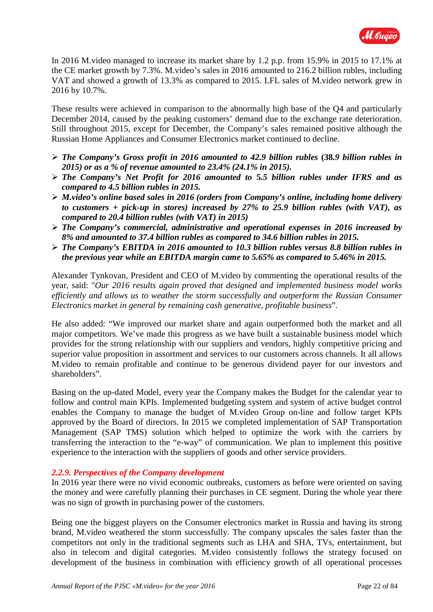

In 2016 M.video managed to increase its market share by 1.2 p.p. from 15.9% in 2015 to 17.1% at the CE market growth by 7.3%. M.video's sales in 2016 amounted to 216.2 billion rubles, including VAT and showed a growth of 13.3% as compared to 2015. LFL sales of M.video network grew in 2016 by 10.7%.

These results were achieved in comparison to the abnormally high base of the Q4 and particularly December 2014, caused by the peaking customers' demand due to the exchange rate deterioration. Still throughout 2015, except for December, the Company's sales remained positive although the Russian Home Appliances and Consumer Electronics market continued to decline.

- *The Company's Gross profit in 2016 amounted to 42.9 billion rubles* **(38***.9 billion rubles in 2015) or as a % of revenue amounted to 23.4% (24.1% in 2015).*
- *The Company's Net Profit for 2016 amounted to* **5***.5 billion rubles under IFRS and as compared to 4.5 billion rubles in 2015.*
- *M.video's online based sales in 2016 (orders from Company's online, including home delivery to customers + pick-up in stores) increased by 27% to 25.9 billion rubles (with VAT), as compared to 20.4 billion rubles (with VAT) in 2015)*
- *The Company's commercial, administrative and operational expenses in 2016 increased by 8% and amounted to 37.4 billion rubles as compared to 34.6 billion rubles in 2015.*
- *The Company's EBITDA in 2016 amounted to 10.3 billion rubles versus 8.8 billion rubles in the previous year while an EBITDA margin came to 5.65% as compared to 5.46% in 2015.*

Alexander Tynkovan, President and CEO of M.video by commenting the operational results of the year, said: "*Our 2016 results again proved that designed and implemented business model works efficiently and allows us to weather the storm successfully and outperform the Russian Consumer Electronics market in general by remaining cash generative, profitable business*".

He also added: "We improved our market share and again outperformed both the market and all major competitors. We've made this progress as we have built a sustainable business model which provides for the strong relationship with our suppliers and vendors, highly competitive pricing and superior value proposition in assortment and services to our customers across channels. It all allows M.video to remain profitable and continue to be generous dividend payer for our investors and shareholders".

Basing on the up-dated Model, every year the Company makes the Budget for the calendar year to follow and control main KPIs. Implemented budgeting system and system of active budget control enables the Company to manage the budget of M.video Group on-line and follow target KPIs approved by the Board of directors. In 2015 we completed implementation of SAP Transportation Management (SAP TMS) solution which helped to optimize the work with the carriers by transferring the interaction to the "e-way" of communication. We plan to implement this positive experience to the interaction with the suppliers of goods and other service providers.

#### *2.2.9. Perspectives of the Company development*

In 2016 year there were no vivid economic outbreaks, customers as before were oriented on saving the money and were carefully planning their purchases in CE segment. During the whole year there was no sign of growth in purchasing power of the customers.

Being one the biggest players on the Consumer electronics market in Russia and having its strong brand, M.video weathered the storm successfully. The company upscales the sales faster than the competitors not only in the traditional segments such as LHA and SHA, TVs, entertainment, but also in telecom and digital categories. M.video consistently follows the strategy focused on development of the business in combination with efficiency growth of all operational processes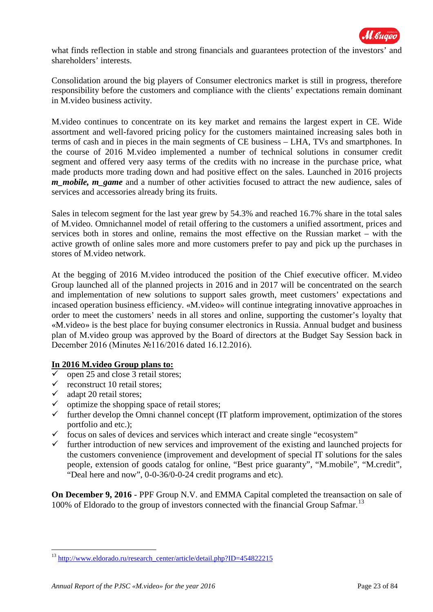

what finds reflection in stable and strong financials and guarantees protection of the investors' and shareholders' interests.

Consolidation around the big players of Consumer electronics market is still in progress, therefore responsibility before the customers and compliance with the clients' expectations remain dominant in M.video business activity.

M.video continues to concentrate on its key market and remains the largest expert in CE. Wide assortment and well-favored pricing policy for the customers maintained increasing sales both in terms of cash and in pieces in the main segments of CE business – LHA, TVs and smartphones. In the course of 2016 M.video implemented a number of technical solutions in consumer credit segment and offered very aasy terms of the credits with no increase in the purchase price, what made products more trading down and had positive effect on the sales. Launched in 2016 projects *m\_mobile, m\_game* and a number of other activities focused to attract the new audience, sales of services and accessories already bring its fruits.

Sales in telecom segment for the last year grew by 54.3% and reached 16.7% share in the total sales of M.video. Omnichannel model of retail offering to the customers a unified assortment, prices and services both in stores and online, remains the most effective on the Russian market – with the active growth of online sales more and more customers prefer to pay and pick up the purchases in stores of M.video network.

At the begging of 2016 M.video introduced the position of the Chief executive officer. M.video Group launched all of the planned projects in 2016 and in 2017 will be concentrated on the search and implementation of new solutions to support sales growth, meet customers' expectations and incased operation business efficiency. «M.video» will continue integrating innovative approaches in order to meet the customers' needs in all stores and online, supporting the customer's loyalty that «M.video» is the best place for buying consumer electronics in Russia. Annual budget and business plan of M.video group was approved by the Board of directors at the Budget Say Session back in December 2016 (Minutes №116/2016 dated 16.12.2016).

## **In 2016 M.video Group plans to:**

- $\checkmark$  open 25 and close 3 retail stores;
- $\checkmark$  reconstruct 10 retail stores;
- $\checkmark$  adapt 20 retail stores;<br> $\checkmark$  optimize the shopping

<u>.</u>

- optimize the shopping space of retail stores;
- $\checkmark$  further develop the Omni channel concept (IT platform improvement, optimization of the stores portfolio and etc.);
- $\checkmark$  focus on sales of devices and services which interact and create single "ecosystem"
- $\checkmark$  further introduction of new services and improvement of the existing and launched projects for the customers convenience (improvement and development of special IT solutions for the sales people, extension of goods catalog for online, "Best price guaranty", "M.mobile", "M.credit", "Deal here and now", 0-0-36/0-0-24 credit programs and etc).

**On December 9, 2016** - PPF Group N.V. and EMMA Capital completed the treansaction on sale of 100% of Eldorado to the group of investors connected with the financial Group Safmar.<sup>[13](#page-22-0)</sup>

<span id="page-22-0"></span><sup>&</sup>lt;sup>13</sup> [http://www.eldorado.ru/research\\_center/article/detail.php?ID=454822215](http://www.eldorado.ru/research_center/article/detail.php?ID=454822215)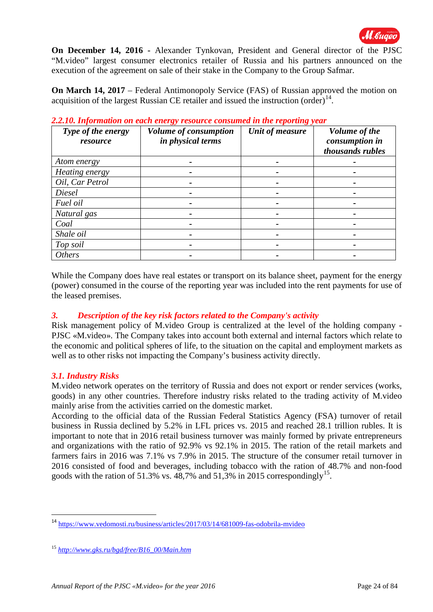

**On December 14, 2016 -** Alexander Tynkovan, President and General director of the PJSC "M.video" largest consumer electronics retailer of Russia and his partners announced on the execution of the agreement on sale of their stake in the Company to the Group Safmar.

**On March 14, 2017** – Federal Antimonopoly Service (FAS) of Russian approved the motion on acquisition of the largest Russian CE retailer and issued the instruction  $(\text{order})^{14}$ .

| Type of the energy<br>resource | Volume of consumption<br>in physical terms | Unit of measure | Volume of the<br>consumption in<br>thousands rubles |
|--------------------------------|--------------------------------------------|-----------------|-----------------------------------------------------|
| Atom energy                    |                                            |                 |                                                     |
| Heating energy                 |                                            |                 |                                                     |
| Oil, Car Petrol                |                                            |                 |                                                     |
| Diesel                         |                                            |                 |                                                     |
| Fuel oil                       |                                            |                 |                                                     |
| Natural gas                    |                                            |                 |                                                     |
| Coal                           |                                            |                 |                                                     |
| Shale oil                      |                                            |                 |                                                     |
| Top soil                       |                                            |                 |                                                     |
| <b>Others</b>                  |                                            |                 |                                                     |

*2.2.10. Information on each energy resource consumed in the reporting year*

While the Company does have real estates or transport on its balance sheet, payment for the energy (power) consumed in the course of the reporting year was included into the rent payments for use of the leased premises.

## *3. Description of the key risk factors related to the Company's activity*

Risk management policy of M.video Group is centralized at the level of the holding company - PJSC «M.video». The Company takes into account both external and internal factors which relate to the economic and political spheres of life, to the situation on the capital and employment markets as well as to other risks not impacting the Company's business activity directly.

#### *3.1. Industry Risks*

-

M.video network operates on the territory of Russia and does not export or render services (works, goods) in any other countries. Therefore industry risks related to the trading activity of M.video mainly arise from the activities carried on the domestic market.

According to the official data of the Russian Federal Statistics Agency (FSA) turnover of retail business in Russia declined by 5.2% in LFL prices vs. 2015 and reached 28.1 trillion rubles. It is important to note that in 2016 retail business turnover was mainly formed by private entrepreneurs and organizations with the ratio of 92.9% vs 92.1% in 2015. The ration of the retail markets and farmers fairs in 2016 was 7.1% vs 7.9% in 2015. The structure of the consumer retail turnover in 2016 consisted of food and beverages, including tobacco with the ration of 48.7% and non-food goods with the ration of 51.3% vs.  $48,7\%$  and 51,3% in 20[15](#page-23-1) correspondingly<sup>15</sup>.

<span id="page-23-0"></span><sup>&</sup>lt;sup>14</sup> <https://www.vedomosti.ru/business/articles/2017/03/14/681009-fas-odobrila-mvideo>

<span id="page-23-1"></span><sup>15</sup> *[http://www.gks.ru/bgd/free/B16\\_00/Main.htm](http://www.gks.ru/bgd/free/B16_00/Main.htm)*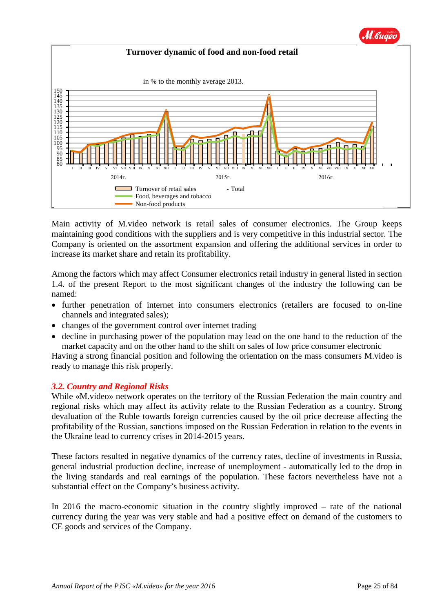

Main activity of M.video network is retail sales of consumer electronics. The Group keeps maintaining good conditions with the suppliers and is very competitive in this industrial sector. The Company is oriented on the assortment expansion and offering the additional services in order to increase its market share and retain its profitability.

Among the factors which may affect Consumer electronics retail industry in general listed in section 1.4. of the present Report to the most significant changes of the industry the following can be named:

- further penetration of internet into consumers electronics (retailers are focused to on-line channels and integrated sales);
- changes of the government control over internet trading
- decline in purchasing power of the population may lead on the one hand to the reduction of the market capacity and on the other hand to the shift on sales of low price consumer electronic

Having a strong financial position and following the orientation on the mass consumers M.video is ready to manage this risk properly.

## *3.2. Country and Regional Risks*

While «M.video» network operates on the territory of the Russian Federation the main country and regional risks which may affect its activity relate to the Russian Federation as a country. Strong devaluation of the Ruble towards foreign currencies caused by the oil price decrease affecting the profitability of the Russian, sanctions imposed on the Russian Federation in relation to the events in the Ukraine lead to currency crises in 2014-2015 years.

These factors resulted in negative dynamics of the currency rates, decline of investments in Russia, general industrial production decline, increase of unemployment - automatically led to the drop in the living standards and real earnings of the population. These factors nevertheless have not a substantial effect on the Company's business activity.

In 2016 the macro-economic situation in the country slightly improved – rate of the national currency during the year was very stable and had a positive effect on demand of the customers to CE goods and services of the Company.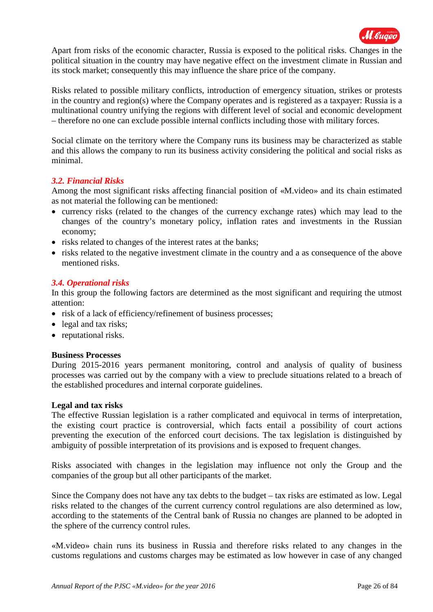

Apart from risks of the economic character, Russia is exposed to the political risks. Changes in the political situation in the country may have negative effect on the investment climate in Russian and its stock market; consequently this may influence the share price of the company.

Risks related to possible military conflicts, introduction of emergency situation, strikes or protests in the country and region(s) where the Company operates and is registered as a taxpayer: Russia is a multinational country unifying the regions with different level of social and economic development – therefore no one can exclude possible internal conflicts including those with military forces.

Social climate on the territory where the Company runs its business may be characterized as stable and this allows the company to run its business activity considering the political and social risks as minimal.

### *3.2. Financial Risks*

Among the most significant risks affecting financial position of «M.video» and its chain estimated as not material the following can be mentioned:

- currency risks (related to the changes of the currency exchange rates) which may lead to the changes of the country's monetary policy, inflation rates and investments in the Russian economy;
- risks related to changes of the interest rates at the banks;
- risks related to the negative investment climate in the country and a as consequence of the above mentioned risks.

#### *3.4. Operational risks*

In this group the following factors are determined as the most significant and requiring the utmost attention:

- risk of a lack of efficiency/refinement of business processes;
- legal and tax risks;
- reputational risks.

#### **Business Processes**

During 2015-2016 years permanent monitoring, control and analysis of quality of business processes was carried out by the company with a view to preclude situations related to a breach of the established procedures and internal corporate guidelines.

#### **Legal and tax risks**

The effective Russian legislation is a rather complicated and equivocal in terms of interpretation, the existing court practice is controversial, which facts entail a possibility of court actions preventing the execution of the enforced court decisions. The tax legislation is distinguished by ambiguity of possible interpretation of its provisions and is exposed to frequent changes.

Risks associated with changes in the legislation may influence not only the Group and the companies of the group but all other participants of the market.

Since the Company does not have any tax debts to the budget – tax risks are estimated as low. Legal risks related to the changes of the current currency control regulations are also determined as low, according to the statements of the Central bank of Russia no changes are planned to be adopted in the sphere of the currency control rules.

«M.video» chain runs its business in Russia and therefore risks related to any changes in the customs regulations and customs charges may be estimated as low however in case of any changed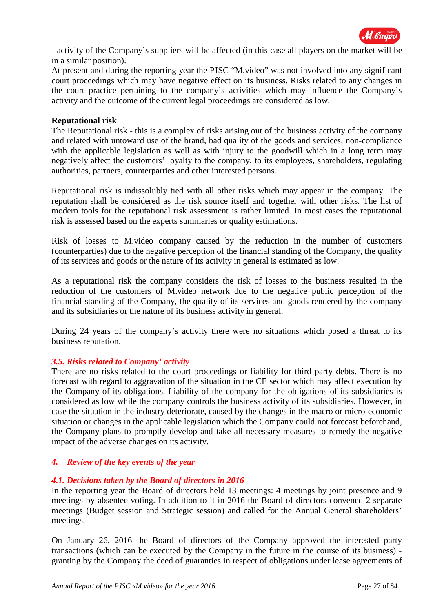

- activity of the Company's suppliers will be affected (in this case all players on the market will be in a similar position).

At present and during the reporting year the PJSC "M.video" was not involved into any significant court proceedings which may have negative effect on its business. Risks related to any changes in the court practice pertaining to the company's activities which may influence the Company's activity and the outcome of the current legal proceedings are considered as low.

#### **Reputational risk**

The Reputational risk - this is a complex of risks arising out of the business activity of the company and related with untoward use of the brand, bad quality of the goods and services, non-compliance with the applicable legislation as well as with injury to the goodwill which in a long term may negatively affect the customers' loyalty to the company, to its employees, shareholders, regulating authorities, partners, counterparties and other interested persons.

Reputational risk is indissolubly tied with all other risks which may appear in the company. The reputation shall be considered as the risk source itself and together with other risks. The list of modern tools for the reputational risk assessment is rather limited. In most cases the reputational risk is assessed based on the experts summaries or quality estimations.

Risk of losses to M.video company caused by the reduction in the number of customers (counterparties) due to the negative perception of the financial standing of the Company, the quality of its services and goods or the nature of its activity in general is estimated as low.

As a reputational risk the company considers the risk of losses to the business resulted in the reduction of the customers of M.video network due to the negative public perception of the financial standing of the Company, the quality of its services and goods rendered by the company and its subsidiaries or the nature of its business activity in general.

During 24 years of the company's activity there were no situations which posed a threat to its business reputation.

## *3.5. Risks related to Company' activity*

There are no risks related to the court proceedings or liability for third party debts. There is no forecast with regard to aggravation of the situation in the CE sector which may affect execution by the Company of its obligations. Liability of the company for the obligations of its subsidiaries is considered as low while the company controls the business activity of its subsidiaries. However, in case the situation in the industry deteriorate, caused by the changes in the macro or micro-economic situation or changes in the applicable legislation which the Company could not forecast beforehand, the Company plans to promptly develop and take all necessary measures to remedy the negative impact of the adverse changes on its activity.

#### *4. Review of the key events of the year*

#### *4.1. Decisions taken by the Board of directors in 2016*

In the reporting year the Board of directors held 13 meetings: 4 meetings by joint presence and 9 meetings by absentee voting. In addition to it in 2016 the Board of directors convened 2 separate meetings (Budget session and Strategic session) and called for the Annual General shareholders' meetings.

On January 26, 2016 the Board of directors of the Company approved the interested party transactions (which can be executed by the Company in the future in the course of its business) granting by the Company the deed of guaranties in respect of obligations under lease agreements of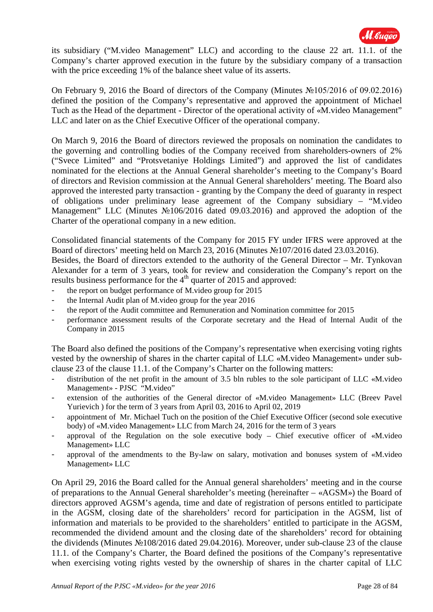

its subsidiary ("M.video Management" LLC) and according to the clause 22 art. 11.1. of the Company's charter approved execution in the future by the subsidiary company of a transaction with the price exceeding 1% of the balance sheet value of its asserts.

On February 9, 2016 the Board of directors of the Company (Minutes №105/2016 of 09.02.2016) defined the position of the Company's representative and approved the appointment of Michael Tuch as the Head of the department - Director of the operational activity of «M.video Management" LLC and later on as the Chief Executive Officer of the operational company.

On March 9, 2016 the Board of directors reviewed the proposals on nomination the candidates to the governing and controlling bodies of the Company received from shareholders-owners of 2% ("Svece Limited" and "Protsvetaniye Holdings Limited") and approved the list of candidates nominated for the elections at the Annual General shareholder's meeting to the Company's Board of directors and Revision commission at the Annual General shareholders' meeting. The Board also approved the interested party transaction - granting by the Company the deed of guaranty in respect of obligations under preliminary lease agreement of the Company subsidiary – "M.video Management" LLC (Minutes №106/2016 dated 09.03.2016) and approved the adoption of the Charter of the operational company in a new edition.

Consolidated financial statements of the Company for 2015 FY under IFRS were approved at the Board of directors' meeting held on March 23, 2016 (Minutes №107/2016 dated 23.03.2016).

Besides, the Board of directors extended to the authority of the General Director – Mr. Tynkovan Alexander for a term of 3 years, took for review and consideration the Company's report on the results business performance for the  $4<sup>th</sup>$  quarter of 2015 and approved:

- the report on budget performance of M.video group for 2015
- the Internal Audit plan of M.video group for the year 2016
- the report of the Audit committee and Remuneration and Nomination committee for 2015
- performance assessment results of the Corporate secretary and the Head of Internal Audit of the Company in 2015

The Board also defined the positions of the Company's representative when exercising voting rights vested by the ownership of shares in the charter capital of LLC «M.video Management» under subclause 23 of the clause 11.1. of the Company's Charter on the following matters:

- distribution of the net profit in the amount of 3.5 bln rubles to the sole participant of LLC «M.video Management» - PJSC "M.video"
- extension of the authorities of the General director of «M.video Management» LLC (Breev Pavel Yurievich ) for the term of 3 years from April 03, 2016 to April 02, 2019
- appointment of Mr. Michael Tuch on the position of the Chief Executive Officer (second sole executive body) of «M.video Management» LLC from March 24, 2016 for the term of 3 years
- approval of the Regulation on the sole executive body Chief executive officer of  $\ll M$ .video Management» LLC
- approval of the amendments to the By-law on salary, motivation and bonuses system of «M.video Management» LLC

On April 29, 2016 the Board called for the Annual general shareholders' meeting and in the course of preparations to the Annual General shareholder's meeting (hereinafter – «AGSM») the Board of directors approved AGSM's agenda, time and date of registration of persons entitled to participate in the AGSM, closing date of the shareholders' record for participation in the AGSM, list of information and materials to be provided to the shareholders' entitled to participate in the AGSM, recommended the dividend amount and the closing date of the shareholders' record for obtaining the dividends (Minutes №108/2016 dated 29.04.2016). Moreover, under sub-clause 23 of the clause 11.1. of the Company's Charter, the Board defined the positions of the Company's representative when exercising voting rights vested by the ownership of shares in the charter capital of LLC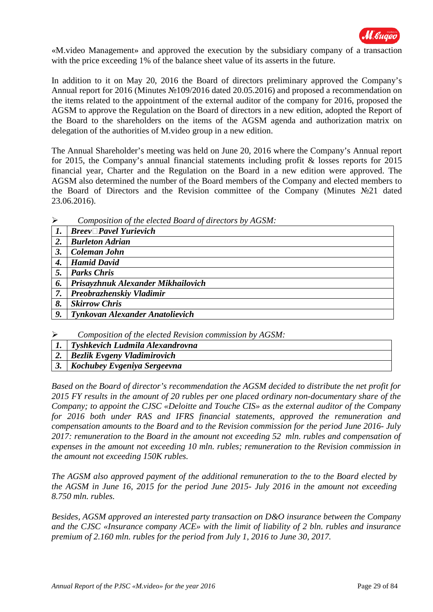

«M.video Management» and approved the execution by the subsidiary company of a transaction with the price exceeding 1% of the balance sheet value of its asserts in the future.

In addition to it on May 20, 2016 the Board of directors preliminary approved the Company's Annual report for 2016 (Minutes №109/2016 dated 20.05.2016) and proposed a recommendation on the items related to the appointment of the external auditor of the company for 2016, proposed the AGSM to approve the Regulation on the Board of directors in a new edition, adopted the Report of the Board to the shareholders on the items of the AGSM agenda and authorization matrix on delegation of the authorities of M.video group in a new edition.

The Annual Shareholder's meeting was held on June 20, 2016 where the Company's Annual report for 2015, the Company's annual financial statements including profit & losses reports for 2015 financial year, Charter and the Regulation on the Board in a new edition were approved. The AGSM also determined the number of the Board members of the Company and elected members to the Board of Directors and the Revision committee of the Company (Minutes №21 dated 23.06.2016).

|    | $\vert$ Breev $\Box$ Pavel Yurievich |
|----|--------------------------------------|
| 2. | <b>Burleton Adrian</b>               |
| 3. | Coleman John                         |
| 4. | <b>Hamid David</b>                   |
| 5. | <b>Parks Chris</b>                   |
| 6. | Prisayzhnuk Alexander Mikhailovich   |
| 7. | <b>Preobrazhenskiy Vladimir</b>      |
| 8. | <b>Skirrow Chris</b>                 |
| 9. | Tynkovan Alexander Anatolievich      |

*Composition of the elected Board of directors by AGSM:*

- *Composition of the elected Revision commission by AGSM:*
- *1. Tyshkevich Ludmila Alexandrovna*
- *2. Bezlik Evgeny Vladimirovich*
- *3. Kochubey Evgeniya Sergeevna*

*Based on the Board of director's recommendation the AGSM decided to distribute the net profit for 2015 FY results in the amount of 20 rubles per one placed ordinary non-documentary share of the Company; to appoint the CJSC «Deloitte and Touche CIS» as the external auditor of the Company for 2016 both under RAS and IFRS financial statements, approved the remuneration and compensation amounts to the Board and to the Revision commission for the period June 2016- July 2017: remuneration to the Board in the amount not exceeding 52 mln. rubles and compensation of expenses in the amount not exceeding 10 mln. rubles; remuneration to the Revision commission in the amount not exceeding 150K rubles.*

*The AGSM also approved payment of the additional remuneration to the to the Board elected by the AGSM in June 16, 2015 for the period June 2015- July 2016 in the amount not exceeding 8.750 mln. rubles.*

*Besides, AGSM approved an interested party transaction on D&O insurance between the Company and the CJSC «Insurance company ACE» with the limit of liability of 2 bln. rubles and insurance premium of 2.160 mln. rubles for the period from July 1, 2016 to June 30, 2017.*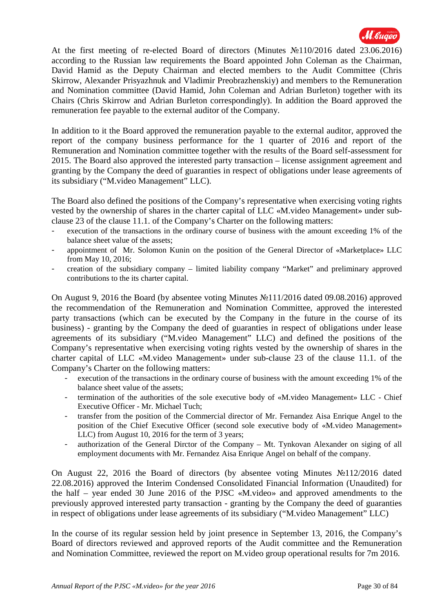

At the first meeting of re-elected Board of directors (Minutes №110/2016 dated 23.06.2016) according to the Russian law requirements the Board appointed John Coleman as the Chairman, David Hamid as the Deputy Chairman and elected members to the Audit Committee (Chris Skirrow, Alexander Prisyazhnuk and Vladimir Preobrazhenskiy) and members to the Remuneration and Nomination committee (David Hamid, John Coleman and Adrian Burleton) together with its Chairs (Chris Skirrow and Adrian Burleton correspondingly). In addition the Board approved the remuneration fee payable to the external auditor of the Company.

In addition to it the Board approved the remuneration payable to the external auditor, approved the report of the company business performance for the 1 quarter of 2016 and report of the Remuneration and Nomination committee together with the results of the Board self-assessment for 2015. The Board also approved the interested party transaction – license assignment agreement and granting by the Company the deed of guaranties in respect of obligations under lease agreements of its subsidiary ("M.video Management" LLC).

The Board also defined the positions of the Company's representative when exercising voting rights vested by the ownership of shares in the charter capital of LLC «M.video Management» under subclause 23 of the clause 11.1. of the Company's Charter on the following matters:

- execution of the transactions in the ordinary course of business with the amount exceeding 1% of the balance sheet value of the assets;
- appointment of Mr. Solomon Kunin on the position of the General Director of «Marketplace» LLC from May 10, 2016;
- creation of the subsidiary company limited liability company "Market" and preliminary approved contributions to the its charter capital.

On August 9, 2016 the Board (by absentee voting Minutes №111/2016 dated 09.08.2016) approved the recommendation of the Remuneration and Nomination Committee, approved the interested party transactions (which can be executed by the Company in the future in the course of its business) - granting by the Company the deed of guaranties in respect of obligations under lease agreements of its subsidiary ("M.video Management" LLC) and defined the positions of the Company's representative when exercising voting rights vested by the ownership of shares in the charter capital of LLC «M.video Management» under sub-clause 23 of the clause 11.1. of the Company's Charter on the following matters:

- execution of the transactions in the ordinary course of business with the amount exceeding 1% of the balance sheet value of the assets;
- termination of the authorities of the sole executive body of «M.video Management» LLC Chief Executive Officer - Mr. Michael Tuch;
- transfer from the position of the Commercial director of Mr. Fernandez Aisa Enrique Angel to the position of the Chief Executive Officer (second sole executive body of «M.video Management» LLC) from August 10, 2016 for the term of 3 years;
- authorization of the General Dirctor of the Company Mt. Tynkovan Alexander on siging of all employment documents with Mr. Fernandez Aisa Enrique Angel on behalf of the company.

On August 22, 2016 the Board of directors (by absentee voting Minutes №112/2016 dated 22.08.2016) approved the Interim Condensed Consolidated Financial Information (Unaudited) for the half – year ended 30 June 2016 of the PJSC «M.video» and approved amendments to the previously approved interested party transaction - granting by the Company the deed of guaranties in respect of obligations under lease agreements of its subsidiary ("M.video Management" LLC)

In the course of its regular session held by joint presence in September 13, 2016, the Company's Board of directors reviewed and approved reports of the Audit committee and the Remuneration and Nomination Committee, reviewed the report on M.video group operational results for 7m 2016.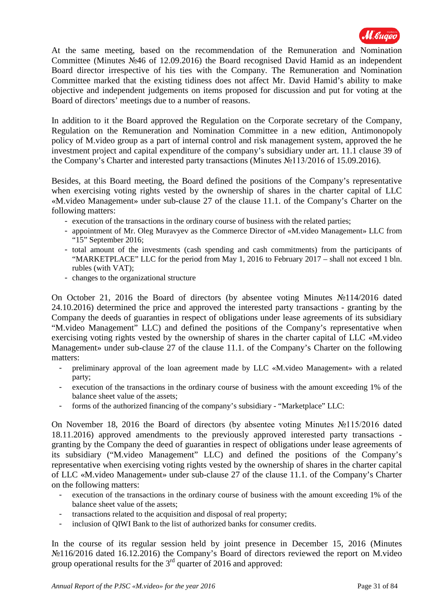

At the same meeting, based on the recommendation of the Remuneration and Nomination Committee (Minutes №46 of 12.09.2016) the Board recognised David Hamid as an independent Board director irrespective of his ties with the Company. The Remuneration and Nomination Committee marked that the existing tidiness does not affect Mr. David Hamid's ability to make objective and independent judgements on items proposed for discussion and put for voting at the Board of directors' meetings due to a number of reasons.

In addition to it the Board approved the Regulation on the Corporate secretary of the Company, Regulation on the Remuneration and Nomination Committee in a new edition, Antimonopoly policy of M.video group as a part of internal control and risk management system, approved the he investment project and capital expenditure of the company's subsidiary under art. 11.1 clause 39 of the Company's Charter and interested party transactions (Minutes №113/2016 of 15.09.2016).

Besides, at this Board meeting, the Board defined the positions of the Company's representative when exercising voting rights vested by the ownership of shares in the charter capital of LLC «M.video Management» under sub-clause 27 of the clause 11.1. of the Company's Charter on the following matters:

- execution of the transactions in the ordinary course of business with the related parties;
- appointment of Mr. Oleg Muravyev as the Commerce Director of «M.video Management» LLC from "15" September 2016;
- total amount of the investments (cash spending and cash commitments) from the participants of "MARKETPLACE" LLC for the period from May 1, 2016 to February 2017 – shall not exceed 1 bln. rubles (with VAT);
- changes to the organizational structure

On October 21, 2016 the Board of directors (by absentee voting Minutes №114/2016 dated 24.10.2016) determined the price and approved the interested party transactions - granting by the Company the deeds of guaranties in respect of obligations under lease agreements of its subsidiary "M.video Management" LLC) and defined the positions of the Company's representative when exercising voting rights vested by the ownership of shares in the charter capital of LLC «M.video Management» under sub-clause 27 of the clause 11.1. of the Company's Charter on the following matters:

- preliminary approval of the loan agreement made by LLC «M.video Management» with a related party;
- execution of the transactions in the ordinary course of business with the amount exceeding 1% of the balance sheet value of the assets;
- forms of the authorized financing of the company's subsidiary "Marketplace" LLC:

On November 18, 2016 the Board of directors (by absentee voting Minutes №115/2016 dated 18.11.2016) approved amendments to the previously approved interested party transactions granting by the Company the deed of guaranties in respect of obligations under lease agreements of its subsidiary ("M.video Management" LLC) and defined the positions of the Company's representative when exercising voting rights vested by the ownership of shares in the charter capital of LLC «M.video Management» under sub-clause 27 of the clause 11.1. of the Company's Charter on the following matters:

- execution of the transactions in the ordinary course of business with the amount exceeding 1% of the balance sheet value of the assets;
- transactions related to the acquisition and disposal of real property;
- inclusion of OIWI Bank to the list of authorized banks for consumer credits.

In the course of its regular session held by joint presence in December 15, 2016 (Minutes №116/2016 dated 16.12.2016) the Company's Board of directors reviewed the report on M.video group operational results for the  $3<sup>rd</sup>$  quarter of 2016 and approved: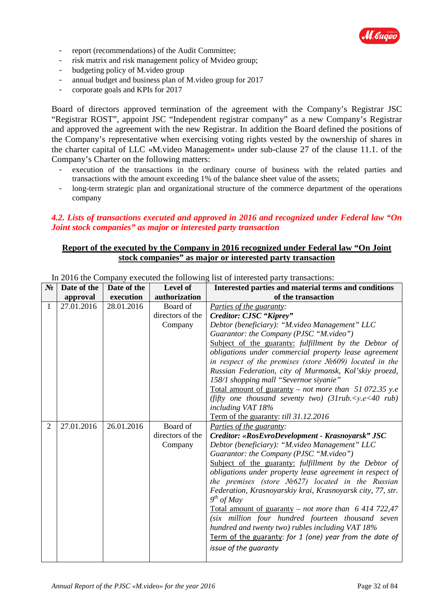

- report (recommendations) of the Audit Committee;
- risk matrix and risk management policy of Mvideo group;
- budgeting policy of M.video group
- annual budget and business plan of M.video group for 2017
- corporate goals and KPIs for 2017

Board of directors approved termination of the agreement with the Company's Registrar JSC "Registrar ROST", appoint JSC "Independent registrar company" as a new Company's Registrar and approved the agreement with the new Registrar. In addition the Board defined the positions of the Company's representative when exercising voting rights vested by the ownership of shares in the charter capital of LLC «M.video Management» under sub-clause 27 of the clause 11.1. of the Company's Charter on the following matters:

- execution of the transactions in the ordinary course of business with the related parties and transactions with the amount exceeding 1% of the balance sheet value of the assets;
- long-term strategic plan and organizational structure of the commerce department of the operations company

### *4.2. Lists of transactions executed and approved in 2016 and recognized under Federal law "On Joint stock companies" as major or interested party transaction*

#### **Report of the executed by the Company in 2016 recognized under Federal law "On Joint stock companies" as major or interested party transaction**

| $N_2$          | Date of the | Date of the | Level of         | Interested parties and material terms and conditions                        |
|----------------|-------------|-------------|------------------|-----------------------------------------------------------------------------|
|                | approval    | execution   | authorization    | of the transaction                                                          |
| $\mathbf{1}$   | 27.01.2016  | 28.01.2016  | Board of         | Parties of the guaranty:                                                    |
|                |             |             | directors of the | Creditor: CJSC "Kiprey"                                                     |
|                |             |             | Company          | Debtor (beneficiary): "M.video Management" LLC                              |
|                |             |             |                  | Guarantor: the Company (PJSC "M.video")                                     |
|                |             |             |                  | Subject of the guaranty: fulfillment by the Debtor of                       |
|                |             |             |                  | obligations under commercial property lease agreement                       |
|                |             |             |                  | in respect of the premises (store $N2609$ ) located in the                  |
|                |             |             |                  | Russian Federation, city of Murmansk, Kol'skiy proezd,                      |
|                |             |             |                  | 158/1 shopping mall "Severnoe siyanie"                                      |
|                |             |             |                  | Total amount of guaranty – not more than 51 072.35 y.e                      |
|                |             |             |                  | (fifty one thousand seventy two) $(31 \text{ rub.} < y.e < 40 \text{ rub})$ |
|                |             |             |                  | including VAT 18%                                                           |
|                |             |             |                  | Term of the guaranty: till 31.12.2016                                       |
| $\overline{2}$ | 27.01.2016  | 26.01.2016  | Board of         | Parties of the guaranty:                                                    |
|                |             |             | directors of the | Creditor: «RosEvroDevelopment - Krasnoyarsk" JSC                            |
|                |             |             | Company          | Debtor (beneficiary): "M.video Management" LLC                              |
|                |             |             |                  | Guarantor: the Company (PJSC "M.video")                                     |
|                |             |             |                  | Subject of the guaranty: fulfillment by the Debtor of                       |
|                |             |             |                  | obligations under property lease agreement in respect of                    |
|                |             |             |                  | the premises (store $N2627$ ) located in the Russian                        |
|                |             |             |                  | Federation, Krasnoyarskiy krai, Krasnoyarsk city, 77, str.                  |
|                |             |             |                  | $9^{th}$ of May                                                             |
|                |             |             |                  | <u>Total amount of guaranty</u> – <i>not more than</i> 6 414 722,47         |
|                |             |             |                  | (six million four hundred fourteen thousand seven                           |
|                |             |             |                  | hundred and twenty two) rubles including VAT 18%                            |
|                |             |             |                  | Term of the guaranty: for 1 (one) year from the date of                     |
|                |             |             |                  | issue of the quaranty                                                       |
|                |             |             |                  |                                                                             |

In 2016 the Company executed the following list of interested party transactions: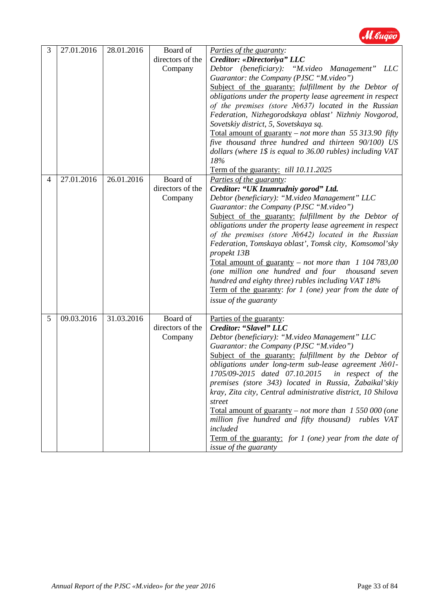

| 3 | 27.01.2016 | 28.01.2016 | Board of         | Parties of the guaranty:                                                                                        |
|---|------------|------------|------------------|-----------------------------------------------------------------------------------------------------------------|
|   |            |            | directors of the | Creditor: «Directoriya" LLC                                                                                     |
|   |            |            | Company          | Debtor (beneficiary): "M.video Management" LLC                                                                  |
|   |            |            |                  | Guarantor: the Company (PJSC "M.video")                                                                         |
|   |            |            |                  | Subject of the guaranty: fulfillment by the Debtor of                                                           |
|   |            |            |                  | obligations under the property lease agreement in respect                                                       |
|   |            |            |                  | of the premises (store $N2637$ ) located in the Russian                                                         |
|   |            |            |                  | Federation, Nizhegorodskaya oblast' Nizhniy Novgorod,                                                           |
|   |            |            |                  | Sovetskiy district, 5, Sovetskaya sq.                                                                           |
|   |            |            |                  | Total amount of guaranty – not more than 55 313.90 fifty<br>five thousand three hundred and thirteen 90/100) US |
|   |            |            |                  | dollars (where $1\$ is equal to 36.00 rubles) including VAT                                                     |
|   |            |            |                  | 18%                                                                                                             |
|   | 27.01.2016 | 26.01.2016 | Board of         | Term of the guaranty: <i>till 10.11.2025</i>                                                                    |
| 4 |            |            | directors of the | Parties of the guaranty:<br>Creditor: "UK Izumrudniy gorod" Ltd.                                                |
|   |            |            | Company          | Debtor (beneficiary): "M.video Management" LLC                                                                  |
|   |            |            |                  | Guarantor: the Company (PJSC "M.video")                                                                         |
|   |            |            |                  | Subject of the guaranty: fulfillment by the Debtor of                                                           |
|   |            |            |                  | obligations under the property lease agreement in respect                                                       |
|   |            |            |                  | of the premises (store $N_2$ 642) located in the Russian                                                        |
|   |            |            |                  | Federation, Tomskaya oblast', Tomsk city, Komsomol'sky                                                          |
|   |            |            |                  | propekt 13B                                                                                                     |
|   |            |            |                  | Total amount of guaranty – not more than $1\,104\,783,00$                                                       |
|   |            |            |                  | (one million one hundred and four<br>thousand seven                                                             |
|   |            |            |                  | hundred and eighty three) rubles including VAT 18%                                                              |
|   |            |            |                  | Term of the guaranty: for $1$ (one) year from the date of                                                       |
|   |            |            |                  | <i>issue of the guaranty</i>                                                                                    |
| 5 | 09.03.2016 | 31.03.2016 | Board of         | Parties of the guaranty:                                                                                        |
|   |            |            | directors of the | Creditor: "Slavel" LLC                                                                                          |
|   |            |            | Company          | Debtor (beneficiary): "M.video Management" LLC                                                                  |
|   |            |            |                  | Guarantor: the Company (PJSC "M.video")                                                                         |
|   |            |            |                  | Subject of the guaranty: fulfillment by the Debtor of                                                           |
|   |            |            |                  | obligations under long-term sub-lease agreement No01-                                                           |
|   |            |            |                  | 1705/09-2015 dated 07.10.2015 in respect of the                                                                 |
|   |            |            |                  | premises (store 343) located in Russia, Zabaikal'skiy                                                           |
|   |            |            |                  | kray, Zita city, Central administrative district, 10 Shilova<br>street                                          |
|   |            |            |                  | Total amount of guaranty – not more than $1 550 000$ (one                                                       |
|   |            |            |                  | million five hundred and fifty thousand)<br>rubles VAT                                                          |
|   |            |            |                  | included                                                                                                        |
|   |            |            |                  | Term of the guaranty: for 1 (one) year from the date of                                                         |
|   |            |            |                  | issue of the guaranty                                                                                           |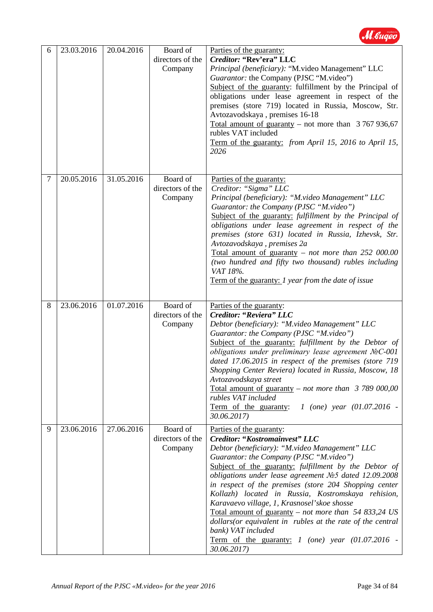

| 6 | 23.03.2016 | 20.04.2016 | Board of<br>directors of the<br>Company | Parties of the guaranty:<br>Creditor: "Rev'era" LLC<br>Principal (beneficiary): "M.video Management" LLC<br>Guarantor: the Company (PJSC "M.video")<br>Subject of the guaranty: fulfillment by the Principal of<br>obligations under lease agreement in respect of the<br>premises (store 719) located in Russia, Moscow, Str.<br>Avtozavodskaya, premises 16-18<br>Total amount of guaranty – not more than $3767936,67$<br>rubles VAT included<br>Term of the guaranty: from April 15, 2016 to April 15,<br>2026                                                                                                                                                 |
|---|------------|------------|-----------------------------------------|--------------------------------------------------------------------------------------------------------------------------------------------------------------------------------------------------------------------------------------------------------------------------------------------------------------------------------------------------------------------------------------------------------------------------------------------------------------------------------------------------------------------------------------------------------------------------------------------------------------------------------------------------------------------|
| 7 | 20.05.2016 | 31.05.2016 | Board of<br>directors of the<br>Company | Parties of the guaranty:<br>Creditor: "Sigma" LLC<br>Principal (beneficiary): "M.video Management" LLC<br>Guarantor: the Company (PJSC "M.video")<br>Subject of the guaranty: fulfillment by the Principal of<br>obligations under lease agreement in respect of the<br>premises (store 631) located in Russia, Izhevsk, Str.<br>Avtozavodskaya, premises 2a<br>Total amount of guaranty - not more than 252 000.00<br>(two hundred and fifty two thousand) rubles including<br>VAT 18%.<br>Term of the guaranty: 1 year from the date of issue                                                                                                                    |
| 8 | 23.06.2016 | 01.07.2016 | Board of<br>directors of the<br>Company | Parties of the guaranty:<br>Creditor: "Reviera" LLC<br>Debtor (beneficiary): "M.video Management" LLC<br>Guarantor: the Company (PJSC "M.video")<br>Subject of the guaranty: fulfillment by the Debtor of<br>obligations under preliminary lease agreement NoC-001<br>dated 17.06.2015 in respect of the premises (store 719<br>Shopping Center Reviera) located in Russia, Moscow, 18<br>Avtozavodskaya street<br>Total amount of guaranty – not more than $\beta$ 789 000,00<br>rubles VAT included<br>Term of the guaranty:<br>1 (one) year $(01.07.2016 -$<br>30.06.2017)                                                                                      |
| 9 | 23.06.2016 | 27.06.2016 | Board of<br>directors of the<br>Company | Parties of the guaranty:<br><b>Creditor: "Kostromainvest" LLC</b><br>Debtor (beneficiary): "M.video Management" LLC<br>Guarantor: the Company (PJSC "M.video")<br>Subject of the guaranty: fulfillment by the Debtor of<br>obligations under lease agreement No5 dated 12.09.2008<br>in respect of the premises (store 204 Shopping center<br>Kollazh) located in Russia, Kostromskaya rehision,<br>Karavaevo village, 1, Krasnosel'skoe shosse<br>Total amount of guaranty – not more than 54 833,24 US<br>dollars (or equivalent in rubles at the rate of the central<br>bank) VAT included<br>Term of the guaranty: $1$ (one) year (01.07.2016 -<br>30.06.2017) |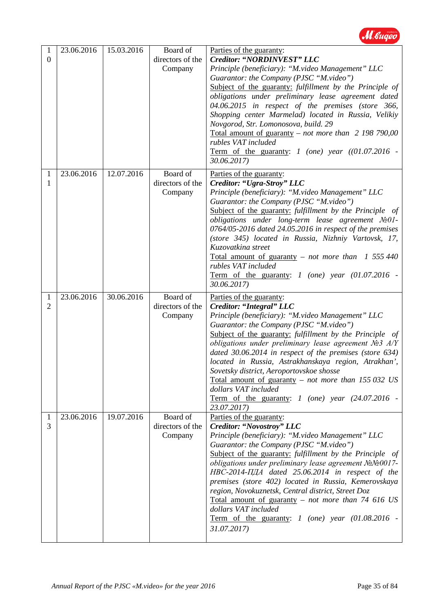

| 1<br>$\overline{0}$<br>1 | 23.06.2016<br>23.06.2016 | 15.03.2016<br>12.07.2016 | Board of<br>directors of the<br>Company<br>Board of | Parties of the guaranty:<br>Creditor: "NORDINVEST" LLC<br>Principle (beneficiary): "M.video Management" LLC<br>Guarantor: the Company (PJSC "M.video")<br>Subject of the guaranty: fulfillment by the Principle of<br>obligations under preliminary lease agreement dated<br>04.06.2015 in respect of the premises (store 366,<br>Shopping center Marmelad) located in Russia, Velikiy<br>Novgorod, Str. Lomonosova, build. 29<br>Total amount of guaranty – not more than $2\,198\,790,00$<br>rubles VAT included<br>Term of the guaranty: $1$ (one) year ((01.07.2016 -<br>30.06.2017)<br>Parties of the guaranty: |
|--------------------------|--------------------------|--------------------------|-----------------------------------------------------|----------------------------------------------------------------------------------------------------------------------------------------------------------------------------------------------------------------------------------------------------------------------------------------------------------------------------------------------------------------------------------------------------------------------------------------------------------------------------------------------------------------------------------------------------------------------------------------------------------------------|
| 1                        |                          |                          | directors of the<br>Company                         | Creditor: "Ugra-Stroy" LLC<br>Principle (beneficiary): "M.video Management" LLC<br>Guarantor: the Company (PJSC "M.video")<br>Subject of the guaranty: fulfillment by the Principle of<br>obligations under long-term lease agreement $N_2O1$ -<br>0764/05-2016 dated 24.05.2016 in respect of the premises<br>(store 345) located in Russia, Nizhniy Vartovsk, 17,<br>Kuzovatkina street<br><u>Total amount of guaranty</u> – not more than 1 555 440<br>rubles VAT included<br>Term of the guaranty: $1$ (one) year (01.07.2016 -<br>30.06.2017)                                                                   |
| 1<br>2                   | 23.06.2016               | 30.06.2016               | Board of<br>directors of the<br>Company             | Parties of the guaranty:<br>Creditor: "Integral" LLC<br>Principle (beneficiary): "M.video Management" LLC<br>Guarantor: the Company (PJSC "M.video")<br>Subject of the guaranty: fulfillment by the Principle of<br>obligations under preliminary lease agreement $N23$ A/Y<br>dated 30.06.2014 in respect of the premises (store 634)<br>located in Russia, Astrakhanskaya region, Atrakhan',<br>Sovetsky district, Aeroportovskoe shosse<br><u>Total amount of guaranty</u> – not more than $155 032$ US<br>dollars VAT included<br>Term of the guaranty: 1 (one) year $(24.07.2016 -$<br>23.07.2017)              |
| 1<br>3                   | 23.06.2016               | 19.07.2016               | Board of<br>directors of the<br>Company             | Parties of the guaranty:<br>Creditor: "Novostroy" LLC<br>Principle (beneficiary): "M.video Management" LLC<br>Guarantor: the Company (PJSC "M.video")<br>Subject of the guaranty: fulfillment by the Principle of<br>obligations under preliminary lease agreement NoNo 0017-<br>$HBC-2014-\Pi\BoxA dated 25.06.2014 in respect of the$<br>premises (store 402) located in Russia, Kemerovskaya<br>region, Novokuznetsk, Central district, Street Doz                                                                                                                                                                |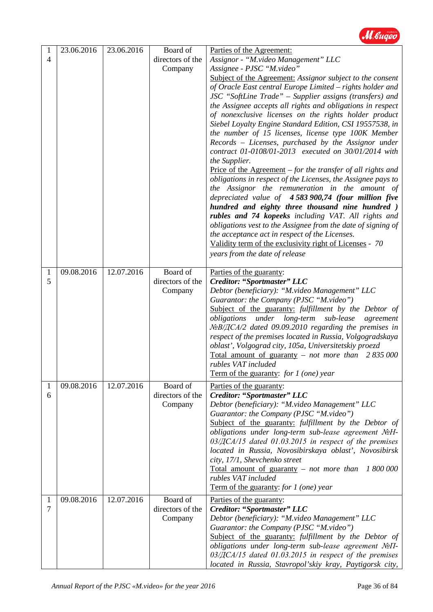

| Assignor - "M.video Management" LLC<br>directors of the<br>4<br>Assignee - PJSC "M.video"<br>Company<br>Subject of the Agreement: Assignor subject to the consent<br>of Oracle East central Europe Limited - rights holder and<br>JSC "SoftLine Trade" – Supplier assigns (transfers) and<br>the Assignee accepts all rights and obligations in respect<br>of nonexclusive licenses on the rights holder product<br>Siebel Loyalty Engine Standard Edition, CSI 19557538, in<br>the number of 15 licenses, license type 100K Member<br>Records - Licenses, purchased by the Assignor under<br>contract 01-0108/01-2013 executed on 30/01/2014 with<br>the Supplier.<br><u>Price of the Agreement</u> $-$ <i>for the transfer of all rights and</i><br>obligations in respect of the Licenses, the Assignee pays to<br>the Assignor the remuneration in the amount of<br>depreciated value of 4583 900,74 (four million five<br>hundred and eighty three thousand nine hundred)<br>rubles and 74 kopeeks including VAT. All rights and<br>obligations vest to the Assignee from the date of signing of<br>the acceptance act in respect of the Licenses.<br>Validity term of the exclusivity right of Licenses - 70<br>years from the date of release<br>09.08.2016<br>12.07.2016<br>Board of<br>Parties of the guaranty:<br>1<br>5<br>directors of the<br>Creditor: "Sportmaster" LLC<br>Debtor (beneficiary): "M.video Management" LLC<br>Company<br>Guarantor: the Company (PJSC "M.video")<br>Subject of the guaranty: fulfillment by the Debtor of<br>obligations under long-term sub-lease<br>agreement<br>$N_2B/ICA/2$ dated 09.09.2010 regarding the premises in<br>respect of the premises located in Russia, Volgogradskaya<br>oblast', Volgograd city, 105a, Universitetskiy proezd<br>Total amount of guaranty – not more than $2835000$<br>rubles VAT included<br><b>Term of the guaranty:</b> for 1 (one) year<br>09.08.2016<br>12.07.2016<br>Board of<br>Parties of the guaranty:<br>1<br>directors of the<br>Creditor: "Sportmaster" LLC<br>6<br>Debtor (beneficiary): "M.video Management" LLC<br>Company<br>Guarantor: the Company (PJSC "M.video")<br>Subject of the guaranty: fulfillment by the Debtor of<br>obligations under long-term sub-lease agreement NoH-<br>$03/\text{TCA}/15$ dated 01.03.2015 in respect of the premises<br>located in Russia, Novosibirskaya oblast', Novosibirsk<br>city, 17/1, Shevchenko street<br>Total amount of guaranty $-$ not more than<br>1 800 000<br>rubles VAT included | 1 | 23.06.2016 | 23.06.2016 | Board of | Parties of the Agreement:                                      |
|--------------------------------------------------------------------------------------------------------------------------------------------------------------------------------------------------------------------------------------------------------------------------------------------------------------------------------------------------------------------------------------------------------------------------------------------------------------------------------------------------------------------------------------------------------------------------------------------------------------------------------------------------------------------------------------------------------------------------------------------------------------------------------------------------------------------------------------------------------------------------------------------------------------------------------------------------------------------------------------------------------------------------------------------------------------------------------------------------------------------------------------------------------------------------------------------------------------------------------------------------------------------------------------------------------------------------------------------------------------------------------------------------------------------------------------------------------------------------------------------------------------------------------------------------------------------------------------------------------------------------------------------------------------------------------------------------------------------------------------------------------------------------------------------------------------------------------------------------------------------------------------------------------------------------------------------------------------------------------------------------------------------------------------------------------------------------------------------------------------------------------------------------------------------------------------------------------------------------------------------------------------------------------------------------------------------------------------------------------------------------------------------------------------------------------------------------------------------------------------------------------------------------------------|---|------------|------------|----------|----------------------------------------------------------------|
|                                                                                                                                                                                                                                                                                                                                                                                                                                                                                                                                                                                                                                                                                                                                                                                                                                                                                                                                                                                                                                                                                                                                                                                                                                                                                                                                                                                                                                                                                                                                                                                                                                                                                                                                                                                                                                                                                                                                                                                                                                                                                                                                                                                                                                                                                                                                                                                                                                                                                                                                      |   |            |            |          |                                                                |
|                                                                                                                                                                                                                                                                                                                                                                                                                                                                                                                                                                                                                                                                                                                                                                                                                                                                                                                                                                                                                                                                                                                                                                                                                                                                                                                                                                                                                                                                                                                                                                                                                                                                                                                                                                                                                                                                                                                                                                                                                                                                                                                                                                                                                                                                                                                                                                                                                                                                                                                                      |   |            |            |          |                                                                |
|                                                                                                                                                                                                                                                                                                                                                                                                                                                                                                                                                                                                                                                                                                                                                                                                                                                                                                                                                                                                                                                                                                                                                                                                                                                                                                                                                                                                                                                                                                                                                                                                                                                                                                                                                                                                                                                                                                                                                                                                                                                                                                                                                                                                                                                                                                                                                                                                                                                                                                                                      |   |            |            |          |                                                                |
|                                                                                                                                                                                                                                                                                                                                                                                                                                                                                                                                                                                                                                                                                                                                                                                                                                                                                                                                                                                                                                                                                                                                                                                                                                                                                                                                                                                                                                                                                                                                                                                                                                                                                                                                                                                                                                                                                                                                                                                                                                                                                                                                                                                                                                                                                                                                                                                                                                                                                                                                      |   |            |            |          |                                                                |
|                                                                                                                                                                                                                                                                                                                                                                                                                                                                                                                                                                                                                                                                                                                                                                                                                                                                                                                                                                                                                                                                                                                                                                                                                                                                                                                                                                                                                                                                                                                                                                                                                                                                                                                                                                                                                                                                                                                                                                                                                                                                                                                                                                                                                                                                                                                                                                                                                                                                                                                                      |   |            |            |          |                                                                |
|                                                                                                                                                                                                                                                                                                                                                                                                                                                                                                                                                                                                                                                                                                                                                                                                                                                                                                                                                                                                                                                                                                                                                                                                                                                                                                                                                                                                                                                                                                                                                                                                                                                                                                                                                                                                                                                                                                                                                                                                                                                                                                                                                                                                                                                                                                                                                                                                                                                                                                                                      |   |            |            |          |                                                                |
|                                                                                                                                                                                                                                                                                                                                                                                                                                                                                                                                                                                                                                                                                                                                                                                                                                                                                                                                                                                                                                                                                                                                                                                                                                                                                                                                                                                                                                                                                                                                                                                                                                                                                                                                                                                                                                                                                                                                                                                                                                                                                                                                                                                                                                                                                                                                                                                                                                                                                                                                      |   |            |            |          |                                                                |
|                                                                                                                                                                                                                                                                                                                                                                                                                                                                                                                                                                                                                                                                                                                                                                                                                                                                                                                                                                                                                                                                                                                                                                                                                                                                                                                                                                                                                                                                                                                                                                                                                                                                                                                                                                                                                                                                                                                                                                                                                                                                                                                                                                                                                                                                                                                                                                                                                                                                                                                                      |   |            |            |          |                                                                |
|                                                                                                                                                                                                                                                                                                                                                                                                                                                                                                                                                                                                                                                                                                                                                                                                                                                                                                                                                                                                                                                                                                                                                                                                                                                                                                                                                                                                                                                                                                                                                                                                                                                                                                                                                                                                                                                                                                                                                                                                                                                                                                                                                                                                                                                                                                                                                                                                                                                                                                                                      |   |            |            |          |                                                                |
|                                                                                                                                                                                                                                                                                                                                                                                                                                                                                                                                                                                                                                                                                                                                                                                                                                                                                                                                                                                                                                                                                                                                                                                                                                                                                                                                                                                                                                                                                                                                                                                                                                                                                                                                                                                                                                                                                                                                                                                                                                                                                                                                                                                                                                                                                                                                                                                                                                                                                                                                      |   |            |            |          |                                                                |
|                                                                                                                                                                                                                                                                                                                                                                                                                                                                                                                                                                                                                                                                                                                                                                                                                                                                                                                                                                                                                                                                                                                                                                                                                                                                                                                                                                                                                                                                                                                                                                                                                                                                                                                                                                                                                                                                                                                                                                                                                                                                                                                                                                                                                                                                                                                                                                                                                                                                                                                                      |   |            |            |          |                                                                |
|                                                                                                                                                                                                                                                                                                                                                                                                                                                                                                                                                                                                                                                                                                                                                                                                                                                                                                                                                                                                                                                                                                                                                                                                                                                                                                                                                                                                                                                                                                                                                                                                                                                                                                                                                                                                                                                                                                                                                                                                                                                                                                                                                                                                                                                                                                                                                                                                                                                                                                                                      |   |            |            |          |                                                                |
|                                                                                                                                                                                                                                                                                                                                                                                                                                                                                                                                                                                                                                                                                                                                                                                                                                                                                                                                                                                                                                                                                                                                                                                                                                                                                                                                                                                                                                                                                                                                                                                                                                                                                                                                                                                                                                                                                                                                                                                                                                                                                                                                                                                                                                                                                                                                                                                                                                                                                                                                      |   |            |            |          |                                                                |
|                                                                                                                                                                                                                                                                                                                                                                                                                                                                                                                                                                                                                                                                                                                                                                                                                                                                                                                                                                                                                                                                                                                                                                                                                                                                                                                                                                                                                                                                                                                                                                                                                                                                                                                                                                                                                                                                                                                                                                                                                                                                                                                                                                                                                                                                                                                                                                                                                                                                                                                                      |   |            |            |          |                                                                |
|                                                                                                                                                                                                                                                                                                                                                                                                                                                                                                                                                                                                                                                                                                                                                                                                                                                                                                                                                                                                                                                                                                                                                                                                                                                                                                                                                                                                                                                                                                                                                                                                                                                                                                                                                                                                                                                                                                                                                                                                                                                                                                                                                                                                                                                                                                                                                                                                                                                                                                                                      |   |            |            |          |                                                                |
|                                                                                                                                                                                                                                                                                                                                                                                                                                                                                                                                                                                                                                                                                                                                                                                                                                                                                                                                                                                                                                                                                                                                                                                                                                                                                                                                                                                                                                                                                                                                                                                                                                                                                                                                                                                                                                                                                                                                                                                                                                                                                                                                                                                                                                                                                                                                                                                                                                                                                                                                      |   |            |            |          |                                                                |
|                                                                                                                                                                                                                                                                                                                                                                                                                                                                                                                                                                                                                                                                                                                                                                                                                                                                                                                                                                                                                                                                                                                                                                                                                                                                                                                                                                                                                                                                                                                                                                                                                                                                                                                                                                                                                                                                                                                                                                                                                                                                                                                                                                                                                                                                                                                                                                                                                                                                                                                                      |   |            |            |          |                                                                |
|                                                                                                                                                                                                                                                                                                                                                                                                                                                                                                                                                                                                                                                                                                                                                                                                                                                                                                                                                                                                                                                                                                                                                                                                                                                                                                                                                                                                                                                                                                                                                                                                                                                                                                                                                                                                                                                                                                                                                                                                                                                                                                                                                                                                                                                                                                                                                                                                                                                                                                                                      |   |            |            |          |                                                                |
|                                                                                                                                                                                                                                                                                                                                                                                                                                                                                                                                                                                                                                                                                                                                                                                                                                                                                                                                                                                                                                                                                                                                                                                                                                                                                                                                                                                                                                                                                                                                                                                                                                                                                                                                                                                                                                                                                                                                                                                                                                                                                                                                                                                                                                                                                                                                                                                                                                                                                                                                      |   |            |            |          |                                                                |
|                                                                                                                                                                                                                                                                                                                                                                                                                                                                                                                                                                                                                                                                                                                                                                                                                                                                                                                                                                                                                                                                                                                                                                                                                                                                                                                                                                                                                                                                                                                                                                                                                                                                                                                                                                                                                                                                                                                                                                                                                                                                                                                                                                                                                                                                                                                                                                                                                                                                                                                                      |   |            |            |          |                                                                |
|                                                                                                                                                                                                                                                                                                                                                                                                                                                                                                                                                                                                                                                                                                                                                                                                                                                                                                                                                                                                                                                                                                                                                                                                                                                                                                                                                                                                                                                                                                                                                                                                                                                                                                                                                                                                                                                                                                                                                                                                                                                                                                                                                                                                                                                                                                                                                                                                                                                                                                                                      |   |            |            |          |                                                                |
|                                                                                                                                                                                                                                                                                                                                                                                                                                                                                                                                                                                                                                                                                                                                                                                                                                                                                                                                                                                                                                                                                                                                                                                                                                                                                                                                                                                                                                                                                                                                                                                                                                                                                                                                                                                                                                                                                                                                                                                                                                                                                                                                                                                                                                                                                                                                                                                                                                                                                                                                      |   |            |            |          |                                                                |
|                                                                                                                                                                                                                                                                                                                                                                                                                                                                                                                                                                                                                                                                                                                                                                                                                                                                                                                                                                                                                                                                                                                                                                                                                                                                                                                                                                                                                                                                                                                                                                                                                                                                                                                                                                                                                                                                                                                                                                                                                                                                                                                                                                                                                                                                                                                                                                                                                                                                                                                                      |   |            |            |          |                                                                |
|                                                                                                                                                                                                                                                                                                                                                                                                                                                                                                                                                                                                                                                                                                                                                                                                                                                                                                                                                                                                                                                                                                                                                                                                                                                                                                                                                                                                                                                                                                                                                                                                                                                                                                                                                                                                                                                                                                                                                                                                                                                                                                                                                                                                                                                                                                                                                                                                                                                                                                                                      |   |            |            |          |                                                                |
|                                                                                                                                                                                                                                                                                                                                                                                                                                                                                                                                                                                                                                                                                                                                                                                                                                                                                                                                                                                                                                                                                                                                                                                                                                                                                                                                                                                                                                                                                                                                                                                                                                                                                                                                                                                                                                                                                                                                                                                                                                                                                                                                                                                                                                                                                                                                                                                                                                                                                                                                      |   |            |            |          |                                                                |
|                                                                                                                                                                                                                                                                                                                                                                                                                                                                                                                                                                                                                                                                                                                                                                                                                                                                                                                                                                                                                                                                                                                                                                                                                                                                                                                                                                                                                                                                                                                                                                                                                                                                                                                                                                                                                                                                                                                                                                                                                                                                                                                                                                                                                                                                                                                                                                                                                                                                                                                                      |   |            |            |          |                                                                |
|                                                                                                                                                                                                                                                                                                                                                                                                                                                                                                                                                                                                                                                                                                                                                                                                                                                                                                                                                                                                                                                                                                                                                                                                                                                                                                                                                                                                                                                                                                                                                                                                                                                                                                                                                                                                                                                                                                                                                                                                                                                                                                                                                                                                                                                                                                                                                                                                                                                                                                                                      |   |            |            |          |                                                                |
|                                                                                                                                                                                                                                                                                                                                                                                                                                                                                                                                                                                                                                                                                                                                                                                                                                                                                                                                                                                                                                                                                                                                                                                                                                                                                                                                                                                                                                                                                                                                                                                                                                                                                                                                                                                                                                                                                                                                                                                                                                                                                                                                                                                                                                                                                                                                                                                                                                                                                                                                      |   |            |            |          |                                                                |
|                                                                                                                                                                                                                                                                                                                                                                                                                                                                                                                                                                                                                                                                                                                                                                                                                                                                                                                                                                                                                                                                                                                                                                                                                                                                                                                                                                                                                                                                                                                                                                                                                                                                                                                                                                                                                                                                                                                                                                                                                                                                                                                                                                                                                                                                                                                                                                                                                                                                                                                                      |   |            |            |          |                                                                |
|                                                                                                                                                                                                                                                                                                                                                                                                                                                                                                                                                                                                                                                                                                                                                                                                                                                                                                                                                                                                                                                                                                                                                                                                                                                                                                                                                                                                                                                                                                                                                                                                                                                                                                                                                                                                                                                                                                                                                                                                                                                                                                                                                                                                                                                                                                                                                                                                                                                                                                                                      |   |            |            |          |                                                                |
|                                                                                                                                                                                                                                                                                                                                                                                                                                                                                                                                                                                                                                                                                                                                                                                                                                                                                                                                                                                                                                                                                                                                                                                                                                                                                                                                                                                                                                                                                                                                                                                                                                                                                                                                                                                                                                                                                                                                                                                                                                                                                                                                                                                                                                                                                                                                                                                                                                                                                                                                      |   |            |            |          |                                                                |
|                                                                                                                                                                                                                                                                                                                                                                                                                                                                                                                                                                                                                                                                                                                                                                                                                                                                                                                                                                                                                                                                                                                                                                                                                                                                                                                                                                                                                                                                                                                                                                                                                                                                                                                                                                                                                                                                                                                                                                                                                                                                                                                                                                                                                                                                                                                                                                                                                                                                                                                                      |   |            |            |          |                                                                |
|                                                                                                                                                                                                                                                                                                                                                                                                                                                                                                                                                                                                                                                                                                                                                                                                                                                                                                                                                                                                                                                                                                                                                                                                                                                                                                                                                                                                                                                                                                                                                                                                                                                                                                                                                                                                                                                                                                                                                                                                                                                                                                                                                                                                                                                                                                                                                                                                                                                                                                                                      |   |            |            |          |                                                                |
|                                                                                                                                                                                                                                                                                                                                                                                                                                                                                                                                                                                                                                                                                                                                                                                                                                                                                                                                                                                                                                                                                                                                                                                                                                                                                                                                                                                                                                                                                                                                                                                                                                                                                                                                                                                                                                                                                                                                                                                                                                                                                                                                                                                                                                                                                                                                                                                                                                                                                                                                      |   |            |            |          |                                                                |
|                                                                                                                                                                                                                                                                                                                                                                                                                                                                                                                                                                                                                                                                                                                                                                                                                                                                                                                                                                                                                                                                                                                                                                                                                                                                                                                                                                                                                                                                                                                                                                                                                                                                                                                                                                                                                                                                                                                                                                                                                                                                                                                                                                                                                                                                                                                                                                                                                                                                                                                                      |   |            |            |          |                                                                |
|                                                                                                                                                                                                                                                                                                                                                                                                                                                                                                                                                                                                                                                                                                                                                                                                                                                                                                                                                                                                                                                                                                                                                                                                                                                                                                                                                                                                                                                                                                                                                                                                                                                                                                                                                                                                                                                                                                                                                                                                                                                                                                                                                                                                                                                                                                                                                                                                                                                                                                                                      |   |            |            |          |                                                                |
|                                                                                                                                                                                                                                                                                                                                                                                                                                                                                                                                                                                                                                                                                                                                                                                                                                                                                                                                                                                                                                                                                                                                                                                                                                                                                                                                                                                                                                                                                                                                                                                                                                                                                                                                                                                                                                                                                                                                                                                                                                                                                                                                                                                                                                                                                                                                                                                                                                                                                                                                      |   |            |            |          |                                                                |
|                                                                                                                                                                                                                                                                                                                                                                                                                                                                                                                                                                                                                                                                                                                                                                                                                                                                                                                                                                                                                                                                                                                                                                                                                                                                                                                                                                                                                                                                                                                                                                                                                                                                                                                                                                                                                                                                                                                                                                                                                                                                                                                                                                                                                                                                                                                                                                                                                                                                                                                                      |   |            |            |          |                                                                |
|                                                                                                                                                                                                                                                                                                                                                                                                                                                                                                                                                                                                                                                                                                                                                                                                                                                                                                                                                                                                                                                                                                                                                                                                                                                                                                                                                                                                                                                                                                                                                                                                                                                                                                                                                                                                                                                                                                                                                                                                                                                                                                                                                                                                                                                                                                                                                                                                                                                                                                                                      |   |            |            |          |                                                                |
|                                                                                                                                                                                                                                                                                                                                                                                                                                                                                                                                                                                                                                                                                                                                                                                                                                                                                                                                                                                                                                                                                                                                                                                                                                                                                                                                                                                                                                                                                                                                                                                                                                                                                                                                                                                                                                                                                                                                                                                                                                                                                                                                                                                                                                                                                                                                                                                                                                                                                                                                      |   |            |            |          |                                                                |
|                                                                                                                                                                                                                                                                                                                                                                                                                                                                                                                                                                                                                                                                                                                                                                                                                                                                                                                                                                                                                                                                                                                                                                                                                                                                                                                                                                                                                                                                                                                                                                                                                                                                                                                                                                                                                                                                                                                                                                                                                                                                                                                                                                                                                                                                                                                                                                                                                                                                                                                                      |   |            |            |          |                                                                |
|                                                                                                                                                                                                                                                                                                                                                                                                                                                                                                                                                                                                                                                                                                                                                                                                                                                                                                                                                                                                                                                                                                                                                                                                                                                                                                                                                                                                                                                                                                                                                                                                                                                                                                                                                                                                                                                                                                                                                                                                                                                                                                                                                                                                                                                                                                                                                                                                                                                                                                                                      |   |            |            |          |                                                                |
|                                                                                                                                                                                                                                                                                                                                                                                                                                                                                                                                                                                                                                                                                                                                                                                                                                                                                                                                                                                                                                                                                                                                                                                                                                                                                                                                                                                                                                                                                                                                                                                                                                                                                                                                                                                                                                                                                                                                                                                                                                                                                                                                                                                                                                                                                                                                                                                                                                                                                                                                      |   |            |            |          |                                                                |
|                                                                                                                                                                                                                                                                                                                                                                                                                                                                                                                                                                                                                                                                                                                                                                                                                                                                                                                                                                                                                                                                                                                                                                                                                                                                                                                                                                                                                                                                                                                                                                                                                                                                                                                                                                                                                                                                                                                                                                                                                                                                                                                                                                                                                                                                                                                                                                                                                                                                                                                                      |   |            |            |          |                                                                |
|                                                                                                                                                                                                                                                                                                                                                                                                                                                                                                                                                                                                                                                                                                                                                                                                                                                                                                                                                                                                                                                                                                                                                                                                                                                                                                                                                                                                                                                                                                                                                                                                                                                                                                                                                                                                                                                                                                                                                                                                                                                                                                                                                                                                                                                                                                                                                                                                                                                                                                                                      |   |            |            |          |                                                                |
| Term of the guaranty: for $1$ (one) year                                                                                                                                                                                                                                                                                                                                                                                                                                                                                                                                                                                                                                                                                                                                                                                                                                                                                                                                                                                                                                                                                                                                                                                                                                                                                                                                                                                                                                                                                                                                                                                                                                                                                                                                                                                                                                                                                                                                                                                                                                                                                                                                                                                                                                                                                                                                                                                                                                                                                             |   |            |            |          |                                                                |
| 12.07.2016<br>Board of<br>09.08.2016<br>Parties of the guaranty:<br>1                                                                                                                                                                                                                                                                                                                                                                                                                                                                                                                                                                                                                                                                                                                                                                                                                                                                                                                                                                                                                                                                                                                                                                                                                                                                                                                                                                                                                                                                                                                                                                                                                                                                                                                                                                                                                                                                                                                                                                                                                                                                                                                                                                                                                                                                                                                                                                                                                                                                |   |            |            |          |                                                                |
| Creditor: "Sportmaster" LLC<br>7<br>directors of the                                                                                                                                                                                                                                                                                                                                                                                                                                                                                                                                                                                                                                                                                                                                                                                                                                                                                                                                                                                                                                                                                                                                                                                                                                                                                                                                                                                                                                                                                                                                                                                                                                                                                                                                                                                                                                                                                                                                                                                                                                                                                                                                                                                                                                                                                                                                                                                                                                                                                 |   |            |            |          |                                                                |
| Debtor (beneficiary): "M.video Management" LLC<br>Company                                                                                                                                                                                                                                                                                                                                                                                                                                                                                                                                                                                                                                                                                                                                                                                                                                                                                                                                                                                                                                                                                                                                                                                                                                                                                                                                                                                                                                                                                                                                                                                                                                                                                                                                                                                                                                                                                                                                                                                                                                                                                                                                                                                                                                                                                                                                                                                                                                                                            |   |            |            |          |                                                                |
| Guarantor: the Company (PJSC "M.video")                                                                                                                                                                                                                                                                                                                                                                                                                                                                                                                                                                                                                                                                                                                                                                                                                                                                                                                                                                                                                                                                                                                                                                                                                                                                                                                                                                                                                                                                                                                                                                                                                                                                                                                                                                                                                                                                                                                                                                                                                                                                                                                                                                                                                                                                                                                                                                                                                                                                                              |   |            |            |          |                                                                |
| obligations under long-term sub-lease agreement NoII-                                                                                                                                                                                                                                                                                                                                                                                                                                                                                                                                                                                                                                                                                                                                                                                                                                                                                                                                                                                                                                                                                                                                                                                                                                                                                                                                                                                                                                                                                                                                                                                                                                                                                                                                                                                                                                                                                                                                                                                                                                                                                                                                                                                                                                                                                                                                                                                                                                                                                |   |            |            |          | Subject of the guaranty: fulfillment by the Debtor of          |
|                                                                                                                                                                                                                                                                                                                                                                                                                                                                                                                                                                                                                                                                                                                                                                                                                                                                                                                                                                                                                                                                                                                                                                                                                                                                                                                                                                                                                                                                                                                                                                                                                                                                                                                                                                                                                                                                                                                                                                                                                                                                                                                                                                                                                                                                                                                                                                                                                                                                                                                                      |   |            |            |          | $03/\text{TCA}/15$ dated 01.03.2015 in respect of the premises |
|                                                                                                                                                                                                                                                                                                                                                                                                                                                                                                                                                                                                                                                                                                                                                                                                                                                                                                                                                                                                                                                                                                                                                                                                                                                                                                                                                                                                                                                                                                                                                                                                                                                                                                                                                                                                                                                                                                                                                                                                                                                                                                                                                                                                                                                                                                                                                                                                                                                                                                                                      |   |            |            |          | located in Russia, Stavropol'skiy kray, Paytigorsk city,       |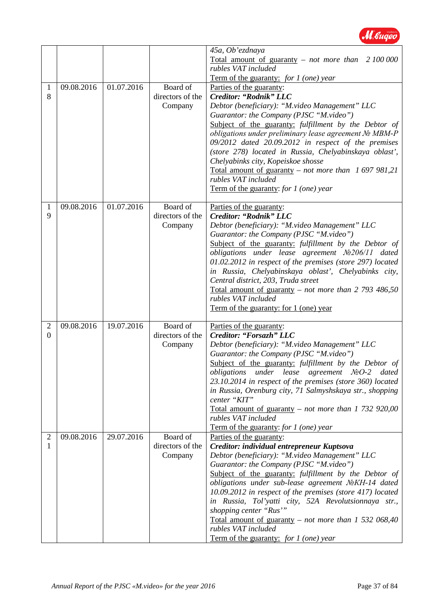

|                |            |            |                  | 45a, Ob'ezdnaya                                                                              |
|----------------|------------|------------|------------------|----------------------------------------------------------------------------------------------|
|                |            |            |                  | Total amount of guaranty – not more than $2\,100\,000$                                       |
|                |            |            |                  | rubles VAT included                                                                          |
|                |            |            |                  | <b>Term of the guaranty:</b> for 1 (one) year                                                |
| 1              | 09.08.2016 | 01.07.2016 | Board of         | Parties of the guaranty:                                                                     |
| 8              |            |            | directors of the | Creditor: "Rodnik" LLC                                                                       |
|                |            |            | Company          | Debtor (beneficiary): "M.video Management" LLC                                               |
|                |            |            |                  | Guarantor: the Company (PJSC "M.video")                                                      |
|                |            |            |                  | Subject of the guaranty: fulfillment by the Debtor of                                        |
|                |            |            |                  | obligations under preliminary lease agreement Nº MBM-P                                       |
|                |            |            |                  | 09/2012 dated 20.09.2012 in respect of the premises                                          |
|                |            |            |                  | (store 278) located in Russia, Chelyabinskaya oblast',<br>Chelyabinks city, Kopeiskoe shosse |
|                |            |            |                  | Total amount of guaranty – not more than $1697981,21$                                        |
|                |            |            |                  | rubles VAT included                                                                          |
|                |            |            |                  | Term of the guaranty: for $1$ (one) year                                                     |
|                |            |            |                  |                                                                                              |
| 1              | 09.08.2016 | 01.07.2016 | Board of         | Parties of the guaranty:                                                                     |
| 9              |            |            | directors of the | Creditor: "Rodnik" LLC                                                                       |
|                |            |            | Company          | Debtor (beneficiary): "M.video Management" LLC                                               |
|                |            |            |                  | Guarantor: the Company (PJSC "M.video")                                                      |
|                |            |            |                  | Subject of the guaranty: fulfillment by the Debtor of                                        |
|                |            |            |                  | obligations under lease agreement Nº206/11 dated                                             |
|                |            |            |                  | $01.02.2012$ in respect of the premises (store 297) located                                  |
|                |            |            |                  | in Russia, Chelyabinskaya oblast', Chelyabinks city,                                         |
|                |            |            |                  | Central district, 203, Truda street                                                          |
|                |            |            |                  | Total amount of guaranty – not more than 2 793 486,50<br>rubles VAT included                 |
|                |            |            |                  | Term of the guaranty: for 1 (one) year                                                       |
|                |            |            |                  |                                                                                              |
| $\overline{2}$ | 09.08.2016 | 19.07.2016 | Board of         | Parties of the guaranty:                                                                     |
| $\Omega$       |            |            | directors of the | Creditor: "Forsazh" LLC                                                                      |
|                |            |            | Company          | Debtor (beneficiary): "M.video Management" LLC                                               |
|                |            |            |                  | Guarantor: the Company (PJSC "M.video")                                                      |
|                |            |            |                  | Subject of the guaranty: fulfillment by the Debtor of                                        |
|                |            |            |                  | obligations under lease agreement NºO-2 dated                                                |
|                |            |            |                  | 23.10.2014 in respect of the premises (store 360) located                                    |
|                |            |            |                  | in Russia, Orenburg city, 71 Salmyshskaya str., shopping                                     |
|                |            |            |                  | center "KIT"<br>Total amount of guaranty – not more than 1 732 920,00                        |
|                |            |            |                  | rubles VAT included                                                                          |
|                |            |            |                  | Term of the guaranty: for 1 (one) year                                                       |
| $\overline{2}$ | 09.08.2016 | 29.07.2016 | Board of         | Parties of the guaranty:                                                                     |
| 1              |            |            | directors of the | Creditor: individual entrepreneur Kuptsova                                                   |
|                |            |            | Company          | Debtor (beneficiary): "M.video Management" LLC                                               |
|                |            |            |                  | Guarantor: the Company (PJSC "M.video")                                                      |
|                |            |            |                  | Subject of the guaranty: fulfillment by the Debtor of                                        |
|                |            |            |                  | obligations under sub-lease agreement NoKH-14 dated                                          |
|                |            |            |                  | 10.09.2012 in respect of the premises (store 417) located                                    |
|                |            |            |                  | in Russia, Tol'yatti city, 52A Revolutsionnaya str.,                                         |
|                |            |            |                  | shopping center "Rus"                                                                        |
|                |            |            |                  | Total amount of guaranty – not more than 1 532 068,40                                        |
|                |            |            |                  | rubles VAT included                                                                          |
|                |            |            |                  | Term of the guaranty: for 1 (one) year                                                       |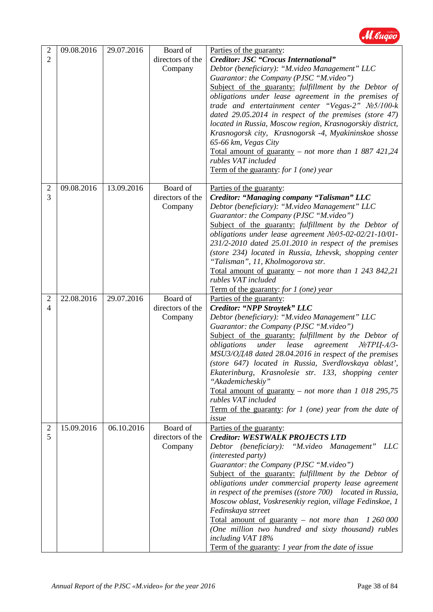

| $\overline{2}$<br>$\overline{2}$ | 09.08.2016 | 29.07.2016 | Board of<br>directors of the<br>Company | Parties of the guaranty:<br><b>Creditor: JSC "Crocus International"</b><br>Debtor (beneficiary): "M.video Management" LLC<br>Guarantor: the Company (PJSC "M.video")<br>Subject of the guaranty: fulfillment by the Debtor of<br>obligations under lease agreement in the premises of<br>trade and entertainment center "Vegas-2" $N\geq 5/100$ -k<br>dated $29.05.2014$ in respect of the premises (store 47)<br>located in Russia, Moscow region, Krasnogorskiy district,<br>Krasnogorsk city, Krasnogorsk -4, Myakininskoe shosse<br>65-66 km, Vegas City<br>Total amount of guaranty – not more than 1 887 421,24<br>rubles VAT included<br>Term of the guaranty: for 1 (one) year |
|----------------------------------|------------|------------|-----------------------------------------|----------------------------------------------------------------------------------------------------------------------------------------------------------------------------------------------------------------------------------------------------------------------------------------------------------------------------------------------------------------------------------------------------------------------------------------------------------------------------------------------------------------------------------------------------------------------------------------------------------------------------------------------------------------------------------------|
| 2<br>3                           | 09.08.2016 | 13.09.2016 | Board of<br>directors of the<br>Company | Parties of the guaranty:<br>Creditor: "Managing company "Talisman" LLC<br>Debtor (beneficiary): "M.video Management" LLC<br>Guarantor: the Company (PJSC "M.video")<br>Subject of the guaranty: fulfillment by the Debtor of<br>obligations under lease agreement Nº05-02-02/21-10/01-<br>231/2-2010 dated 25.01.2010 in respect of the premises<br>(store 234) located in Russia, Izhevsk, shopping center<br>"Talisman", 11, Kholmogorova str.<br>Total amount of guaranty – not more than $1\,243\,842,21$<br>rubles VAT included<br>Term of the guaranty: for $1$ (one) year                                                                                                       |
| $\overline{2}$<br>4              | 22.08.2016 | 29.07.2016 | Board of<br>directors of the<br>Company | Parties of the guaranty:<br>Creditor: "NPP Stroytek" LLC<br>Debtor (beneficiary): "M.video Management" LLC<br>Guarantor: the Company (PJSC "M.video")<br>Subject of the guaranty: fulfillment by the Debtor of<br>under<br>lease<br>agreement<br>obligations<br>$N$ <sup>o</sup> $T$ P $L$ [-A/3-<br>MSU3/ОДА8 dated 28.04.2016 in respect of the premises<br>(store 647) located in Russia, Sverdlovskaya oblast',<br>Ekaterinburg, Krasnolesie str. 133, shopping center<br>"Akademicheskiy"<br>Total amount of guaranty – not more than 1 018 295,75<br>rubles VAT included<br>Term of the guaranty: for $1$ (one) year from the date of<br>issue                                   |
| 2<br>5                           | 15.09.2016 | 06.10.2016 | Board of<br>directors of the<br>Company | Parties of the guaranty:<br><b>Creditor: WESTWALK PROJECTS LTD</b><br>Debtor (beneficiary): "M.video Management"<br>LLC<br>(interested party)<br>Guarantor: the Company (PJSC "M.video")<br>Subject of the guaranty: fulfillment by the Debtor of<br>obligations under commercial property lease agreement<br>in respect of the premises ((store 700) located in Russia,<br>Moscow oblast, Voskresenkiy region, village Fedinskoe, 1<br>Fedinskaya strreet<br><u>Total amount of guaranty</u> – not more than 1 260 000<br>(One million two hundred and sixty thousand) rubles<br>including VAT 18%<br>Term of the guaranty: 1 year from the date of issue                             |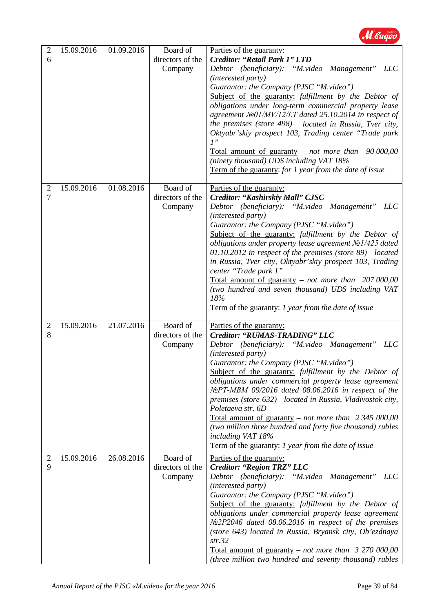

| $\overline{2}$<br>6 | 15.09.2016 | 01.09.2016 | Board of<br>directors of the<br>Company | Parties of the guaranty:<br><b>Creditor: "Retail Park 1" LTD</b><br>Debtor (beneficiary): "M.video Management" LLC<br>(interested party)<br>Guarantor: the Company (PJSC "M.video")<br>Subject of the guaranty: fulfillment by the Debtor of<br>obligations under long-term commercial property lease<br>agreement $N_2 = 01/MV/12/LT$ dated 25.10.2014 in respect of<br>the premises (store 498) located in Russia, Tver city,<br>Oktyabr'skiy prospect 103, Trading center "Trade park<br>1"<br>Total amount of guaranty – not more than $90\,000,00$<br>(ninety thousand) UDS including VAT 18%<br>Term of the guaranty: for 1 year from the date of issue |
|---------------------|------------|------------|-----------------------------------------|---------------------------------------------------------------------------------------------------------------------------------------------------------------------------------------------------------------------------------------------------------------------------------------------------------------------------------------------------------------------------------------------------------------------------------------------------------------------------------------------------------------------------------------------------------------------------------------------------------------------------------------------------------------|
| $\overline{2}$<br>7 | 15.09.2016 | 01.08.2016 | Board of<br>directors of the<br>Company | Parties of the guaranty:<br>Creditor: "Kashirskiy Mall" CJSC<br>Debtor (beneficiary): "M.video Management" LLC<br>(interested party)<br>Guarantor: the Company (PJSC "M.video")<br>Subject of the guaranty: fulfillment by the Debtor of<br>obligations under property lease agreement Nº1/425 dated<br>01.10.2012 in respect of the premises (store 89) located<br>in Russia, Tver city, Oktyabr'skiy prospect 103, Trading<br>center "Trade park 1"<br>Total amount of guaranty – not more than $207000,00$<br>(two hundred and seven thousand) UDS including VAT<br>18%<br>Term of the guaranty: 1 year from the date of issue                             |
| $\overline{2}$<br>8 | 15.09.2016 | 21.07.2016 | Board of<br>directors of the<br>Company | Parties of the guaranty:<br>Creditor: "RUMAS-TRADING" LLC<br>Debtor (beneficiary): "M.video Management"<br>LLC<br>(interested party)<br>Guarantor: the Company (PJSC "M.video")<br><b>Subject of the guaranty:</b> fulfillment by the Debtor of<br>obligations under commercial property lease agreement<br>NoPT-MBM 09/2016 dated 08.06.2016 in respect of the<br>premises (store 632) located in Russia, Vladivostok city,<br>Poletaeva str. 6D<br>Total amount of guaranty – not more than $2,345,000,00$<br>(two million three hundred and forty five thousand) rubles<br>including VAT 18%<br>Term of the guaranty: 1 year from the date of issue        |
| $\overline{2}$<br>9 | 15.09.2016 | 26.08.2016 | Board of<br>directors of the<br>Company | Parties of the guaranty:<br><b>Creditor: "Region TRZ" LLC</b><br>Debtor (beneficiary): "M.video Management"<br><i>LLC</i><br>(interested party)<br>Guarantor: the Company (PJSC "M.video")<br>Subject of the guaranty: fulfillment by the Debtor of<br>obligations under commercial property lease agreement<br>$\mathcal{N}2P2046$ dated 08.06.2016 in respect of the premises<br>(store 643) located in Russia, Bryansk city, Ob'ezdnaya<br>str.32<br><u>Total amount of guaranty – not more than 3 270 000,00</u><br>(three million two hundred and seventy thousand) rubles                                                                               |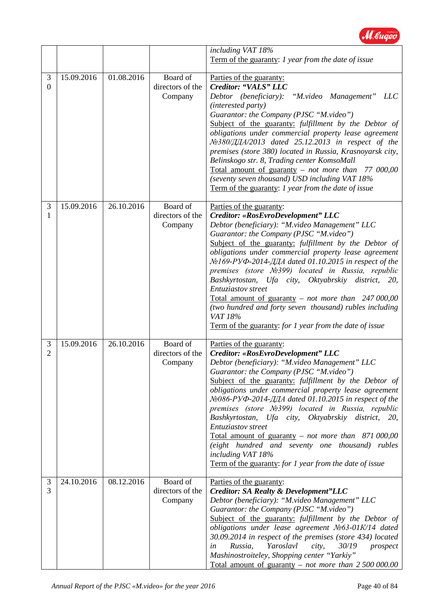

|                                  |            |            |                                         | including VAT 18%<br>Term of the guaranty: 1 year from the date of issue                                                                                                                                                                                                                                                                                                                                                                                                                                                                                                                                                                                                                                          |
|----------------------------------|------------|------------|-----------------------------------------|-------------------------------------------------------------------------------------------------------------------------------------------------------------------------------------------------------------------------------------------------------------------------------------------------------------------------------------------------------------------------------------------------------------------------------------------------------------------------------------------------------------------------------------------------------------------------------------------------------------------------------------------------------------------------------------------------------------------|
| 3<br>$\overline{0}$              | 15.09.2016 | 01.08.2016 | Board of<br>directors of the<br>Company | Parties of the guaranty:<br>Creditor: "VALS" LLC<br>Debtor (beneficiary):<br>"M.video Management"<br><i>LLC</i><br>(interested party)<br>Guarantor: the Company (PJSC "M.video")<br>Subject of the guaranty: fulfillment by the Debtor of<br>obligations under commercial property lease agreement<br>№380/ДДА/2013 dated 25.12.2013 in respect of the<br>premises (store 380) located in Russia, Krasnoyarsk city,<br>Belinskogo str. 8, Trading center KomsoMall<br>Total amount of guaranty $-$ <i>not more than</i><br>77 000,00<br>(seventy seven thousand) USD including VAT 18%<br>Term of the guaranty: 1 year from the date of issue                                                                     |
| $\mathfrak{Z}$<br>1              | 15.09.2016 | 26.10.2016 | Board of<br>directors of the<br>Company | Parties of the guaranty:<br>Creditor: «RosEvroDevelopment" LLC<br>Debtor (beneficiary): "M.video Management" LLC<br>Guarantor: the Company (PJSC "M.video")<br>Subject of the guaranty: fulfillment by the Debtor of<br>obligations under commercial property lease agreement<br>№169-РУФ-2014-ДДА dated 01.10.2015 in respect of the<br>premises (store Nº399) located in Russia, republic<br>Bashkyrtostan, Ufa city,<br>Oktyabrskiy district,<br><i>20,</i><br>Entuziastov street<br>Total amount of guaranty - not more than $247000,00$<br>(two hundred and forty seven thousand) rubles including<br>VAT 18%<br>Term of the guaranty: for 1 year from the date of issue                                     |
| $\mathfrak{Z}$<br>$\overline{2}$ | 15.09.2016 | 26.10.2016 | Board of<br>directors of the<br>Company | Parties of the guaranty:<br>Creditor: «RosEvroDevelopment" LLC<br>Debtor (beneficiary): "M.video Management" LLC<br>Guarantor: the Company (PJSC "M.video")<br>Subject of the guaranty: fulfillment by the Debtor of<br>obligations under commercial property lease agreement<br>$\mathcal{N}$ 2086-PV $\Phi$ -2014- $\mathcal{A}$ $\mathcal{A}$ dated 01.10.2015 in respect of the<br>premises (store Nº399) located in Russia, republic<br>Bashkyrtostan, Ufa city, Oktyabrskiy district, 20,<br>Entuziastov street<br>Total amount of guaranty – not more than $871,000,00$<br>(eight hundred and seventy one thousand) rubles<br>including VAT 18%<br>Term of the guaranty: for 1 year from the date of issue |
| 3<br>3                           | 24.10.2016 | 08.12.2016 | Board of<br>directors of the<br>Company | Parties of the guaranty:<br><b>Creditor: SA Realty &amp; Development"LLC</b><br>Debtor (beneficiary): "M.video Management" LLC<br>Guarantor: the Company (PJSC "M.video")<br>Subject of the guaranty: fulfillment by the Debtor of<br>obligations under lease agreement Nº63-01K/14 dated<br>30.09.2014 in respect of the premises (store 434) located<br>Yaroslavl<br>Russia,<br>30/19<br>city,<br>prospect<br>in<br>Mashinostroiteley, Shopping center "Yarkiy"<br>Total amount of guaranty – not more than $2,500,000,00$                                                                                                                                                                                      |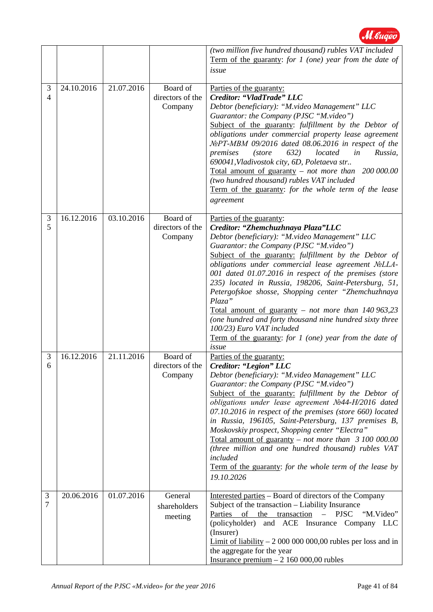

|                     |            |            |                                         | (two million five hundred thousand) rubles VAT included<br>Term of the guaranty: for $1$ (one) year from the date of<br>issue                                                                                                                                                                                                                                                                                                                                                                                                                                                                                                                                                            |
|---------------------|------------|------------|-----------------------------------------|------------------------------------------------------------------------------------------------------------------------------------------------------------------------------------------------------------------------------------------------------------------------------------------------------------------------------------------------------------------------------------------------------------------------------------------------------------------------------------------------------------------------------------------------------------------------------------------------------------------------------------------------------------------------------------------|
| 3<br>$\overline{4}$ | 24.10.2016 | 21.07.2016 | Board of<br>directors of the<br>Company | Parties of the guaranty:<br>Creditor: "VladTrade" LLC<br>Debtor (beneficiary): "M.video Management" LLC<br>Guarantor: the Company (PJSC "M.video")<br>Subject of the guaranty: fulfillment by the Debtor of<br>obligations under commercial property lease agreement<br>$\mathcal{N}$ <sup>o</sup> PT-MBM 09/2016 dated 08.06.2016 in respect of the<br>premises<br><i>(store)</i><br>632)<br>located<br>in<br>Russia,<br>690041, Vladivostok city, 6D, Poletaeva str<br>Total amount of guaranty – not more than $200 000.00$<br>(two hundred thousand) rubles VAT included<br>Term of the guaranty: for the whole term of the lease<br>agreement                                       |
| 3<br>5              | 16.12.2016 | 03.10.2016 | Board of<br>directors of the<br>Company | Parties of the guaranty:<br>Creditor: "Zhemchuzhnaya Plaza"LLC<br>Debtor (beneficiary): "M.video Management" LLC<br>Guarantor: the Company (PJSC "M.video")<br>Subject of the guaranty: fulfillment by the Debtor of<br>obligations under commercial lease agreement NoLLA-<br>001 dated 01.07.2016 in respect of the premises (store<br>235) located in Russia, 198206, Saint-Petersburg, 51,<br>Petergofskoe shosse, Shopping center "Zhemchuzhnaya<br>Plaza"<br>Total amount of guaranty – not more than $140\,963,23$<br>(one hundred and forty thousand nine hundred sixty three<br>100/23) Euro VAT included<br>Term of the guaranty: for $1$ (one) year from the date of<br>issue |
| 3<br>6              | 16.12.2016 | 21.11.2016 | Board of<br>directors of the<br>Company | Parties of the guaranty:<br>Creditor: "Legion" LLC<br>Debtor (beneficiary): "M.video Management" LLC<br>Guarantor: the Company (PJSC "M.video")<br>Subject of the guaranty: fulfillment by the Debtor of<br>obligations under lease agreement Nº44-H/2016 dated<br>07.10.2016 in respect of the premises (store 660) located<br>in Russia, 196105, Saint-Petersburg, 137 premises B,<br>Moskovskiy prospect, Shopping center "Electra"<br>Total amount of guaranty – not more than $\beta$ 100 000.00<br>(three million and one hundred thousand) rubles VAT<br>included<br>Term of the guaranty: for the whole term of the lease by<br>19.10.2026                                       |
| 3<br>7              | 20.06.2016 | 01.07.2016 | General<br>shareholders<br>meeting      | Interested parties – Board of directors of the Company<br>Subject of the transaction - Liability Insurance<br>Parties of the transaction<br><b>PJSC</b><br>"M.Video"<br>$\equiv$<br>(policyholder) and ACE Insurance Company LLC<br>(Insurer)<br>Limit of liability $-200000000000$ rubles per loss and in<br>the aggregate for the year<br>Insurance premium $-2$ 160 000,00 rubles                                                                                                                                                                                                                                                                                                     |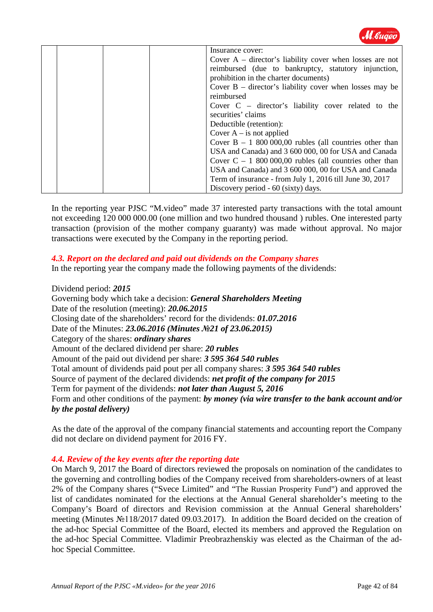

|  |  | Insurance cover:                                           |
|--|--|------------------------------------------------------------|
|  |  | Cover $A$ – director's liability cover when losses are not |
|  |  | reimbursed (due to bankruptcy, statutory injunction,       |
|  |  | prohibition in the charter documents)                      |
|  |  | Cover $B$ – director's liability cover when losses may be  |
|  |  | reimbursed                                                 |
|  |  | Cover $C -$ director's liability cover related to the      |
|  |  | securities' claims                                         |
|  |  | Deductible (retention):                                    |
|  |  | Cover $A - is$ not applied                                 |
|  |  | Cover $B - 1800000,00$ rubles (all countries other than    |
|  |  | USA and Canada) and 3 600 000, 00 for USA and Canada       |
|  |  | Cover $C - 1800000,00$ rubles (all countries other than    |
|  |  | USA and Canada) and 3 600 000, 00 for USA and Canada       |
|  |  | Term of insurance - from July 1, 2016 till June 30, 2017   |
|  |  | Discovery period - 60 (sixty) days.                        |

In the reporting year PJSC "M.video" made 37 interested party transactions with the total amount not exceeding 120 000 000.00 (one million and two hundred thousand ) rubles. One interested party transaction (provision of the mother company guaranty) was made without approval. No major transactions were executed by the Company in the reporting period.

### *4.3. Report on the declared and paid out dividends on the Company shares*

In the reporting year the company made the following payments of the dividends:

### Dividend period: *2015*

Governing body which take a decision: *General Shareholders Meeting* Date of the resolution (meeting): *20.06.2015* Closing date of the shareholders' record for the dividends: *01.07.2016* Date of the Minutes: *23.06.2016 (Minutes №21 of 23.06.2015)* Category of the shares: *ordinary shares* Amount of the declared dividend per share: *20 rubles* Amount of the paid out dividend per share: *3 595 364 540 rubles* Total amount of dividends paid pout per all company shares: *3 595 364 540 rubles* Source of payment of the declared dividends: *net profit of the company for 2015* Term for payment of the dividends: *not later than August 5, 2016* Form and other conditions of the payment: *by money (via wire transfer to the bank account and/or by the postal delivery)*

As the date of the approval of the company financial statements and accounting report the Company did not declare on dividend payment for 2016 FY.

### *4.4. Review of the key events after the reporting date*

On March 9, 2017 the Board of directors reviewed the proposals on nomination of the candidates to the governing and controlling bodies of the Company received from shareholders-owners of at least 2% of the Company shares ("Svece Limited" and "The Russian Prosperity Fund") and approved the list of candidates nominated for the elections at the Annual General shareholder's meeting to the Company's Board of directors and Revision commission at the Annual General shareholders' meeting (Minutes №118/2017 dated 09.03.2017). In addition the Board decided on the creation of the ad-hoc Special Committee of the Board, elected its members and approved the Regulation on the ad-hoc Special Committee. Vladimir Preobrazhenskiy was elected as the Chairman of the adhoc Special Committee.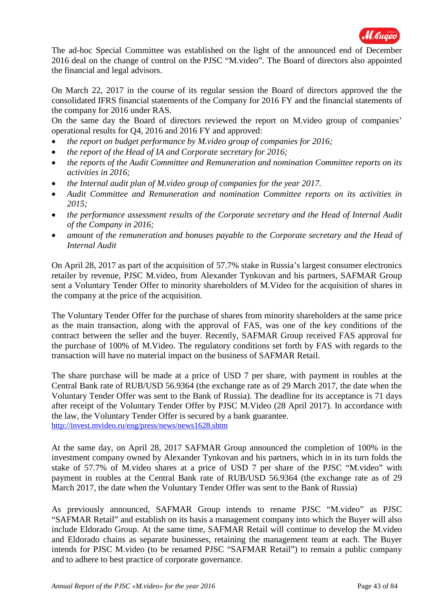

The ad-hoc Special Committee was established on the light of the announced end of December 2016 deal on the change of control on the PJSC "M.video". The Board of directors also appointed the financial and legal advisors.

On March 22, 2017 in the course of its regular session the Board of directors approved the the consolidated IFRS financial statements of the Company for 2016 FY and the financial statements of the company for 2016 under RAS.

On the same day the Board of directors reviewed the report on M.video group of companies' operational results for Q4, 2016 and 2016 FY and approved:

- *the report on budget performance by M.video group of companies for 2016;*
- *the report of the Head of IA and Corporate secretary for 2016;*
- *the reports of the Audit Committee and Remuneration and nomination Committee reports on its activities in 2016;*
- *the Internal audit plan of M.video group of companies for the year 2017.*
- *Audit Committee and Remuneration and nomination Committee reports on its activities in 2015;*
- *the performance assessment results of the Corporate secretary and the Head of Internal Audit of the Company in 2016;*
- *amount of the remuneration and bonuses payable to the Corporate secretary and the Head of Internal Audit*

On April 28, 2017 as part of the acquisition of 57.7% stake in Russia's largest consumer electronics retailer by revenue, PJSC M.video, from Alexander Tynkovan and his partners, SAFMAR Group sent a Voluntary Tender Offer to minority shareholders of M.Video for the acquisition of shares in the company at the price of the acquisition.

The Voluntary Tender Offer for the purchase of shares from minority shareholders at the same price as the main transaction, along with the approval of FAS, was one of the key conditions of the contract between the seller and the buyer. Recently, SAFMAR Group received FAS approval for the purchase of 100% of M.Video. The regulatory conditions set forth by FAS with regards to the transaction will have no material impact on the business of SAFMAR Retail.

The share purchase will be made at a price of USD 7 per share, with payment in roubles at the Central Bank rate of RUB/USD 56.9364 (the exchange rate as of 29 March 2017, the date when the Voluntary Tender Offer was sent to the Bank of Russia). The deadline for its acceptance is 71 days after receipt of the Voluntary Tender Offer by PJSC M.Video (28 April 2017). In accordance with the law, the Voluntary Tender Offer is secured by a bank guarantee. <http://invest.mvideo.ru/eng/press/news/news1628.shtm>

At the same day, on April 28, 2017 SAFMAR Group announced the completion of 100% in the investment company owned by Alexander Tynkovan and his partners, which in in its turn folds the stake of 57.7% of M.video shares at a price of USD 7 per share of the PJSC "M.video" with payment in roubles at the Central Bank rate of RUB/USD 56.9364 (the exchange rate as of 29 March 2017, the date when the Voluntary Tender Offer was sent to the Bank of Russia)

As previously announced, SAFMAR Group intends to rename PJSC "M.video" as PJSC "SAFMAR Retail" and establish on its basis a management company into which the Buyer will also include Eldorado Group. At the same time, SAFMAR Retail will continue to develop the M.video and Eldorado chains as separate businesses, retaining the management team at each. The Buyer intends for PJSC M.video (to be renamed PJSC "SAFMAR Retail") to remain a public company and to adhere to best practice of corporate governance.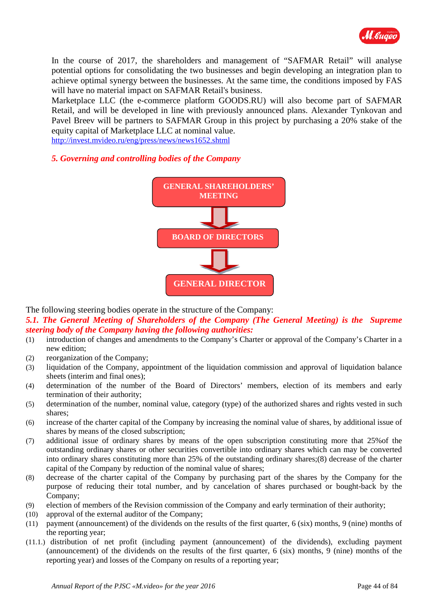

In the course of 2017, the shareholders and management of "SAFMAR Retail" will analyse potential options for consolidating the two businesses and begin developing an integration plan to achieve optimal synergy between the businesses. At the same time, the conditions imposed by FAS will have no material impact on SAFMAR Retail's business.

Marketplace LLC (the e-commerce platform GOODS.RU) will also become part of SAFMAR Retail, and will be developed in line with previously announced plans. Alexander Tynkovan and Pavel Breev will be partners to SAFMAR Group in this project by purchasing a 20% stake of the equity capital of Marketplace LLC at nominal value.

<http://invest.mvideo.ru/eng/press/news/news1652.shtml>

### *5. Governing and controlling bodies of the Company*



The following steering bodies operate in the structure of the Company:

*5.1. The General Meeting of Shareholders of the Company (The General Meeting) is the Supreme steering body of the Company having the following authorities:*

- (1) introduction of changes and amendments to the Company's Charter or approval of the Company's Charter in a new edition;
- (2) reorganization of the Company;
- (3) liquidation of the Company, appointment of the liquidation commission and approval of liquidation balance sheets (interim and final ones);
- (4) determination of the number of the Board of Directors' members, election of its members and early termination of their authority;
- (5) determination of the number, nominal value, category (type) of the authorized shares and rights vested in such shares;
- (6) increase of the charter capital of the Company by increasing the nominal value of shares, by additional issue of shares by means of the closed subscription;
- (7) additional issue of ordinary shares by means of the open subscription constituting more that 25%of the outstanding ordinary shares or other securities convertible into ordinary shares which can may be converted into ordinary shares constituting more than 25% of the outstanding ordinary shares;(8) decrease of the charter capital of the Company by reduction of the nominal value of shares;
- (8) decrease of the charter capital of the Company by purchasing part of the shares by the Company for the purpose of reducing their total number, and by cancelation of shares purchased or bought-back by the Company;
- (9) election of members of the Revision commission of the Company and early termination of their authority;
- (10) approval of the external auditor of the Company;
- (11) payment (announcement) of the dividends on the results of the first quarter, 6 (six) months, 9 (nine) months of the reporting year;
- (11.1.) distribution of net profit (including payment (announcement) of the dividends), excluding payment (announcement) of the dividends on the results of the first quarter, 6 (six) months, 9 (nine) months of the reporting year) and losses of the Company on results of a reporting year;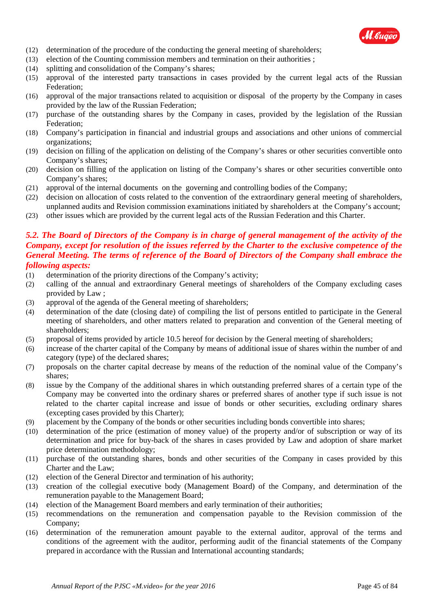

- (12) determination of the procedure of the conducting the general meeting of shareholders;
- (13) election of the Counting commission members and termination on their authorities ;
- (14) splitting and consolidation of the Company's shares;
- (15) approval of the interested party transactions in cases provided by the current legal acts of the Russian Federation;
- (16) approval of the major transactions related to acquisition or disposal of the property by the Company in cases provided by the law of the Russian Federation;
- (17) purchase of the outstanding shares by the Company in cases, provided by the legislation of the Russian Federation;
- (18) Company's participation in financial and industrial groups and associations and other unions of commercial organizations;
- (19) decision on filling of the application on delisting of the Company's shares or other securities convertible onto Company's shares;
- (20) decision on filling of the application on listing of the Company's shares or other securities convertible onto Company's shares;
- (21) approval of the internal documents on the governing and controlling bodies of the Company;
- (22) decision on allocation of costs related to the convention of the extraordinary general meeting of shareholders, unplanned audits and Revision commission examinations initiated by shareholders at the Company's account;
- (23) other issues which are provided by the current legal acts of the Russian Federation and this Charter.

### *5.2. The Board of Directors of the Company is in charge of general management of the activity of the Company, except for resolution of the issues referred by the Charter to the exclusive competence of the General Meeting. The terms of reference of the Board of Directors of the Company shall embrace the following aspects:*

- (1) determination of the priority directions of the Company's activity;
- (2) calling of the annual and extraordinary General meetings of shareholders of the Company excluding cases provided by Law ;
- (3) approval of the agenda of the General meeting of shareholders;
- (4) determination of the date (closing date) of compiling the list of persons entitled to participate in the General meeting of shareholders, and other matters related to preparation and convention of the General meeting of shareholders;
- (5) proposal of items provided by article 10.5 hereof for decision by the General meeting of shareholders;
- (6) increase of the charter capital of the Company by means of additional issue of shares within the number of and category (type) of the declared shares;
- (7) proposals on the charter capital decrease by means of the reduction of the nominal value of the Company's shares;
- (8) issue by the Company of the additional shares in which outstanding preferred shares of a certain type of the Company may be converted into the ordinary shares or preferred shares of another type if such issue is not related to the charter capital increase and issue of bonds or other securities, excluding ordinary shares (excepting cases provided by this Charter);
- (9) placement by the Company of the bonds or other securities including bonds convertible into shares;
- (10) determination of the price (estimation of money value) of the property and/or of subscription or way of its determination and price for buy-back of the shares in cases provided by Law and adoption of share market price determination methodology;
- (11) purchase of the outstanding shares, bonds and other securities of the Company in cases provided by this Charter and the Law;
- (12) election of the General Director and termination of his authority;
- (13) creation of the collegial executive body (Management Board) of the Company, and determination of the remuneration payable to the Management Board;
- (14) election of the Management Board members and early termination of their authorities;
- (15) recommendations on the remuneration and compensation payable to the Revision commission of the Company;
- (16) determination of the remuneration amount payable to the external auditor, approval of the terms and conditions of the agreement with the auditor, performing audit of the financial statements of the Company prepared in accordance with the Russian and International accounting standards;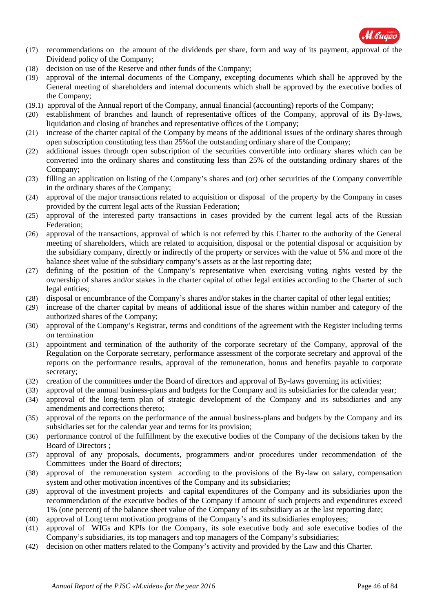

- (17) recommendations on the amount of the dividends per share, form and way of its payment, approval of the Dividend policy of the Company;
- (18) decision on use of the Reserve and other funds of the Company;
- (19) approval of the internal documents of the Company, excepting documents which shall be approved by the General meeting of shareholders and internal documents which shall be approved by the executive bodies of the Company;
- (19.1) approval of the Annual report of the Company, annual financial (accounting) reports of the Company;
- (20) establishment of branches and launch of representative offices of the Company, approval of its By-laws, liquidation and closing of branches and representative offices of the Company;
- (21) increase of the charter capital of the Company by means of the additional issues of the ordinary shares through open subscription constituting less than 25%of the outstanding ordinary share of the Company;
- (22) additional issues through open subscription of the securities convertible into ordinary shares which can be converted into the ordinary shares and constituting less than 25% of the outstanding ordinary shares of the Company;
- (23) filling an application on listing of the Company's shares and (or) other securities of the Company convertible in the ordinary shares of the Company;
- (24) approval of the major transactions related to acquisition or disposal of the property by the Company in cases provided by the current legal acts of the Russian Federation;
- (25) approval of the interested party transactions in cases provided by the current legal acts of the Russian Federation;
- (26) approval of the transactions, approval of which is not referred by this Charter to the authority of the General meeting of shareholders, which are related to acquisition, disposal or the potential disposal or acquisition by the subsidiary company, directly or indirectly of the property or services with the value of 5% and more of the balance sheet value of the subsidiary company's assets as at the last reporting date;
- (27) defining of the position of the Company's representative when exercising voting rights vested by the ownership of shares and/or stakes in the charter capital of other legal entities according to the Charter of such legal entities;
- (28) disposal or encumbrance of the Company's shares and/or stakes in the charter capital of other legal entities;
- (29) increase of the charter capital by means of additional issue of the shares within number and category of the authorized shares of the Company;
- (30) approval of the Company's Registrar, terms and conditions of the agreement with the Register including terms on termination
- (31) appointment and termination of the authority of the corporate secretary of the Company, approval of the Regulation on the Corporate secretary, performance assessment of the corporate secretary and approval of the reports on the performance results, approval of the remuneration, bonus and benefits payable to corporate secretary;
- (32) creation of the committees under the Board of directors and approval of By-laws governing its activities;
- (33) approval of the annual business-plans and budgets for the Company and its subsidiaries for the calendar year;
- (34) approval of the long-term plan of strategic development of the Company and its subsidiaries and any amendments and corrections thereto;
- (35) approval of the reports on the performance of the annual business-plans and budgets by the Company and its subsidiaries set for the calendar year and terms for its provision;
- (36) performance control of the fulfillment by the executive bodies of the Company of the decisions taken by the Board of Directors ;
- (37) approval of any proposals, documents, programmers and/or procedures under recommendation of the Committees under the Board of directors;
- (38) approval of the remuneration system according to the provisions of the By-law on salary, compensation system and other motivation incentives of the Company and its subsidiaries;
- (39) approval of the investment projects and capital expenditures of the Company and its subsidiaries upon the recommendation of the executive bodies of the Company if amount of such projects and expenditures exceed 1% (one percent) of the balance sheet value of the Company of its subsidiary as at the last reporting date;
- (40) approval of Long term motivation programs of the Company's and its subsidiaries employees;
- (41) approval of WIGs and KPIs for the Company, its sole executive body and sole executive bodies of the Company's subsidiaries, its top managers and top managers of the Company's subsidiaries;
- (42) decision on other matters related to the Company's activity and provided by the Law and this Charter.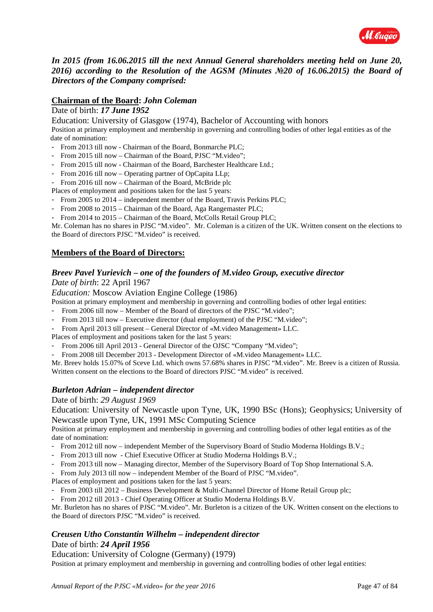

*In 2015 (from 16.06.2015 till the next Annual General shareholders meeting held on June 20, 2016) according to the Resolution of the AGSM (Minutes №20 of 16.06.2015) the Board of Directors of the Company comprised:*

#### **Chairman of the Board:** *John Coleman*

#### Date of birth: *17 June 1952*

Education: University of Glasgow (1974), Bachelor of Accounting with honors

Position at primary employment and membership in governing and controlling bodies of other legal entities as of the date of nomination:

- From 2013 till now Chairman of the Board, Bonmarche PLC;
- From 2015 till now Chairman of the Board, PJSC "M.video";
- From 2015 till now Chairman of the Board, Barchester Healthcare Ltd.;
- From 2016 till now Operating partner of OpCapita LLp;
- From 2016 till now Chairman of the Board, McBride plc
- Places of employment and positions taken for the last 5 years:
- From 2005 to 2014 independent member of the Board, Travis Perkins PLC;
- From 2008 to 2015 Chairman of the Board, Aga Rangemaster PLC;
- From 2014 to 2015 Chairman of the Board, McColls Retail Group PLC;

Mr. Coleman has no shares in PJSC "M.video". Mr. Coleman is a citizen of the UK. Written consent on the elections to the Board of directors PJSC "M.video" is received.

### **Members of the Board of Directors:**

## *Breev Pavel Yurievich – one of the founders of M.video Group, executive director*

*Date of birth*: 22 April 1967

#### *Education:* Moscow Aviation Engine College (1986)

Position at primary employment and membership in governing and controlling bodies of other legal entities:

- From 2006 till now Member of the Board of directors of the PJSC "M.video";
- From 2013 till now Executive director (dual employment) of the PJSC "M.video";
- From April 2013 till present General Director of «M.video Management» LLC.

Places of employment and positions taken for the last 5 years:

From 2006 till April 2013 - General Director of the OJSC "Company "M.video";

- From 2008 till December 2013 - Development Director of «M.video Management» LLC.

Mr. Breev holds 15.07% of Sceve Ltd. which owns 57.68% shares in PJSC "M.video". Mr. Breev is a citizen of Russia. Written consent on the elections to the Board of directors PJSC "M.video" is received.

### *Burleton Adrian – independent director*

#### Date of birth: *29 August 1969*

Education: University of Newcastle upon Tyne, UK, 1990 BSc (Hons); Geophysics; University of Newcastle upon Tyne, UK, 1991 MSc Computing Science

Position at primary employment and membership in governing and controlling bodies of other legal entities as of the date of nomination:

- From 2012 till now independent Member of the Supervisory Board of Studio Moderna Holdings B.V.;
- From 2013 till now Chief Executive Officer at Studio Moderna Holdings B.V.;
- From 2013 till now Managing director, Member of the Supervisory Board of Top Shop International S.A.
- From July 2013 till now independent Member of the Board of PJSC "M.video".
- Places of employment and positions taken for the last 5 years:
- From 2003 till 2012 Business Development & Multi-Channel Director of Home Retail Group plc;
- From 2012 till 2013 Chief Operating Officer at Studio Moderna Holdings B.V.

Mr. Burleton has no shares of PJSC "M.video". Mr. Burleton is a citizen of the UK. Written consent on the elections to the Board of directors PJSC "M.video" is received.

# *Creusen Utho Constantin Wilhelm – independent director*

# Date of birth: *24 April 1956*

Education: University of Cologne (Germany) (1979)

Position at primary employment and membership in governing and controlling bodies of other legal entities: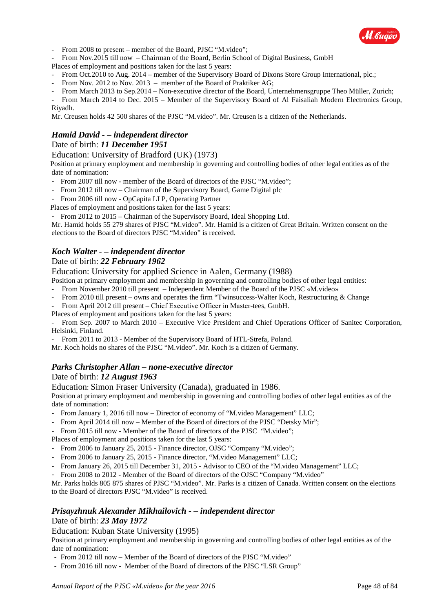

- From 2008 to present – member of the Board, PJSC "M.video";

- From Nov.2015 till now – Chairman of the Board, Berlin School of Digital Business, GmbH

Places of employment and positions taken for the last 5 years:

- From Oct.2010 to Aug. 2014 member of the Supervisory Board of Dixons Store Group International, plc.;
- From Nov. 2012 to Nov. 2013 member of the Board of Praktiker AG;
- From March 2013 to Sep.2014 Non-executive director of the Board, Unternehmensgruppe Theo Müller, Zurich;
- From March 2014 to Dec. 2015 Member of the Supervisory Board of Al Faisaliah Modern Electronics Group, Riyadh.

Mr. Creusen holds 42 500 shares of the PJSC "M.video". Mr. Creusen is a citizen of the Netherlands.

### *Hamid David - – independent director*

#### Date of birth: *11 December 1951*

Education: University of Bradford (UK) (1973)

Position at primary employment and membership in governing and controlling bodies of other legal entities as of the date of nomination:

- From 2007 till now member of the Board of directors of the PJSC "M.video";
- From 2012 till now Chairman of the Supervisory Board, Game Digital plc
- From 2006 till now OpCapita LLP, Operating Partner

Places of employment and positions taken for the last 5 years:

- From 2012 to 2015 – Chairman of the Supervisory Board, Ideal Shopping Ltd.

Mr. Hamid holds 55 279 shares of PJSC "M.video". Mr. Hamid is a citizen of Great Britain. Written consent on the elections to the Board of directors PJSC "M.video" is received.

#### *Koch Walter - – independent director*

#### Date of birth: *22 February 1962*

Education: University for applied Science in Aalen, Germany (1988)

Position at primary employment and membership in governing and controlling bodies of other legal entities:

- From November 2010 till present – Independent Member of the Board of the PJSC «M.video»

- From 2010 till present owns and operates the firm "Twinsuccess-Walter Koch, Restructuring & Change
- From April 2012 till present Chief Executive Officer in Мaster-tees, GmbH.
- Places of employment and positions taken for the last 5 years:

- From Sep. 2007 to March 2010 – Executive Vice President and Chief Operations Officer of Sanitec Corporation, Helsinki, Finland.

From 2011 to 2013 - Member of the Supervisory Board of HTL-Strefa, Poland.

Mr. Koch holds no shares of the PJSC "M.video". Mr. Koch is a citizen of Germany.

### *Parks Christopher Allan – none-executive director*

#### Date of birth: *12 August 1963*

Education: Simon Fraser University (Canada), graduated in 1986.

Position at primary employment and membership in governing and controlling bodies of other legal entities as of the date of nomination:

- From January 1, 2016 till now Director of economy of "M.video Management" LLC;
- From April 2014 till now Member of the Board of directors of the PJSC "Detsky Mir";
- From 2015 till now Member of the Board of directors of the PJSC "M.video";

Places of employment and positions taken for the last 5 years:

- From 2006 to January 25, 2015 Finance director, OJSC "Company "M.video";
- From 2006 to January 25, 2015 Finance director, "M.video Management" LLC;
- From January 26, 2015 till December 31, 2015 Advisor to CEO of the "M.video Management" LLC;
- From 2008 to 2012 Member of the Board of directors of the OJSC "Company "M.video"

Mr. Parks holds 805 875 shares of PJSC "M.video". Mr. Parks is a citizen of Canada. Written consent on the elections to the Board of directors PJSC "M.video" is received.

### *Prisayzhnuk Alexander Mikhailovich - – independent director* Date of birth: *23 May 1972*

Education: Kuban State University (1995)

Position at primary employment and membership in governing and controlling bodies of other legal entities as of the date of nomination:

- From 2012 till now Member of the Board of directors of the PJSC "M.video"
- From 2016 till now Member of the Board of directors of the PJSC "LSR Group"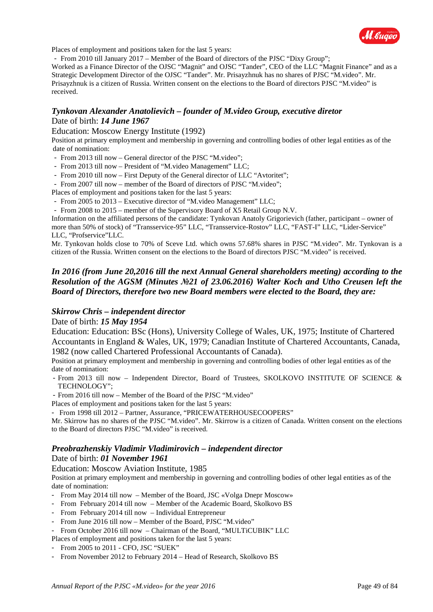

Places of employment and positions taken for the last 5 years:

- From 2010 till January 2017 – Member of the Board of directors of the PJSC "Dixy Group";

Worked as a Finance Director of the OJSC "Magnit" and OJSC "Tander", CEO of the LLC "Magnit Finance" and as a Strategic Development Director of the OJSC "Tander". Mr. Prisayzhnuk has no shares of PJSC "M.video". Mr. Prisayzhnuk is a citizen of Russia. Written consent on the elections to the Board of directors PJSC "M.video" is received.

#### *Tynkovan Alexander Anatolievich – founder of M.video Group, executive diretor* Date of birth: *14 June 1967*

#### Education: Moscow Energy Institute (1992)

Position at primary employment and membership in governing and controlling bodies of other legal entities as of the date of nomination:

- From 2013 till now General director of the PJSC "M.video";
- From 2013 till now President of "M.video Management" LLC;
- From 2010 till now First Deputy of the General director of LLC "Avtoritet";
- From 2007 till now member of the Board of directors of PJSC "M.video";

Places of employment and positions taken for the last 5 years:

- From 2005 to 2013 Executive director of "M.video Management" LLC;
- From 2008 to 2015 member of the Supervisory Board of X5 Retail Group N.V.

Information on the affiliated persons of the candidate: Tynkovan Anatoly Grigorievich (father, participant – owner of more than 50% of stock) of "Transservice-95" LLC, "Transservice-Rostov" LLC, "FAST-I" LLC, "Lider-Service" LLC, "Profservice"LLC.

Mr. Tynkovan holds close to 70% of Sceve Ltd. which owns 57.68% shares in PJSC "M.video". Mr. Tynkovan is a citizen of the Russia. Written consent on the elections to the Board of directors PJSC "M.video" is received.

### *In 2016 (from June 20,2016 till the next Annual General shareholders meeting) according to the Resolution of the AGSM (Minutes №21 of 23.06.2016) Walter Koch and Utho Creusen left the Board of Directors, therefore two new Board members were elected to the Board, they are:*

#### *Skirrow Chris – independent director*

#### Date of birth: *15 May 1954*

Education: Education: BSc (Hons), University College of Wales, UK, 1975; Institute of Chartered Accountants in England & Wales, UK, 1979; Canadian Institute of Chartered Accountants, Canada, 1982 (now called Chartered Professional Accountants of Canada).

Position at primary employment and membership in governing and controlling bodies of other legal entities as of the date of nomination:

- From 2013 till now – Independent Director, Board of Trustees, SKOLKOVO INSTITUTE OF SCIENCE & TECHNOLOGY";

- From 2016 till now – Member of the Board of the PJSC "M.video"

Places of employment and positions taken for the last 5 years:

- From 1998 till 2012 – Partner, Assurance, "PRICEWATERHOUSECOOPERS"

Mr. Skirrow has no shares of the PJSC "M.video". Mr. Skirrow is a citizen of Canada. Written consent on the elections to the Board of directors PJSC "M.video" is received.

#### *Preobrazhenskiy Vladimir Vladimirovich – independent director* Date of birth: *01 November 1961*

#### Education: Moscow Aviation Institute, 1985

Position at primary employment and membership in governing and controlling bodies of other legal entities as of the date of nomination:

- From May 2014 till now Member of the Board, JSC «Volga Dnepr Moscow»
- From February 2014 till now Member of the Academic Board, Skolkovo BS
- From February 2014 till now Individual Entrepreneur
- From June 2016 till now Member of the Board, PJSC "M.video"
- From October 2016 till now Chairman of the Board, "MULTiCUBIK" LLC

Places of employment and positions taken for the last 5 years:

- From 2005 to 2011 CFO, JSC "SUEK"
- From November 2012 to February 2014 Head of Research, Skolkovo BS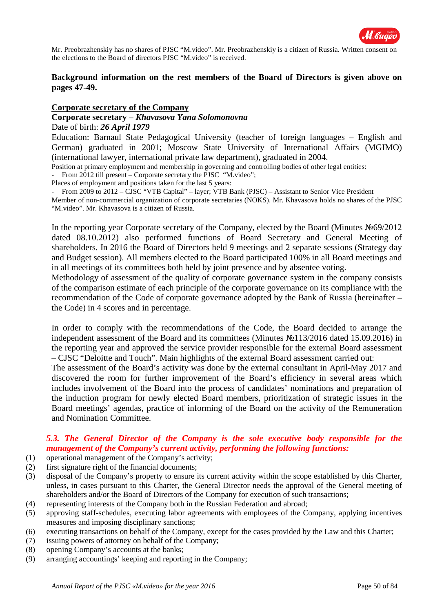

Mr. Preobrazhenskiy has no shares of PJSC "M.video". Mr. Preobrazhenskiy is a citizen of Russia. Written consent on the elections to the Board of directors PJSC "M.video" is received.

### **Background information on the rest members of the Board of Directors is given above on pages 47-49.**

#### **Corporate secretary of the Company**

#### **Corporate secretary** – *Khavasova Yana Solomonovna*

#### Date of birth: *26 April 1979*

Education: Barnaul State Pedagogical University (teacher of foreign languages – English and German) graduated in 2001; Moscow State University of International Affairs (MGIMO) (international lawyer, international private law department), graduated in 2004.

Position at primary employment and membership in governing and controlling bodies of other legal entities:

From 2012 till present – Corporate secretary the PJSC "M.video";

Places of employment and positions taken for the last 5 years:

From 2009 to 2012 – CJSC "VTB Capital" – layer; VTB Bank (PJSC) – Assistant to Senior Vice President Member of non-commercial organization of corporate secretaries (NOKS). Mr. Khavasova holds no shares of the PJSC "M.video". Mr. Khavasova is a citizen of Russia.

In the reporting year Corporate secretary of the Company, elected by the Board (Minutes №69/2012 dated 08.10.2012) also performed functions of Board Secretary and General Meeting of shareholders. In 2016 the Board of Directors held 9 meetings and 2 separate sessions (Strategy day and Budget session). All members elected to the Board participated 100% in all Board meetings and in all meetings of its committees both held by joint presence and by absentee voting.

Methodology of assessment of the quality of corporate governance system in the company consists of the comparison estimate of each principle of the corporate governance on its compliance with the recommendation of the Code of corporate governance adopted by the Bank of Russia (hereinafter – the Code) in 4 scores and in percentage.

In order to comply with the recommendations of the Code, the Board decided to arrange the independent assessment of the Board and its committees (Minutes №113/2016 dated 15.09.2016) in the reporting year and approved the service provider responsible for the external Board assessment – CJSC "Deloitte and Touch". Main highlights of the external Board assessment carried out:

The assessment of the Board's activity was done by the external consultant in April-May 2017 and discovered the room for further improvement of the Board's efficiency in several areas which includes involvement of the Board into the process of candidates' nominations and preparation of the induction program for newly elected Board members, prioritization of strategic issues in the Board meetings' agendas, practice of informing of the Board on the activity of the Remuneration and Nomination Committee.

### *5.3. The General Director of the Company is the sole executive body responsible for the management of the Company's current activity, performing the following functions:*

- (1) operational management of the Company's activity;
- (2) first signature right of the financial documents;
- (3) disposal of the Company's property to ensure its current activity within the scope established by this Charter, unless, in cases pursuant to this Charter, the General Director needs the approval of the General meeting of shareholders and/or the Board of Directors of the Company for execution of such transactions;
- (4) representing interests of the Company both in the Russian Federation and abroad;
- (5) approving staff-schedules, executing labor agreements with employees of the Company, applying incentives measures and imposing disciplinary sanctions;
- (6) executing transactions on behalf of the Company, except for the cases provided by the Law and this Charter;
- (7) issuing powers of attorney on behalf of the Company;
- (8) opening Company's accounts at the banks;
- (9) arranging accountings' keeping and reporting in the Company;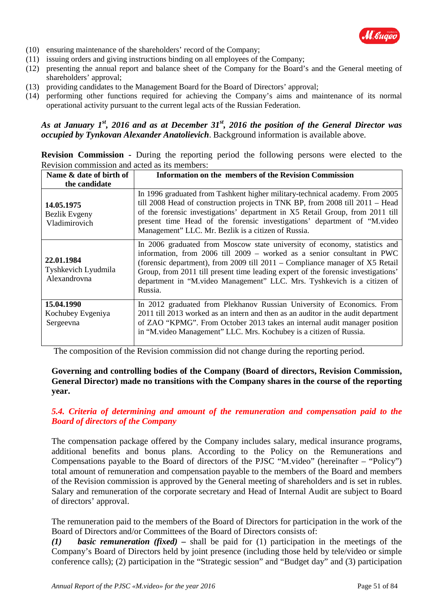

- (10) ensuring maintenance of the shareholders' record of the Company;
- (11) issuing orders and giving instructions binding on all employees of the Company;
- (12) presenting the annual report and balance sheet of the Company for the Board's and the General meeting of shareholders' approval;
- (13) providing candidates to the Management Board for the Board of Directors' approval;
- (14) performing other functions required for achieving the Company's aims and maintenance of its normal operational activity pursuant to the current legal acts of the Russian Federation.

### *As at January 1st, 2016 and as at December 31st, 2016 the position of the General Director was occupied by Tynkovan Alexander Anatolievich*. Background information is available above.

| <b>Revision Commission -</b> During the reporting period the following persons were elected to the |  |  |  |  |  |  |
|----------------------------------------------------------------------------------------------------|--|--|--|--|--|--|
| Revision commission and acted as its members:                                                      |  |  |  |  |  |  |

| Name & date of birth of                           | <b>Information on the members of the Revision Commission</b>                                                                                                                                                                                                                                                                                                                                                      |  |  |  |
|---------------------------------------------------|-------------------------------------------------------------------------------------------------------------------------------------------------------------------------------------------------------------------------------------------------------------------------------------------------------------------------------------------------------------------------------------------------------------------|--|--|--|
| the candidate                                     |                                                                                                                                                                                                                                                                                                                                                                                                                   |  |  |  |
| 14.05.1975<br>Bezlik Evgeny<br>Vladimirovich      | In 1996 graduated from Tashkent higher military-technical academy. From 2005<br>till 2008 Head of construction projects in TNK BP, from 2008 till 2011 - Head<br>of the forensic investigations' department in X5 Retail Group, from 2011 till<br>present time Head of the forensic investigations' department of "M.video"<br>Management" LLC. Mr. Bezlik is a citizen of Russia.                                |  |  |  |
| 22.01.1984<br>Tyshkevich Lyudmila<br>Alexandrovna | In 2006 graduated from Moscow state university of economy, statistics and<br>information, from 2006 till 2009 – worked as a senior consultant in PWC<br>(forensic department), from 2009 till $2011$ – Compliance manager of X5 Retail<br>Group, from 2011 till present time leading expert of the forensic investigations'<br>department in "M.video Management" LLC. Mrs. Tyshkevich is a citizen of<br>Russia. |  |  |  |
| 15.04.1990<br>Kochubey Evgeniya<br>Sergeevna      | In 2012 graduated from Plekhanov Russian University of Economics. From<br>2011 till 2013 worked as an intern and then as an auditor in the audit department<br>of ZAO "KPMG". From October 2013 takes an internal audit manager position<br>in "M. video Management" LLC. Mrs. Kochubey is a citizen of Russia.                                                                                                   |  |  |  |

The composition of the Revision commission did not change during the reporting period.

### **Governing and controlling bodies of the Company (Board of directors, Revision Commission, General Director) made no transitions with the Company shares in the course of the reporting year.**

### *5.4. Criteria of determining and amount of the remuneration and compensation paid to the Board of directors of the Company*

The compensation package offered by the Company includes salary, medical insurance programs, additional benefits and bonus plans. According to the Policy on the Remunerations and Compensations payable to the Board of directors of the PJSC "M.video" (hereinafter – "Policy") total amount of remuneration and compensation payable to the members of the Board and members of the Revision commission is approved by the General meeting of shareholders and is set in rubles. Salary and remuneration of the corporate secretary and Head of Internal Audit are subject to Board of directors' approval.

The remuneration paid to the members of the Board of Directors for participation in the work of the Board of Directors and/or Committees of the Board of Directors consists of:

*(1) basic remuneration (fixed) –* shall be paid for (1) participation in the meetings of the Company's Board of Directors held by joint presence (including those held by tele/video or simple conference calls); (2) participation in the "Strategic session" and "Budget day" and (3) participation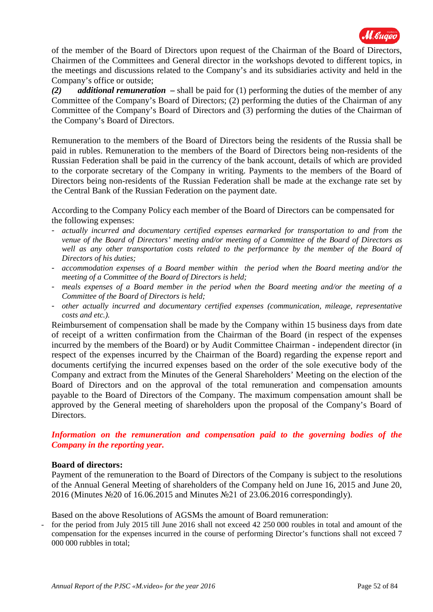

of the member of the Board of Directors upon request of the Chairman of the Board of Directors, Chairmen of the Committees and General director in the workshops devoted to different topics, in the meetings and discussions related to the Company's and its subsidiaries activity and held in the Company's office or outside;

*(2) additional remuneration –* shall be paid for (1) performing the duties of the member of any Committee of the Company's Board of Directors; (2) performing the duties of the Chairman of any Committee of the Company's Board of Directors and (3) performing the duties of the Chairman of the Company's Board of Directors.

Remuneration to the members of the Board of Directors being the residents of the Russia shall be paid in rubles. Remuneration to the members of the Board of Directors being non-residents of the Russian Federation shall be paid in the currency of the bank account, details of which are provided to the corporate secretary of the Company in writing. Payments to the members of the Board of Directors being non-residents of the Russian Federation shall be made at the exchange rate set by the Central Bank of the Russian Federation on the payment date.

According to the Company Policy each member of the Board of Directors can be compensated for the following expenses:

- *actually incurred and documentary certified expenses earmarked for transportation to and from the venue of the Board of Directors' meeting and/or meeting of a Committee of the Board of Directors as*  well as any other transportation costs related to the performance by the member of the Board of *Directors of his duties;*
- *accommodation expenses of a Board member within the period when the Board meeting and/or the meeting of a Committee of the Board of Directors is held;*
- *meals expenses of a Board member in the period when the Board meeting and/or the meeting of a Committee of the Board of Directors is held;*
- *other actually incurred and documentary certified expenses (communication, mileage, representative costs and etc.).*

Reimbursement of compensation shall be made by the Company within 15 business days from date of receipt of a written confirmation from the Chairman of the Board (in respect of the expenses incurred by the members of the Board) or by Audit Committee Chairman - independent director (in respect of the expenses incurred by the Chairman of the Board) regarding the expense report and documents certifying the incurred expenses based on the order of the sole executive body of the Company and extract from the Minutes of the General Shareholders' Meeting on the election of the Board of Directors and on the approval of the total remuneration and compensation amounts payable to the Board of Directors of the Company. The maximum compensation amount shall be approved by the General meeting of shareholders upon the proposal of the Company's Board of Directors.

### *Information on the remuneration and compensation paid to the governing bodies of the Company in the reporting year.*

### **Board of directors:**

Payment of the remuneration to the Board of Directors of the Company is subject to the resolutions of the Annual General Meeting of shareholders of the Company held on June 16, 2015 and June 20, 2016 (Minutes №20 of 16.06.2015 and Minutes №21 of 23.06.2016 correspondingly).

Based on the above Resolutions of AGSMs the amount of Board remuneration:

- for the period from July 2015 till June 2016 shall not exceed 42 250 000 roubles in total and amount of the compensation for the expenses incurred in the course of performing Director's functions shall not exceed 7 000 000 rubbles in total;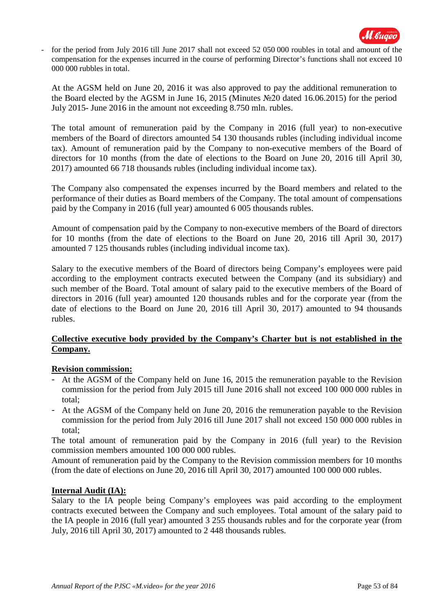

- for the period from July 2016 till June 2017 shall not exceed 52 050 000 roubles in total and amount of the compensation for the expenses incurred in the course of performing Director's functions shall not exceed 10 000 000 rubbles in total.

At the AGSM held on June 20, 2016 it was also approved to pay the additional remuneration to the Board elected by the AGSM in June 16, 2015 (Minutes №20 dated 16.06.2015) for the period July 2015- June 2016 in the amount not exceeding 8.750 mln. rubles.

The total amount of remuneration paid by the Company in 2016 (full year) to non-executive members of the Board of directors amounted 54 130 thousands rubles (including individual income tax). Amount of remuneration paid by the Company to non-executive members of the Board of directors for 10 months (from the date of elections to the Board on June 20, 2016 till April 30, 2017) amounted 66 718 thousands rubles (including individual income tax).

The Company also compensated the expenses incurred by the Board members and related to the performance of their duties as Board members of the Company. The total amount of compensations paid by the Company in 2016 (full year) amounted 6 005 thousands rubles.

Amount of compensation paid by the Company to non-executive members of the Board of directors for 10 months (from the date of elections to the Board on June 20, 2016 till April 30, 2017) amounted 7 125 thousands rubles (including individual income tax).

Salary to the executive members of the Board of directors being Company's employees were paid according to the employment contracts executed between the Company (and its subsidiary) and such member of the Board. Total amount of salary paid to the executive members of the Board of directors in 2016 (full year) amounted 120 thousands rubles and for the corporate year (from the date of elections to the Board on June 20, 2016 till April 30, 2017) amounted to 94 thousands rubles.

### **Collective executive body provided by the Company's Charter but is not established in the Company.**

### **Revision commission:**

- At the AGSM of the Company held on June 16, 2015 the remuneration payable to the Revision commission for the period from July 2015 till June 2016 shall not exceed 100 000 000 rubles in total;
- At the AGSM of the Company held on June 20, 2016 the remuneration payable to the Revision commission for the period from July 2016 till June 2017 shall not exceed 150 000 000 rubles in total;

The total amount of remuneration paid by the Company in 2016 (full year) to the Revision commission members amounted 100 000 000 rubles.

Amount of remuneration paid by the Company to the Revision commission members for 10 months (from the date of elections on June 20, 2016 till April 30, 2017) amounted 100 000 000 rubles.

### **Internal Audit (IA):**

Salary to the IA people being Company's employees was paid according to the employment contracts executed between the Company and such employees. Total amount of the salary paid to the IA people in 2016 (full year) amounted 3 255 thousands rubles and for the corporate year (from July, 2016 till April 30, 2017) amounted to 2 448 thousands rubles.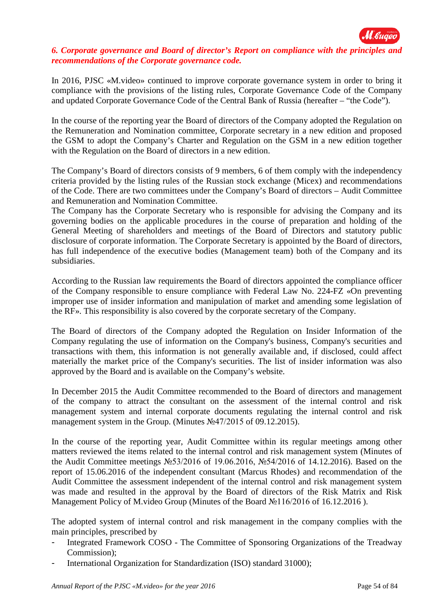

### *6. Corporate governance and Board of director's Report on compliance with the principles and recommendations of the Corporate governance code.*

In 2016, PJSC «M.video» continued to improve corporate governance system in order to bring it compliance with the provisions of the listing rules, Corporate Governance Code of the Company and updated Corporate Governance Code of the Central Bank of Russia (hereafter – "the Code").

In the course of the reporting year the Board of directors of the Company adopted the Regulation on the Remuneration and Nomination committee, Corporate secretary in a new edition and proposed the GSM to adopt the Company's Charter and Regulation on the GSM in a new edition together with the Regulation on the Board of directors in a new edition.

The Company's Board of directors consists of 9 members, 6 of them comply with the independency criteria provided by the listing rules of the Russian stock exchange (Micex) and recommendations of the Code. There are two committees under the Company's Board of directors – Audit Committee and Remuneration and Nomination Committee.

The Company has the Corporate Secretary who is responsible for advising the Company and its governing bodies on the applicable procedures in the course of preparation and holding of the General Meeting of shareholders and meetings of the Board of Directors and statutory public disclosure of corporate information. The Corporate Secretary is appointed by the Board of directors, has full independence of the executive bodies (Management team) both of the Company and its subsidiaries.

According to the Russian law requirements the Board of directors appointed the compliance officer of the Company responsible to ensure compliance with Federal Law No. 224-FZ «On preventing improper use of insider information and manipulation of market and amending some legislation of the RF». This responsibility is also covered by the corporate secretary of the Company.

The Board of directors of the Company adopted the Regulation on Insider Information of the Company regulating the use of information on the Company's business, Company's securities and transactions with them, this information is not generally available and, if disclosed, could affect materially the market price of the Company's securities. The list of insider information was also approved by the Board and is available on the Company's website.

In December 2015 the Audit Committee recommended to the Board of directors and management of the company to attract the consultant on the assessment of the internal control and risk management system and internal corporate documents regulating the internal control and risk management system in the Group. (Minutes №47/2015 of 09.12.2015).

In the course of the reporting year, Audit Committee within its regular meetings among other matters reviewed the items related to the internal control and risk management system (Minutes of the Audit Committee meetings №53/2016 of 19.06.2016, №54/2016 of 14.12.2016). Based on the report of 15.06.2016 of the independent consultant (Marcus Rhodes) and recommendation of the Audit Committee the assessment independent of the internal control and risk management system was made and resulted in the approval by the Board of directors of the Risk Matrix and Risk Management Policy of M.video Group (Minutes of the Board №116/2016 of 16.12.2016 ).

The adopted system of internal control and risk management in the company complies with the main principles, prescribed by

- Integrated Framework COSO The Committee of Sponsoring Organizations of the Treadway Commission);
- International Organization for Standardization (ISO) standard 31000);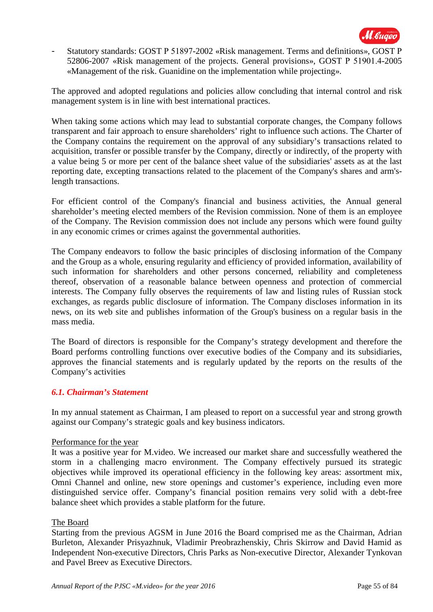

- Statutory standards: GOST Р 51897-2002 «Risk management. Terms and definitions», GOST Р 52806-2007 «Risk management of the projects. General provisions», GOST Р 51901.4-2005 «Management of the risk. Guanidine on the implementation while projecting».

The approved and adopted regulations and policies allow concluding that internal control and risk management system is in line with best international practices.

When taking some actions which may lead to substantial corporate changes, the Company follows transparent and fair approach to ensure shareholders' right to influence such actions. The Charter of the Company contains the requirement on the approval of any subsidiary's transactions related to acquisition, transfer or possible transfer by the Company, directly or indirectly, of the property with a value being 5 or more per cent of the balance sheet value of the subsidiaries' assets as at the last reporting date, excepting transactions related to the placement of the Company's shares and arm'slength transactions.

For efficient control of the Company's financial and business activities, the Annual general shareholder's meeting elected members of the Revision commission. None of them is an employee of the Company. The Revision commission does not include any persons which were found guilty in any economic crimes or crimes against the governmental authorities.

The Company endeavors to follow the basic principles of disclosing information of the Company and the Group as a whole, ensuring regularity and efficiency of provided information, availability of such information for shareholders and other persons concerned, reliability and completeness thereof, observation of a reasonable balance between openness and protection of commercial interests. The Company fully observes the requirements of law and listing rules of Russian stock exchanges, as regards public disclosure of information. The Company discloses information in its news, on its web site and publishes information of the Group's business on a regular basis in the mass media.

The Board of directors is responsible for the Company's strategy development and therefore the Board performs controlling functions over executive bodies of the Company and its subsidiaries, approves the financial statements and is regularly updated by the reports on the results of the Company's activities

### *6.1. Chairman's Statement*

In my annual statement as Chairman, I am pleased to report on a successful year and strong growth against our Company's strategic goals and key business indicators.

### Performance for the year

It was a positive year for M.video. We increased our market share and successfully weathered the storm in a challenging macro environment. The Company effectively pursued its strategic objectives while improved its operational efficiency in the following key areas: assortment mix, Omni Channel and online, new store openings and customer's experience, including even more distinguished service offer. Company's financial position remains very solid with a debt-free balance sheet which provides a stable platform for the future.

### The Board

Starting from the previous AGSM in June 2016 the Board comprised me as the Chairman, Adrian Burleton, Alexander Prisyazhnuk, Vladimir Preobrazhenskiy, Chris Skirrow and David Hamid as Independent Non-executive Directors, Chris Parks as Non-executive Director, Alexander Tynkovan and Pavel Breev as Executive Directors.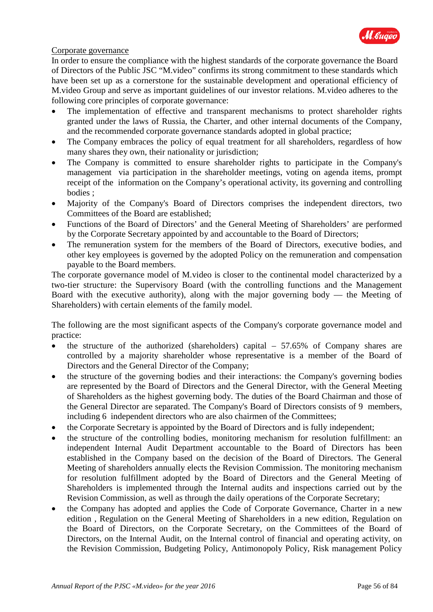

### Corporate governance

In order to ensure the compliance with the highest standards of the corporate governance the Board of Directors of the Public JSC "M.video" confirms its strong commitment to these standards which have been set up as a cornerstone for the sustainable development and operational efficiency of M.video Group and serve as important guidelines of our investor relations. M.video adheres to the following core principles of corporate governance:

- The implementation of effective and transparent mechanisms to protect shareholder rights granted under the laws of Russia, the Charter, and other internal documents of the Company, and the recommended corporate governance standards adopted in global practice;
- The Company embraces the policy of equal treatment for all shareholders, regardless of how many shares they own, their nationality or jurisdiction;
- The Company is committed to ensure shareholder rights to participate in the Company's management via participation in the shareholder meetings, voting on agenda items, prompt receipt of the information on the Company's operational activity, its governing and controlling bodies ;
- Majority of the Company's Board of Directors comprises the independent directors, two Committees of the Board are established;
- Functions of the Board of Directors' and the General Meeting of Shareholders' are performed by the Corporate Secretary appointed by and accountable to the Board of Directors;
- The remuneration system for the members of the Board of Directors, executive bodies, and other key employees is governed by the adopted Policy on the remuneration and compensation payable to the Board members.

The corporate governance model of M.video is closer to the continental model characterized by a two-tier structure: the Supervisory Board (with the controlling functions and the Management Board with the executive authority), along with the major governing body — the Meeting of Shareholders) with certain elements of the family model.

The following are the most significant aspects of the Company's corporate governance model and practice:

- the structure of the authorized (shareholders) capital  $-57.65\%$  of Company shares are controlled by a majority shareholder whose representative is a member of the Board of Directors and the General Director of the Company;
- the structure of the governing bodies and their interactions: the Company's governing bodies are represented by the Board of Directors and the General Director, with the General Meeting of Shareholders as the highest governing body. The duties of the Board Chairman and those of the General Director are separated. The Company's Board of Directors consists of 9 members, including 6 independent directors who are also chairmen of the Committees;
- the Corporate Secretary is appointed by the Board of Directors and is fully independent;
- the structure of the controlling bodies, monitoring mechanism for resolution fulfillment: an independent Internal Audit Department accountable to the Board of Directors has been established in the Company based on the decision of the Board of Directors. The General Meeting of shareholders annually elects the Revision Commission. The monitoring mechanism for resolution fulfillment adopted by the Board of Directors and the General Meeting of Shareholders is implemented through the Internal audits and inspections carried out by the Revision Commission, as well as through the daily operations of the Corporate Secretary;
- the Company has adopted and applies the Code of Corporate Governance, Charter in a new edition , Regulation on the General Meeting of Shareholders in a new edition, Regulation on the Board of Directors, on the Corporate Secretary, on the Committees of the Board of Directors, on the Internal Audit, on the Internal control of financial and operating activity, on the Revision Commission, Budgeting Policy, Antimonopoly Policy, Risk management Policy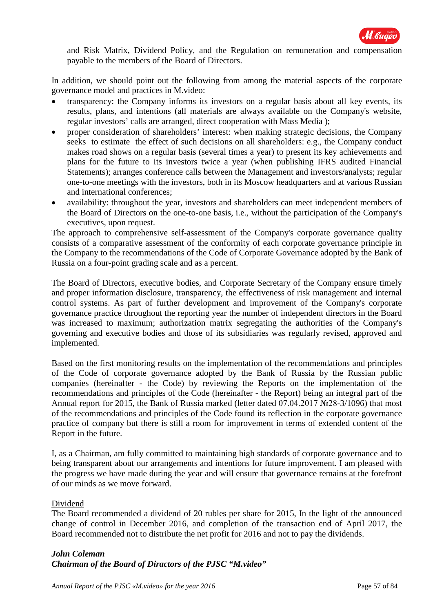

and Risk Matrix, Dividend Policy, and the Regulation on remuneration and compensation payable to the members of the Board of Directors.

In addition, we should point out the following from among the material aspects of the corporate governance model and practices in M.video:

- transparency: the Company informs its investors on a regular basis about all key events, its results, plans, and intentions (all materials are always available on the Company's website, regular investors' calls are arranged, direct cooperation with Mass Media );
- proper consideration of shareholders' interest: when making strategic decisions, the Company seeks to estimate the effect of such decisions on all shareholders: e.g., the Company conduct makes road shows on a regular basis (several times a year) to present its key achievements and plans for the future to its investors twice a year (when publishing IFRS audited Financial Statements); arranges conference calls between the Management and investors/analysts; regular one-to-one meetings with the investors, both in its Moscow headquarters and at various Russian and international conferences;
- availability: throughout the year, investors and shareholders can meet independent members of the Board of Directors on the one-to-one basis, i.e., without the participation of the Company's executives, upon request.

The approach to comprehensive self-assessment of the Company's corporate governance quality consists of a comparative assessment of the conformity of each corporate governance principle in the Company to the recommendations of the Code of Corporate Governance adopted by the Bank of Russia on a four-point grading scale and as a percent.

The Board of Directors, executive bodies, and Corporate Secretary of the Company ensure timely and proper information disclosure, transparency, the effectiveness of risk management and internal control systems. As part of further development and improvement of the Company's corporate governance practice throughout the reporting year the number of independent directors in the Board was increased to maximum; authorization matrix segregating the authorities of the Company's governing and executive bodies and those of its subsidiaries was regularly revised, approved and implemented.

Based on the first monitoring results on the implementation of the recommendations and principles of the Code of corporate governance adopted by the Bank of Russia by the Russian public companies (hereinafter - the Code) by reviewing the Reports on the implementation of the recommendations and principles of the Code (hereinafter - the Report) being an integral part of the Annual report for 2015, the Bank of Russia marked (letter dated 07.04.2017 №28-3/1096) that most of the recommendations and principles of the Code found its reflection in the corporate governance practice of company but there is still a room for improvement in terms of extended content of the Report in the future.

I, as a Chairman, am fully committed to maintaining high standards of corporate governance and to being transparent about our arrangements and intentions for future improvement. I am pleased with the progress we have made during the year and will ensure that governance remains at the forefront of our minds as we move forward.

### Dividend

The Board recommended a dividend of 20 rubles per share for 2015, In the light of the announced change of control in December 2016, and completion of the transaction end of April 2017, the Board recommended not to distribute the net profit for 2016 and not to pay the dividends.

### *John Coleman Chairman of the Board of Diractors of the PJSC "M.video"*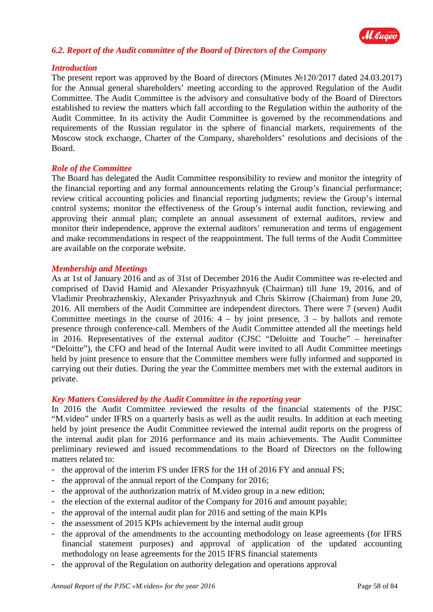

### *6.2. Report of the Audit committee of the Board of Directors of the Company*

### *Introduction*

The present report was approved by the Board of directors (Minutes №120/2017 dated 24.03.2017) for the Annual general shareholders' meeting according to the approved Regulation of the Audit Committee. The Audit Committee is the advisory and consultative body of the Board of Directors established to review the matters which fall according to the Regulation within the authority of the Audit Committee. In its activity the Audit Committee is governed by the recommendations and requirements of the Russian regulator in the sphere of financial markets, requirements of the Moscow stock exchange, Charter of the Company, shareholders' resolutions and decisions of the Board.

### *Role of the Committee*

The Board has delegated the Audit Committee responsibility to review and monitor the integrity of the financial reporting and any formal announcements relating the Group's financial performance; review critical accounting policies and financial reporting judgments; review the Group's internal control systems; monitor the effectiveness of the Group's internal audit function, reviewing and approving their annual plan; complete an annual assessment of external auditors, review and monitor their independence, approve the external auditors' remuneration and terms of engagement and make recommendations in respect of the reappointment. The full terms of the Audit Committee are available on the corporate website.

### *Membership and Meetings*

As at 1st of January 2016 and as of 31st of December 2016 the Audit Committee was re-elected and comprised of David Hamid and Alexander Prisyazhnyuk (Chairman) till June 19, 2016, and of Vladimir Preobrazhenskiy, Alexander Prisyazhnyuk and Chris Skirrow (Chairman) from June 20, 2016. All members of the Audit Committee are independent directors. There were 7 (seven) Audit Committee meetings in the course of 2016:  $4 - by$  joint presence,  $3 - by$  ballots and remote presence through conference-call. Members of the Audit Committee attended all the meetings held in 2016. Representatives of the external auditor (CJSC "Deloitte and Touche" – hereinafter "Deloitte"), the CFO and head of the Internal Audit were invited to all Audit Committee meetings held by joint presence to ensure that the Committee members were fully informed and supported in carrying out their duties. During the year the Committee members met with the external auditors in private.

### *Key Matters Considered by the Audit Committee in the reporting year*

In 2016 the Audit Committee reviewed the results of the financial statements of the PJSC "M.video" under IFRS on a quarterly basis as well as the audit results. In addition at each meeting held by joint presence the Audit Committee reviewed the internal audit reports on the progress of the internal audit plan for 2016 performance and its main achievements. The Audit Committee preliminary reviewed and issued recommendations to the Board of Directors on the following matters related to:

- the approval of the interim FS under IFRS for the 1H of 2016 FY and annual FS;
- the approval of the annual report of the Company for 2016;
- the approval of the authorization matrix of M.video group in a new edition;
- the election of the external auditor of the Company for 2016 and amount payable;
- the approval of the internal audit plan for 2016 and setting of the main KPIs
- the assessment of 2015 KPIs achievement by the internal audit group
- the approval of the amendments to the accounting methodology on lease agreements (for IFRS financial statement purposes) and approval of application of the updated accounting methodology on lease agreements for the 2015 IFRS financial statements
- the approval of the Regulation on authority delegation and operations approval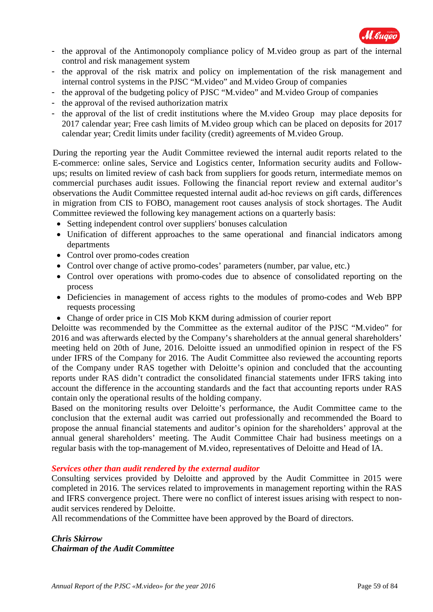

- the approval of the Antimonopoly compliance policy of M.video group as part of the internal control and risk management system
- the approval of the risk matrix and policy on implementation of the risk management and internal control systems in the PJSC "M.video" and M.video Group of companies
- the approval of the budgeting policy of PJSC "M.video" and M.video Group of companies
- the approval of the revised authorization matrix
- the approval of the list of credit institutions where the M.video Group may place deposits for 2017 calendar year; Free cash limits of M.video group which can be placed on deposits for 2017 calendar year; Credit limits under facility (credit) agreements of M.video Group.

During the reporting year the Audit Committee reviewed the internal audit reports related to the E-commerce: online sales, Service and Logistics center, Information security audits and Followups; results on limited review of cash back from suppliers for goods return, intermediate memos on commercial purchases audit issues. Following the financial report review and external auditor's observations the Audit Committee requested internal audit ad-hoс reviews on gift cards, differences in migration from CIS to FOBO, management root causes analysis of stock shortages. The Audit Committee reviewed the following key management actions on a quarterly basis:

- Setting independent control over suppliers' bonuses calculation
- Unification of different approaches to the same operational and financial indicators among departments
- Control over promo-codes creation
- Control over change of active promo-codes' parameters (number, par value, etc.)
- Control over operations with promo-codes due to absence of consolidated reporting on the process
- Deficiencies in management of access rights to the modules of promo-codes and Web BPP requests processing
- Change of order price in CIS Mob KKM during admission of courier report

Deloitte was recommended by the Committee as the external auditor of the PJSC "M.video" for 2016 and was afterwards elected by the Company's shareholders at the annual general shareholders' meeting held on 20th of June, 2016. Deloitte issued an unmodified opinion in respect of the FS under IFRS of the Company for 2016. The Audit Committee also reviewed the accounting reports of the Company under RAS together with Deloitte's opinion and concluded that the accounting reports under RAS didn't contradict the consolidated financial statements under IFRS taking into account the difference in the accounting standards and the fact that accounting reports under RAS contain only the operational results of the holding company.

Based on the monitoring results over Deloitte's performance, the Audit Committee came to the conclusion that the external audit was carried out professionally and recommended the Board to propose the annual financial statements and auditor's opinion for the shareholders' approval at the annual general shareholders' meeting. The Audit Committee Chair had business meetings on a regular basis with the top-management of M.video, representatives of Deloitte and Head of IA.

### *Services other than audit rendered by the external auditor*

Consulting services provided by Deloitte and approved by the Audit Committee in 2015 were completed in 2016. The services related to improvements in management reporting within the RAS and IFRS convergence project. There were no conflict of interest issues arising with respect to nonaudit services rendered by Deloitte.

All recommendations of the Committee have been approved by the Board of directors.

*Chris Skirrow Chairman of the Audit Committee*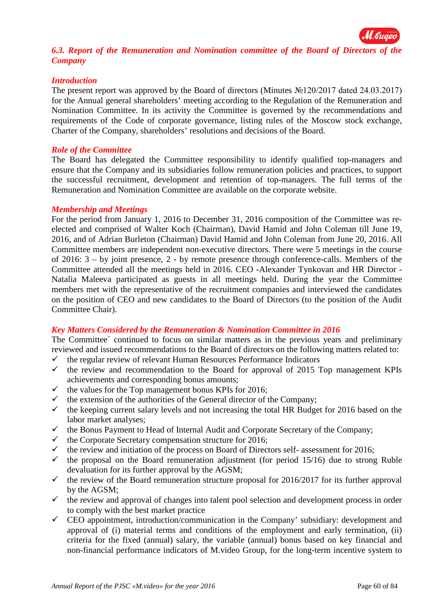

### *6.3. Report of the Remuneration and Nomination committee of the Board of Directors of the Company*

### *Introduction*

The present report was approved by the Board of directors (Minutes №120/2017 dated 24.03.2017) for the Annual general shareholders' meeting according to the Regulation of the Remuneration and Nomination Committee. In its activity the Committee is governed by the recommendations and requirements of the Code of corporate governance, listing rules of the Moscow stock exchange, Charter of the Company, shareholders' resolutions and decisions of the Board.

### *Role of the Committee*

The Board has delegated the Committee responsibility to identify qualified top-managers and ensure that the Company and its subsidiaries follow remuneration policies and practices, to support the successful recruitment, development and retention of top-managers. The full terms of the Remuneration and Nomination Committee are available on the corporate website.

### *Membership and Meetings*

For the period from January 1, 2016 to December 31, 2016 composition of the Committee was reelected and comprised of Walter Koch (Chairman), David Hamid and John Coleman till June 19, 2016, and of Adrian Burleton (Chairman) David Hamid and John Coleman from June 20, 2016. All Committee members are independent non-executive directors. There were 5 meetings in the course of 2016: 3 – by joint presence, 2 - by remote presence through conference-calls. Members of the Committee attended all the meetings held in 2016. CEO -Alexander Tynkovan and HR Director - Natalia Maleeva participated as guests in all meetings held. During the year the Committee members met with the representative of the recruitment companies and interviewed the candidates on the position of CEO and new candidates to the Board of Directors (to the position of the Audit Committee Chair).

### *Key Matters Considered by the Remuneration & Nomination Committee in 2016*

The Committee´ continued to focus on similar matters as in the previous years and preliminary reviewed and issued recommendations to the Board of directors on the following matters related to:

- $\checkmark$  the regular review of relevant Human Resources Performance Indicators
- $\checkmark$  the review and recommendation to the Board for approval of 2015 Top management KPIs achievements and corresponding bonus amounts;
- $\checkmark$  the values for the Top management bonus KPIs for 2016;<br> $\checkmark$  the extension of the authorities of the General director of t
- the extension of the authorities of the General director of the Company;
- $\checkmark$  the keeping current salary levels and not increasing the total HR Budget for 2016 based on the labor market analyses;
- $\checkmark$  the Bonus Payment to Head of Internal Audit and Corporate Secretary of the Company;
- $\checkmark$  the Corporate Secretary compensation structure for 2016;
- the review and initiation of the process on Board of Directors self- assessment for 2016;
- $\checkmark$  the proposal on the Board remuneration adjustment (for period 15/16) due to strong Ruble devaluation for its further approval by the AGSM;
- $\checkmark$  the review of the Board remuneration structure proposal for 2016/2017 for its further approval by the AGSM;
- $\checkmark$  the review and approval of changes into talent pool selection and development process in order to comply with the best market practice
- $\checkmark$  CEO appointment, introduction/communication in the Company' subsidiary: development and approval of (i) material terms and conditions of the employment and early termination, (ii) criteria for the fixed (annual) salary, the variable (annual) bonus based on key financial and non-financial performance indicators of M.video Group, for the long-term incentive system to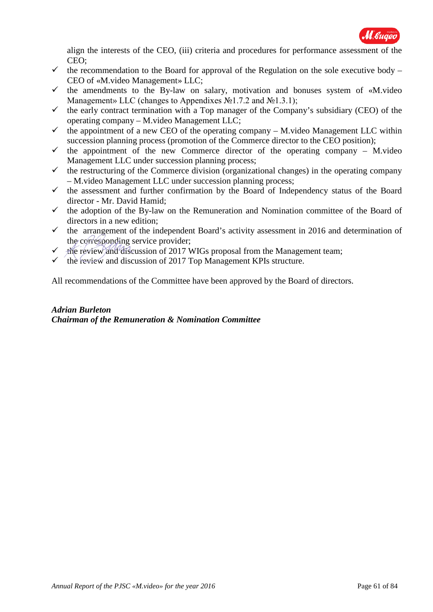

align the interests of the CEO, (iii) criteria and procedures for performance assessment of the CEO;

- $\checkmark$  the recommendation to the Board for approval of the Regulation on the sole executive body CEO of «M.video Management» LLC;
- $\checkmark$  the amendments to the By-law on salary, motivation and bonuses system of «M.video Management» LLC (changes to Appendixes  $N_2$ 1.7.2 and  $N_2$ 1.3.1);
- $\checkmark$  the early contract termination with a Top manager of the Company's subsidiary (CEO) of the operating company – M.video Management LLC;
- $\checkmark$  the appointment of a new CEO of the operating company M.video Management LLC within succession planning process (promotion of the Commerce director to the CEO position);
- $\checkmark$  the appointment of the new Commerce director of the operating company M.video Management LLC under succession planning process;
- $\checkmark$  the restructuring of the Commerce division (organizational changes) in the operating company – M.video Management LLC under succession planning process;
- $\checkmark$  the assessment and further confirmation by the Board of Independency status of the Board director - Mr. David Hamid;
- $\checkmark$  the adoption of the By-law on the Remuneration and Nomination committee of the Board of directors in a new edition;
- $\checkmark$  the arrangement of the independent Board's activity assessment in 2016 and determination of the corresponding service provider;
- $\checkmark$  the review and discussion of 2017 WIGs proposal from the Management team;
- the review and discussion of 2017 Top Management KPIs structure.

All recommendations of the Committee have been approved by the Board of directors.

### *Adrian Burleton Chairman of the Remuneration & Nomination Committee*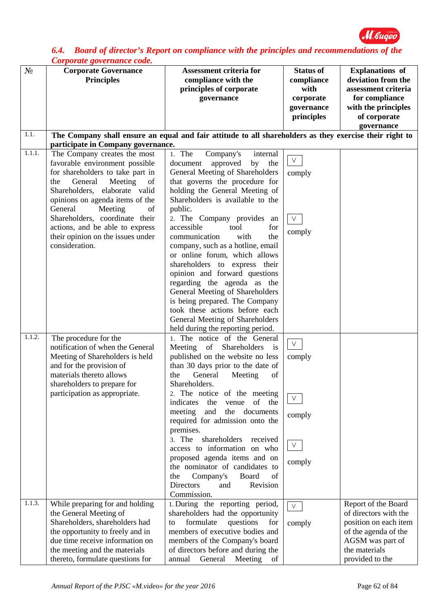

### *6.4. Board of director's Report on compliance with the principles and recommendations of the Corporate governance code.*

| $N_2$               | <b>Corporate Governance</b>        | <b>Assessment criteria for</b>                                                                          | <b>Status of</b> | <b>Explanations</b> of |
|---------------------|------------------------------------|---------------------------------------------------------------------------------------------------------|------------------|------------------------|
|                     | <b>Principles</b>                  | compliance with the                                                                                     | compliance       | deviation from the     |
|                     |                                    | principles of corporate                                                                                 | with             | assessment criteria    |
|                     |                                    | governance                                                                                              | corporate        | for compliance         |
|                     |                                    |                                                                                                         | governance       | with the principles    |
|                     |                                    |                                                                                                         | principles       | of corporate           |
|                     |                                    |                                                                                                         |                  | governance             |
| 1.1.                |                                    | The Company shall ensure an equal and fair attitude to all shareholders as they exercise their right to |                  |                        |
|                     | participate in Company governance. |                                                                                                         |                  |                        |
| $\overline{1.1}.1.$ | The Company creates the most       | 1. The<br>Company's<br>internal                                                                         |                  |                        |
|                     | favorable environment possible     | document<br>approved<br>by<br>the                                                                       | $V_{\parallel}$  |                        |
|                     | for shareholders to take part in   | General Meeting of Shareholders                                                                         | comply           |                        |
|                     | General<br>Meeting<br>of<br>the    | that governs the procedure for                                                                          |                  |                        |
|                     | Shareholders, elaborate valid      | holding the General Meeting of                                                                          |                  |                        |
|                     | opinions on agenda items of the    | Shareholders is available to the                                                                        |                  |                        |
|                     | General<br>Meeting<br>of           | public.                                                                                                 |                  |                        |
|                     | Shareholders, coordinate their     | 2. The Company provides an                                                                              | $\vee$           |                        |
|                     | actions, and be able to express    | accessible<br>tool<br>for                                                                               |                  |                        |
|                     | their opinion on the issues under  | communication<br>with<br>the                                                                            | comply           |                        |
|                     | consideration.                     | company, such as a hotline, email                                                                       |                  |                        |
|                     |                                    | or online forum, which allows                                                                           |                  |                        |
|                     |                                    | shareholders to express their                                                                           |                  |                        |
|                     |                                    | opinion and forward questions                                                                           |                  |                        |
|                     |                                    | regarding the agenda as the                                                                             |                  |                        |
|                     |                                    | General Meeting of Shareholders                                                                         |                  |                        |
|                     |                                    | is being prepared. The Company                                                                          |                  |                        |
|                     |                                    | took these actions before each                                                                          |                  |                        |
|                     |                                    | General Meeting of Shareholders                                                                         |                  |                        |
|                     |                                    | held during the reporting period.                                                                       |                  |                        |
| 1.1.2.              | The procedure for the              | 1. The notice of the General                                                                            | $\mathsf{V}^-$   |                        |
|                     | notification of when the General   | Meeting of Shareholders<br>$\frac{1}{1}$                                                                |                  |                        |
|                     | Meeting of Shareholders is held    | published on the website no less                                                                        | comply           |                        |
|                     | and for the provision of           | than 30 days prior to the date of                                                                       |                  |                        |
|                     | materials thereto allows           | General<br>the<br>Meeting<br>of<br>Shareholders.                                                        |                  |                        |
|                     | shareholders to prepare for        |                                                                                                         |                  |                        |
|                     | participation as appropriate.      | 2. The notice of the meeting<br>of<br>indicates<br>the<br>the<br>venue                                  | V.               |                        |
|                     |                                    | and<br>the<br>meeting<br>documents                                                                      |                  |                        |
|                     |                                    | required for admission onto the                                                                         | comply           |                        |
|                     |                                    | premises.                                                                                               |                  |                        |
|                     |                                    | shareholders<br>3. The<br>received                                                                      |                  |                        |
|                     |                                    | access to information on who                                                                            | V.               |                        |
|                     |                                    | proposed agenda items and on                                                                            |                  |                        |
|                     |                                    | the nominator of candidates to                                                                          | comply           |                        |
|                     |                                    | Company's<br>Board<br>of<br>the                                                                         |                  |                        |
|                     |                                    | <b>Directors</b><br>Revision<br>and                                                                     |                  |                        |
|                     |                                    | Commission.                                                                                             |                  |                        |
| 1.1.3.              | While preparing for and holding    | 1. During the reporting period,                                                                         | V.               | Report of the Board    |
|                     | the General Meeting of             | shareholders had the opportunity                                                                        |                  | of directors with the  |
|                     | Shareholders, shareholders had     | formulate<br>questions<br>for<br>to                                                                     | comply           | position on each item  |
|                     | the opportunity to freely and in   | members of executive bodies and                                                                         |                  | of the agenda of the   |
|                     | due time receive information on    | members of the Company's board                                                                          |                  | AGSM was part of       |
|                     | the meeting and the materials      | of directors before and during the                                                                      |                  | the materials          |
|                     | thereto, formulate questions for   | General<br>Meeting of<br>annual                                                                         |                  | provided to the        |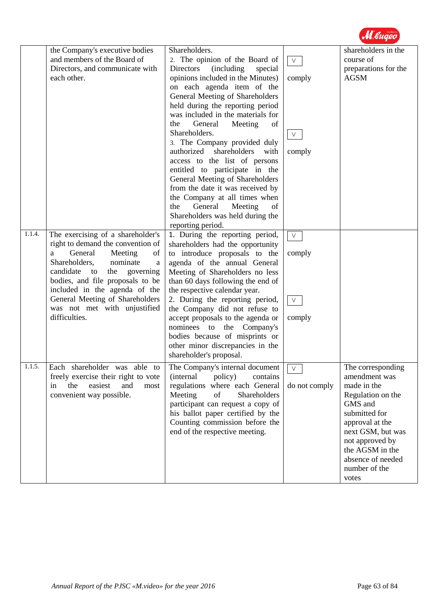

|        | the Company's executive bodies<br>and members of the Board of<br>Directors, and communicate with<br>each other.                                                                                                                                                                                                                           | Shareholders.<br>2. The opinion of the Board of<br>Directors<br>(including)<br>special<br>opinions included in the Minutes)<br>on each agenda item of the<br>General Meeting of Shareholders<br>held during the reporting period<br>was included in the materials for<br>General<br>the<br>Meeting<br>of<br>Shareholders.<br>3. The Company provided duly<br>authorized shareholders with<br>access to the list of persons<br>entitled to participate in the<br>General Meeting of Shareholders                                                                                                                                                       | $\vee$<br>comply<br>$\vee$<br>comply | shareholders in the<br>course of<br>preparations for the<br><b>AGSM</b>                                                                                                                                                         |
|--------|-------------------------------------------------------------------------------------------------------------------------------------------------------------------------------------------------------------------------------------------------------------------------------------------------------------------------------------------|-------------------------------------------------------------------------------------------------------------------------------------------------------------------------------------------------------------------------------------------------------------------------------------------------------------------------------------------------------------------------------------------------------------------------------------------------------------------------------------------------------------------------------------------------------------------------------------------------------------------------------------------------------|--------------------------------------|---------------------------------------------------------------------------------------------------------------------------------------------------------------------------------------------------------------------------------|
| 1.1.4. | The exercising of a shareholder's<br>right to demand the convention of<br>General<br>Meeting<br>of<br>a<br>Shareholders,<br>nominate<br>a<br>candidate<br>to<br>the<br>governing<br>bodies, and file proposals to be<br>included in the agenda of the<br>General Meeting of Shareholders<br>was not met with unjustified<br>difficulties. | from the date it was received by<br>the Company at all times when<br>General<br>Meeting<br>the<br>of<br>Shareholders was held during the<br>reporting period.<br>1. During the reporting period,<br>shareholders had the opportunity<br>to introduce proposals to the<br>agenda of the annual General<br>Meeting of Shareholders no less<br>than 60 days following the end of<br>the respective calendar year.<br>2. During the reporting period,<br>the Company did not refuse to<br>accept proposals to the agenda or<br>nominees to the Company's<br>bodies because of misprints or<br>other minor discrepancies in the<br>shareholder's proposal. | $\vee$<br>comply<br>$\vee$<br>comply |                                                                                                                                                                                                                                 |
| 1.1.5. | Each shareholder was able to<br>freely exercise their right to vote<br>the<br>easiest<br>and<br>most<br>in<br>convenient way possible.                                                                                                                                                                                                    | The Company's internal document<br><i>(internal)</i><br>policy)<br>contains<br>regulations where each General<br>Meeting<br>of<br>Shareholders<br>participant can request a copy of<br>his ballot paper certified by the<br>Counting commission before the<br>end of the respective meeting.                                                                                                                                                                                                                                                                                                                                                          | V<br>do not comply                   | The corresponding<br>amendment was<br>made in the<br>Regulation on the<br>GMS and<br>submitted for<br>approval at the<br>next GSM, but was<br>not approved by<br>the AGSM in the<br>absence of needed<br>number of the<br>votes |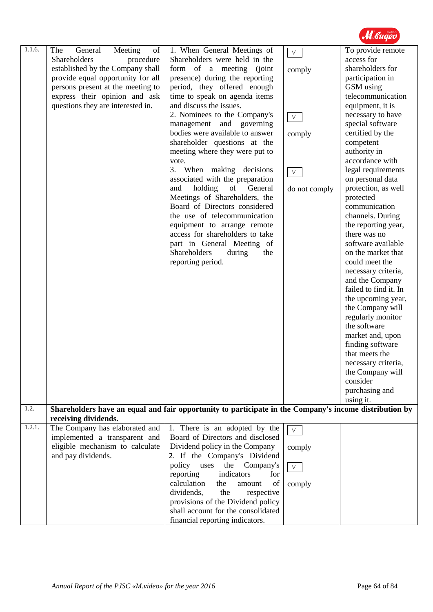

| 1.1.6. | The<br>Meeting<br>General<br>of   | 1. When General Meetings of                                                                            | $\vee$             | To provide remote     |
|--------|-----------------------------------|--------------------------------------------------------------------------------------------------------|--------------------|-----------------------|
|        | Shareholders<br>procedure         | Shareholders were held in the                                                                          |                    | access for            |
|        | established by the Company shall  | form of a meeting (joint                                                                               | comply             | shareholders for      |
|        | provide equal opportunity for all | presence) during the reporting                                                                         |                    | participation in      |
|        | persons present at the meeting to | period, they offered enough                                                                            |                    | GSM using             |
|        | express their opinion and ask     | time to speak on agenda items                                                                          |                    | telecommunication     |
|        | questions they are interested in. | and discuss the issues.                                                                                |                    | equipment, it is      |
|        |                                   | 2. Nominees to the Company's                                                                           | $\mathsf{V}_\perp$ | necessary to have     |
|        |                                   | management and governing                                                                               |                    | special software      |
|        |                                   | bodies were available to answer                                                                        | comply             | certified by the      |
|        |                                   | shareholder questions at the                                                                           |                    | competent             |
|        |                                   | meeting where they were put to                                                                         |                    | authority in          |
|        |                                   | vote.                                                                                                  |                    | accordance with       |
|        |                                   | 3. When making decisions                                                                               | $\vee$             | legal requirements    |
|        |                                   | associated with the preparation                                                                        |                    | on personal data      |
|        |                                   | holding<br>of<br>General<br>and                                                                        | do not comply      | protection, as well   |
|        |                                   | Meetings of Shareholders, the                                                                          |                    | protected             |
|        |                                   | Board of Directors considered                                                                          |                    | communication         |
|        |                                   | the use of telecommunication                                                                           |                    | channels. During      |
|        |                                   | equipment to arrange remote                                                                            |                    | the reporting year,   |
|        |                                   | access for shareholders to take                                                                        |                    | there was no          |
|        |                                   | part in General Meeting of                                                                             |                    | software available    |
|        |                                   | Shareholders<br>during<br>the                                                                          |                    | on the market that    |
|        |                                   | reporting period.                                                                                      |                    | could meet the        |
|        |                                   |                                                                                                        |                    | necessary criteria,   |
|        |                                   |                                                                                                        |                    | and the Company       |
|        |                                   |                                                                                                        |                    | failed to find it. In |
|        |                                   |                                                                                                        |                    | the upcoming year,    |
|        |                                   |                                                                                                        |                    | the Company will      |
|        |                                   |                                                                                                        |                    | regularly monitor     |
|        |                                   |                                                                                                        |                    | the software          |
|        |                                   |                                                                                                        |                    | market and, upon      |
|        |                                   |                                                                                                        |                    | finding software      |
|        |                                   |                                                                                                        |                    | that meets the        |
|        |                                   |                                                                                                        |                    | necessary criteria,   |
|        |                                   |                                                                                                        |                    | the Company will      |
|        |                                   |                                                                                                        |                    | consider              |
|        |                                   |                                                                                                        |                    | purchasing and        |
|        |                                   |                                                                                                        |                    | using it.             |
| 1.2.   |                                   | Shareholders have an equal and fair opportunity to participate in the Company's income distribution by |                    |                       |
| 1.2.1. | receiving dividends.              |                                                                                                        |                    |                       |
|        | The Company has elaborated and    | 1. There is an adopted by the                                                                          | $\vee$             |                       |
|        | implemented a transparent and     | Board of Directors and disclosed                                                                       |                    |                       |
|        | eligible mechanism to calculate   | Dividend policy in the Company                                                                         | comply             |                       |
|        | and pay dividends.                | 2. If the Company's Dividend                                                                           |                    |                       |
|        |                                   | the Company's<br>policy<br>uses                                                                        | $\vee$             |                       |
|        |                                   | reporting<br>indicators<br>for                                                                         |                    |                       |
|        |                                   | calculation<br>the<br>of<br>amount                                                                     | comply             |                       |
|        |                                   | dividends,<br>the<br>respective                                                                        |                    |                       |
|        |                                   | provisions of the Dividend policy                                                                      |                    |                       |
|        |                                   | shall account for the consolidated                                                                     |                    |                       |
|        |                                   | financial reporting indicators.                                                                        |                    |                       |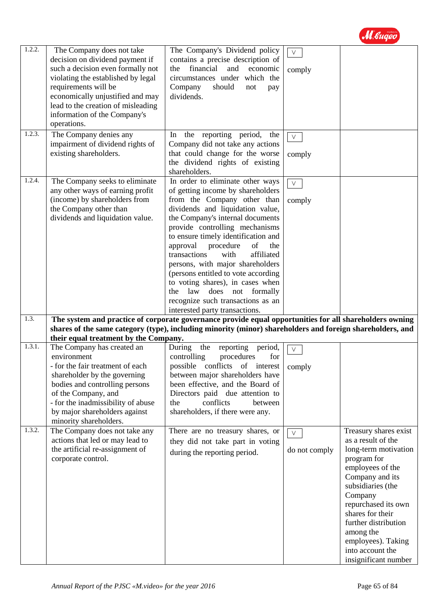

| 1.2.2. | The Company does not take<br>decision on dividend payment if<br>such a decision even formally not<br>violating the established by legal<br>requirements will be<br>economically unjustified and may<br>lead to the creation of misleading<br>information of the Company's<br>operations. | The Company's Dividend policy<br>contains a precise description of<br>financial<br>and<br>economic<br>the<br>circumstances under which the<br>Company<br>should<br>not<br>pay<br>dividends.                                                                                                                                                                                                                                                                                                                           | $\vee$<br>comply        |                                                                                                                                                                                                                                                                                                             |
|--------|------------------------------------------------------------------------------------------------------------------------------------------------------------------------------------------------------------------------------------------------------------------------------------------|-----------------------------------------------------------------------------------------------------------------------------------------------------------------------------------------------------------------------------------------------------------------------------------------------------------------------------------------------------------------------------------------------------------------------------------------------------------------------------------------------------------------------|-------------------------|-------------------------------------------------------------------------------------------------------------------------------------------------------------------------------------------------------------------------------------------------------------------------------------------------------------|
| 1.2.3. | The Company denies any<br>impairment of dividend rights of<br>existing shareholders.                                                                                                                                                                                                     | In the reporting period,<br>the<br>Company did not take any actions<br>that could change for the worse<br>the dividend rights of existing<br>shareholders.                                                                                                                                                                                                                                                                                                                                                            | $\vee$<br>comply        |                                                                                                                                                                                                                                                                                                             |
| 1.2.4. | The Company seeks to eliminate<br>any other ways of earning profit<br>(income) by shareholders from<br>the Company other than<br>dividends and liquidation value.                                                                                                                        | In order to eliminate other ways<br>of getting income by shareholders<br>from the Company other than<br>dividends and liquidation value,<br>the Company's internal documents<br>provide controlling mechanisms<br>to ensure timely identification and<br>approval<br>procedure<br>of<br>the<br>affiliated<br>transactions<br>with<br>persons, with major shareholders<br>(persons entitled to vote according<br>to voting shares), in cases when<br>law does not formally<br>the<br>recognize such transactions as an | $\vee$<br>comply        |                                                                                                                                                                                                                                                                                                             |
| 1.3.   |                                                                                                                                                                                                                                                                                          | interested party transactions.<br>The system and practice of corporate governance provide equal opportunities for all shareholders owning<br>shares of the same category (type), including minority (minor) shareholders and foreign shareholders, and                                                                                                                                                                                                                                                                |                         |                                                                                                                                                                                                                                                                                                             |
| 1.3.1. | their equal treatment by the Company.<br>The Company has created an                                                                                                                                                                                                                      | During<br>the<br>reporting<br>period,                                                                                                                                                                                                                                                                                                                                                                                                                                                                                 | $\vee$                  |                                                                                                                                                                                                                                                                                                             |
|        | environment<br>- for the fair treatment of each<br>shareholder by the governing<br>bodies and controlling persons<br>of the Company, and<br>- for the inadmissibility of abuse<br>by major shareholders against<br>minority shareholders.                                                | controlling<br>procedures<br>for<br>possible conflicts of interest   comply<br>between major shareholders have<br>been effective, and the Board of<br>Directors paid due attention to<br>conflicts<br>the<br>between<br>shareholders, if there were any.                                                                                                                                                                                                                                                              |                         |                                                                                                                                                                                                                                                                                                             |
| 1.3.2. | The Company does not take any<br>actions that led or may lead to<br>the artificial re-assignment of<br>corporate control.                                                                                                                                                                | There are no treasury shares, or<br>they did not take part in voting<br>during the reporting period.                                                                                                                                                                                                                                                                                                                                                                                                                  | $\vee$<br>do not comply | Treasury shares exist<br>as a result of the<br>long-term motivation<br>program for<br>employees of the<br>Company and its<br>subsidiaries (the<br>Company<br>repurchased its own<br>shares for their<br>further distribution<br>among the<br>employees). Taking<br>into account the<br>insignificant number |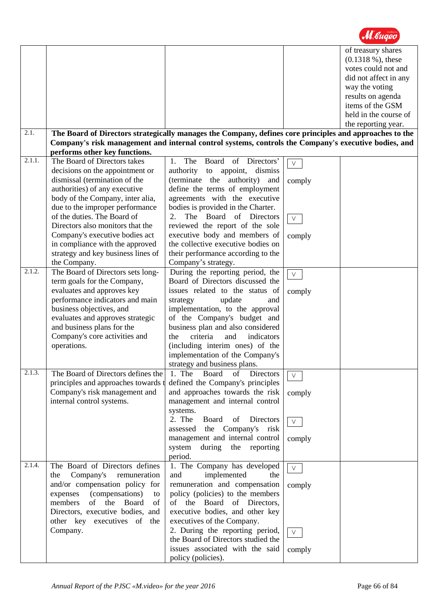|        |                                                               |                                                                                                         |        | of treasury shares<br>$(0.1318\%)$ , these |
|--------|---------------------------------------------------------------|---------------------------------------------------------------------------------------------------------|--------|--------------------------------------------|
|        |                                                               |                                                                                                         |        | votes could not and                        |
|        |                                                               |                                                                                                         |        | did not affect in any                      |
|        |                                                               |                                                                                                         |        |                                            |
|        |                                                               |                                                                                                         |        | way the voting                             |
|        |                                                               |                                                                                                         |        | results on agenda                          |
|        |                                                               |                                                                                                         |        | items of the GSM                           |
|        |                                                               |                                                                                                         |        | held in the course of                      |
|        |                                                               |                                                                                                         |        | the reporting year.                        |
| 2.1.   |                                                               | The Board of Directors strategically manages the Company, defines core principles and approaches to the |        |                                            |
|        |                                                               | Company's risk management and internal control systems, controls the Company's executive bodies, and    |        |                                            |
| 2.1.1. | performs other key functions.<br>The Board of Directors takes | The<br>Board of Directors'<br>1.                                                                        |        |                                            |
|        |                                                               |                                                                                                         | $\vee$ |                                            |
|        | decisions on the appointment or                               | authority to appoint,<br>dismiss                                                                        |        |                                            |
|        | dismissal (termination of the                                 | (terminate the authority)<br>and                                                                        | comply |                                            |
|        | authorities) of any executive                                 | define the terms of employment                                                                          |        |                                            |
|        | body of the Company, inter alia,                              | agreements with the executive                                                                           |        |                                            |
|        | due to the improper performance                               | bodies is provided in the Charter.                                                                      |        |                                            |
|        | of the duties. The Board of                                   | The Board<br>of Directors<br>2.                                                                         | $\vee$ |                                            |
|        | Directors also monitors that the                              | reviewed the report of the sole                                                                         |        |                                            |
|        | Company's executive bodies act                                | executive body and members of                                                                           | comply |                                            |
|        | in compliance with the approved                               | the collective executive bodies on                                                                      |        |                                            |
|        | strategy and key business lines of                            | their performance according to the                                                                      |        |                                            |
|        | the Company.                                                  | Company's strategy.                                                                                     |        |                                            |
| 2.1.2. | The Board of Directors sets long-                             | During the reporting period, the                                                                        | $\vee$ |                                            |
|        | term goals for the Company,                                   | Board of Directors discussed the                                                                        |        |                                            |
|        | evaluates and approves key                                    | issues related to the status of                                                                         | comply |                                            |
|        | performance indicators and main                               | update<br>strategy<br>and                                                                               |        |                                            |
|        | business objectives, and                                      | implementation, to the approval                                                                         |        |                                            |
|        | evaluates and approves strategic                              | of the Company's budget and                                                                             |        |                                            |
|        | and business plans for the                                    | business plan and also considered                                                                       |        |                                            |
|        | Company's core activities and                                 | criteria<br>and<br>indicators<br>the                                                                    |        |                                            |
|        | operations.                                                   | (including interim ones) of the                                                                         |        |                                            |
|        |                                                               | implementation of the Company's                                                                         |        |                                            |
|        |                                                               | strategy and business plans.                                                                            |        |                                            |
| 2.1.3. | The Board of Directors defines the                            | 1. The<br>Board<br>of<br>Directors                                                                      | $\vee$ |                                            |
|        | principles and approaches towards t                           | defined the Company's principles                                                                        |        |                                            |
|        | Company's risk management and                                 | and approaches towards the risk                                                                         | comply |                                            |
|        | internal control systems.                                     | management and internal control                                                                         |        |                                            |
|        |                                                               | systems.                                                                                                |        |                                            |
|        |                                                               | 2. The<br>Board of<br>Directors                                                                         | $\vee$ |                                            |
|        |                                                               | assessed the Company's risk                                                                             |        |                                            |
|        |                                                               | management and internal control                                                                         | comply |                                            |
|        |                                                               | system<br>during the<br>reporting                                                                       |        |                                            |
|        |                                                               | period.                                                                                                 |        |                                            |
| 2.1.4. | The Board of Directors defines                                | 1. The Company has developed                                                                            | $\vee$ |                                            |
|        | Company's<br>remuneration<br>the                              | implemented<br>and<br>the                                                                               |        |                                            |
|        | and/or compensation policy for                                | remuneration and compensation                                                                           | comply |                                            |
|        | (compensations)<br>expenses<br>to                             | policy (policies) to the members                                                                        |        |                                            |
|        | members<br>of the<br>Board<br>of                              | of the Board of Directors,                                                                              |        |                                            |
|        | Directors, executive bodies, and                              | executive bodies, and other key                                                                         |        |                                            |
|        | other key executives of<br>the                                | executives of the Company.                                                                              |        |                                            |
|        | Company.                                                      | 2. During the reporting period,                                                                         | $\vee$ |                                            |
|        |                                                               | the Board of Directors studied the                                                                      |        |                                            |
|        |                                                               | issues associated with the said                                                                         | comply |                                            |
|        |                                                               | policy (policies).                                                                                      |        |                                            |

M. Gugeo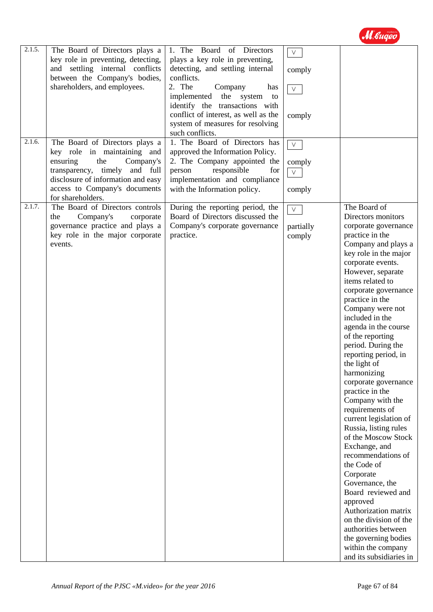

| 2.1.5.               | The Board of Directors plays a      | 1. The Board of Directors                                              | $\vee$    |                                          |
|----------------------|-------------------------------------|------------------------------------------------------------------------|-----------|------------------------------------------|
|                      | key role in preventing, detecting,  | plays a key role in preventing,                                        |           |                                          |
|                      | and settling internal conflicts     | detecting, and settling internal<br>conflicts.                         | comply    |                                          |
|                      | between the Company's bodies,       |                                                                        |           |                                          |
|                      | shareholders, and employees.        | 2. The<br>Company<br>has                                               | $\vee$    |                                          |
|                      |                                     | implemented<br>the<br>system<br>to                                     |           |                                          |
|                      |                                     | identify the transactions with<br>conflict of interest, as well as the |           |                                          |
|                      |                                     | system of measures for resolving                                       | comply    |                                          |
|                      |                                     | such conflicts.                                                        |           |                                          |
| $\overline{2.1.6}$ . | The Board of Directors plays a      | 1. The Board of Directors has                                          |           |                                          |
|                      | key role in maintaining and         | approved the Information Policy.                                       | $\vee$    |                                          |
|                      | ensuring<br>the<br>Company's        | 2. The Company appointed the                                           | comply    |                                          |
|                      | transparency,<br>timely<br>and full | responsible<br>person<br>for                                           | V         |                                          |
|                      | disclosure of information and easy  | implementation and compliance                                          |           |                                          |
|                      | access to Company's documents       | with the Information policy.                                           | comply    |                                          |
|                      | for shareholders.                   |                                                                        |           |                                          |
| 2.1.7.               | The Board of Directors controls     | During the reporting period, the                                       | $\vee$    | The Board of                             |
|                      | Company's<br>the<br>corporate       | Board of Directors discussed the                                       |           | Directors monitors                       |
|                      | governance practice and plays a     | Company's corporate governance                                         | partially | corporate governance                     |
|                      | key role in the major corporate     | practice.                                                              | comply    | practice in the                          |
|                      | events.                             |                                                                        |           | Company and plays a                      |
|                      |                                     |                                                                        |           | key role in the major                    |
|                      |                                     |                                                                        |           | corporate events.                        |
|                      |                                     |                                                                        |           | However, separate                        |
|                      |                                     |                                                                        |           | items related to                         |
|                      |                                     |                                                                        |           | corporate governance                     |
|                      |                                     |                                                                        |           | practice in the                          |
|                      |                                     |                                                                        |           | Company were not<br>included in the      |
|                      |                                     |                                                                        |           |                                          |
|                      |                                     |                                                                        |           | agenda in the course<br>of the reporting |
|                      |                                     |                                                                        |           | period. During the                       |
|                      |                                     |                                                                        |           | reporting period, in                     |
|                      |                                     |                                                                        |           | the light of                             |
|                      |                                     |                                                                        |           | harmonizing                              |
|                      |                                     |                                                                        |           | corporate governance                     |
|                      |                                     |                                                                        |           | practice in the                          |
|                      |                                     |                                                                        |           | Company with the                         |
|                      |                                     |                                                                        |           | requirements of                          |
|                      |                                     |                                                                        |           | current legislation of                   |
|                      |                                     |                                                                        |           | Russia, listing rules                    |
|                      |                                     |                                                                        |           | of the Moscow Stock                      |
|                      |                                     |                                                                        |           | Exchange, and                            |
|                      |                                     |                                                                        |           | recommendations of                       |
|                      |                                     |                                                                        |           | the Code of                              |
|                      |                                     |                                                                        |           | Corporate                                |
|                      |                                     |                                                                        |           | Governance, the                          |
|                      |                                     |                                                                        |           | Board reviewed and                       |
|                      |                                     |                                                                        |           | approved                                 |
|                      |                                     |                                                                        |           | Authorization matrix                     |
|                      |                                     |                                                                        |           | on the division of the                   |
|                      |                                     |                                                                        |           | authorities between                      |
|                      |                                     |                                                                        |           | the governing bodies                     |
|                      |                                     |                                                                        |           | within the company                       |
|                      |                                     |                                                                        |           | and its subsidiaries in                  |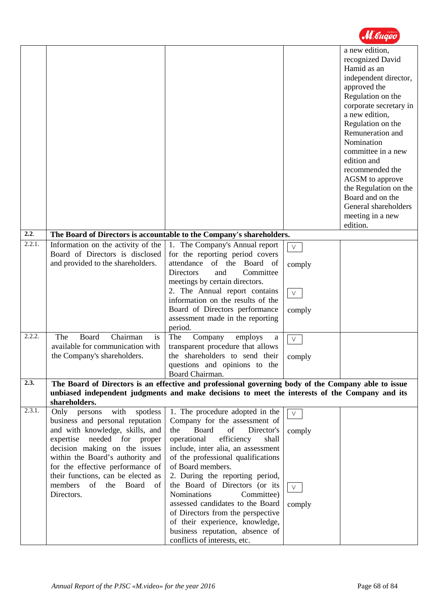| 2.2.             |                                                                                                                                                                                                                                                                                                                                         |                                                                                                                                                                                                                                                                                                                                                                                                                                                                                                                                            |                                                          | a new edition,<br>recognized David<br>Hamid as an<br>independent director,<br>approved the<br>Regulation on the<br>corporate secretary in<br>a new edition,<br>Regulation on the<br>Remuneration and<br>Nomination<br>committee in a new<br>edition and<br>recommended the<br>AGSM to approve<br>the Regulation on the<br>Board and on the<br>General shareholders<br>meeting in a new<br>edition. |  |
|------------------|-----------------------------------------------------------------------------------------------------------------------------------------------------------------------------------------------------------------------------------------------------------------------------------------------------------------------------------------|--------------------------------------------------------------------------------------------------------------------------------------------------------------------------------------------------------------------------------------------------------------------------------------------------------------------------------------------------------------------------------------------------------------------------------------------------------------------------------------------------------------------------------------------|----------------------------------------------------------|----------------------------------------------------------------------------------------------------------------------------------------------------------------------------------------------------------------------------------------------------------------------------------------------------------------------------------------------------------------------------------------------------|--|
|                  |                                                                                                                                                                                                                                                                                                                                         | The Board of Directors is accountable to the Company's shareholders.                                                                                                                                                                                                                                                                                                                                                                                                                                                                       |                                                          |                                                                                                                                                                                                                                                                                                                                                                                                    |  |
| 2.2.1.<br>2.2.2. | Information on the activity of the<br>Board of Directors is disclosed<br>and provided to the shareholders.<br>Chairman<br>The<br>Board<br>is<br>available for communication with<br>the Company's shareholders.                                                                                                                         | 1. The Company's Annual report<br>for the reporting period covers<br>attendance of the Board of<br><b>Directors</b><br>and<br>Committee<br>meetings by certain directors.<br>2. The Annual report contains<br>information on the results of the<br>Board of Directors performance<br>assessment made in the reporting<br>period.<br>The<br>Company<br>employs<br>a<br>transparent procedure that allows<br>the shareholders to send their<br>questions and opinions to the                                                                 | $\vee$<br>comply<br>$\vee$<br>comply<br>$\vee$<br>comply |                                                                                                                                                                                                                                                                                                                                                                                                    |  |
|                  |                                                                                                                                                                                                                                                                                                                                         |                                                                                                                                                                                                                                                                                                                                                                                                                                                                                                                                            |                                                          |                                                                                                                                                                                                                                                                                                                                                                                                    |  |
| 2.3.             | Board Chairman.<br>The Board of Directors is an effective and professional governing body of the Company able to issue<br>unbiased independent judgments and make decisions to meet the interests of the Company and its<br>shareholders.                                                                                               |                                                                                                                                                                                                                                                                                                                                                                                                                                                                                                                                            |                                                          |                                                                                                                                                                                                                                                                                                                                                                                                    |  |
| 2.3.1.           | with<br>Only persons<br>spotless<br>business and personal reputation<br>and with knowledge, skills, and<br>expertise needed for proper<br>decision making on the issues<br>within the Board's authority and<br>for the effective performance of<br>their functions, can be elected as<br>members<br>of<br>the Board<br>of<br>Directors. | 1. The procedure adopted in the<br>Company for the assessment of<br><b>Board</b><br>of<br>the<br>Director's<br>efficiency<br>operational<br>shall<br>include, inter alia, an assessment<br>of the professional qualifications<br>of Board members.<br>2. During the reporting period,<br>the Board of Directors (or its<br><b>Nominations</b><br>Committee)<br>assessed candidates to the Board<br>of Directors from the perspective<br>of their experience, knowledge,<br>business reputation, absence of<br>conflicts of interests, etc. | $\vee$<br>comply<br>$\vee$<br>comply                     |                                                                                                                                                                                                                                                                                                                                                                                                    |  |

M Bugeo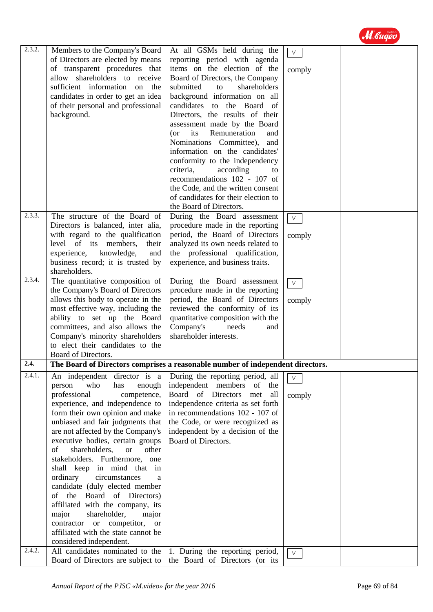

| 2.3.2.               | Members to the Company's Board            | At all GSMs held during the                                                    | $\vee$         |  |
|----------------------|-------------------------------------------|--------------------------------------------------------------------------------|----------------|--|
|                      | of Directors are elected by means         | reporting period with agenda                                                   |                |  |
|                      | of transparent procedures that            | items on the election of the                                                   | comply         |  |
|                      | allow shareholders to receive             | Board of Directors, the Company                                                |                |  |
|                      | sufficient information on the             | shareholders<br>submitted<br>to                                                |                |  |
|                      | candidates in order to get an idea        | background information on all                                                  |                |  |
|                      | of their personal and professional        | candidates to the Board of                                                     |                |  |
|                      | background.                               | Directors, the results of their                                                |                |  |
|                      |                                           | assessment made by the Board                                                   |                |  |
|                      |                                           | its<br>Remuneration<br>$($ or<br>and                                           |                |  |
|                      |                                           | Nominations Committee),<br>and                                                 |                |  |
|                      |                                           | information on the candidates'                                                 |                |  |
|                      |                                           | conformity to the independency                                                 |                |  |
|                      |                                           | criteria,<br>according<br>to                                                   |                |  |
|                      |                                           | recommendations 102 - 107 of                                                   |                |  |
|                      |                                           | the Code, and the written consent                                              |                |  |
|                      |                                           | of candidates for their election to                                            |                |  |
|                      |                                           | the Board of Directors.                                                        |                |  |
| $\overline{2.3.3}$ . | The structure of the Board of             | During the Board assessment                                                    | $\vee$         |  |
|                      | Directors is balanced, inter alia,        | procedure made in the reporting                                                |                |  |
|                      | with regard to the qualification          | period, the Board of Directors                                                 | comply         |  |
|                      | level of its members,<br>their            | analyzed its own needs related to                                              |                |  |
|                      | experience, knowledge,<br>and             | the professional qualification,                                                |                |  |
|                      | business record; it is trusted by         | experience, and business traits.                                               |                |  |
|                      | shareholders.                             |                                                                                |                |  |
| 2.3.4.               | The quantitative composition of           | During the Board assessment                                                    | $\vee$         |  |
|                      | the Company's Board of Directors          | procedure made in the reporting                                                |                |  |
|                      | allows this body to operate in the        | period, the Board of Directors                                                 | comply         |  |
|                      | most effective way, including the         | reviewed the conformity of its                                                 |                |  |
|                      | ability to set up the Board               | quantitative composition with the                                              |                |  |
|                      | committees, and also allows the           | Company's<br>needs<br>and                                                      |                |  |
|                      | Company's minority shareholders           | shareholder interests.                                                         |                |  |
|                      | to elect their candidates to the          |                                                                                |                |  |
|                      | Board of Directors.                       |                                                                                |                |  |
| 2.4.                 |                                           | The Board of Directors comprises a reasonable number of independent directors. |                |  |
| 2.4.1.               | An independent director is a              | During the reporting period, all                                               | $\mathsf{V}^-$ |  |
|                      | who<br>person<br>has<br>enough            | independent members<br>of<br>the                                               |                |  |
|                      | professional<br>competence,               | Board of Directors met<br>all                                                  | comply         |  |
|                      | experience, and independence to           | independence criteria as set forth                                             |                |  |
|                      | form their own opinion and make           | in recommendations 102 - 107 of                                                |                |  |
|                      | unbiased and fair judgments that          | the Code, or were recognized as                                                |                |  |
|                      | are not affected by the Company's         | independent by a decision of the                                               |                |  |
|                      | executive bodies, certain groups          | Board of Directors.                                                            |                |  |
|                      | shareholders,<br>of<br><b>or</b><br>other |                                                                                |                |  |
|                      | stakeholders. Furthermore, one            |                                                                                |                |  |
|                      | shall keep in mind that in                |                                                                                |                |  |
|                      | ordinary<br>circumstances<br>a            |                                                                                |                |  |
|                      | candidate (duly elected member            |                                                                                |                |  |
|                      | Board of Directors)<br>of the             |                                                                                |                |  |
|                      | affiliated with the company, its          |                                                                                |                |  |
|                      | major<br>shareholder,<br>major            |                                                                                |                |  |
|                      | contractor or competitor, or              |                                                                                |                |  |
|                      | affiliated with the state cannot be       |                                                                                |                |  |
|                      | considered independent.                   |                                                                                |                |  |
| 2.4.2.               | All candidates nominated to the           | 1. During the reporting period,                                                | $\vee$         |  |
|                      | Board of Directors are subject to         | the Board of Directors (or its                                                 |                |  |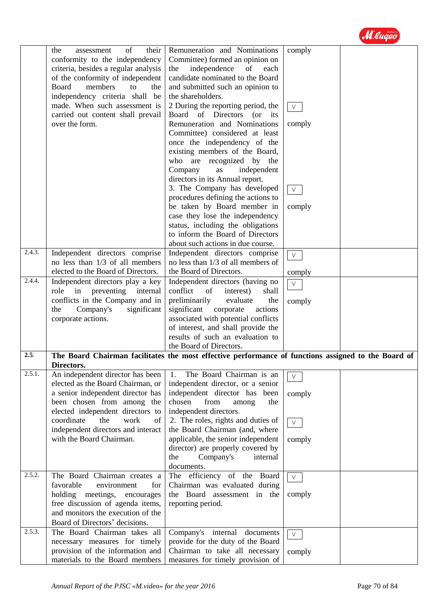

| 2.4.3.<br>$\overline{2.4.4}$ . | of<br>their<br>the<br>assessment<br>conformity to the independency<br>criteria, besides a regular analysis<br>of the conformity of independent<br><b>Board</b><br>members<br>to<br>the<br>independency criteria shall be<br>made. When such assessment is<br>carried out content shall prevail<br>over the form.<br>Independent directors comprise<br>no less than 1/3 of all members<br>elected to the Board of Directors.<br>Independent directors play a key<br>role in preventing internal<br>conflicts in the Company and in<br>significant<br>Company's<br>the | Remuneration and Nominations<br>Committee) formed an opinion on<br>independence<br>of<br>the<br>each<br>candidate nominated to the Board<br>and submitted such an opinion to<br>the shareholders.<br>2 During the reporting period, the<br>Board of Directors<br>$($ or<br>its<br>Remuneration and Nominations<br>Committee) considered at least<br>once the independency of the<br>existing members of the Board,<br>who are recognized by the<br>Company<br>independent<br>as<br>directors in its Annual report.<br>3. The Company has developed<br>procedures defining the actions to<br>be taken by Board member in<br>case they lose the independency<br>status, including the obligations<br>to inform the Board of Directors<br>about such actions in due course.<br>Independent directors comprise<br>no less than 1/3 of all members of<br>the Board of Directors.<br>Independent directors (having no<br>conflict<br>of<br>interest)<br>shall<br>preliminarily<br>evaluate<br>the<br>significant<br>actions<br>corporate | comply<br>$\vee$<br>comply<br>$\vee$<br>comply<br>$\vee$<br>comply<br>$\vee$<br>comply |  |
|--------------------------------|----------------------------------------------------------------------------------------------------------------------------------------------------------------------------------------------------------------------------------------------------------------------------------------------------------------------------------------------------------------------------------------------------------------------------------------------------------------------------------------------------------------------------------------------------------------------|------------------------------------------------------------------------------------------------------------------------------------------------------------------------------------------------------------------------------------------------------------------------------------------------------------------------------------------------------------------------------------------------------------------------------------------------------------------------------------------------------------------------------------------------------------------------------------------------------------------------------------------------------------------------------------------------------------------------------------------------------------------------------------------------------------------------------------------------------------------------------------------------------------------------------------------------------------------------------------------------------------------------------------|----------------------------------------------------------------------------------------|--|
|                                | corporate actions.                                                                                                                                                                                                                                                                                                                                                                                                                                                                                                                                                   | associated with potential conflicts<br>of interest, and shall provide the<br>results of such an evaluation to                                                                                                                                                                                                                                                                                                                                                                                                                                                                                                                                                                                                                                                                                                                                                                                                                                                                                                                      |                                                                                        |  |
|                                |                                                                                                                                                                                                                                                                                                                                                                                                                                                                                                                                                                      | the Board of Directors.                                                                                                                                                                                                                                                                                                                                                                                                                                                                                                                                                                                                                                                                                                                                                                                                                                                                                                                                                                                                            |                                                                                        |  |
| 2.5.                           |                                                                                                                                                                                                                                                                                                                                                                                                                                                                                                                                                                      | The Board Chairman facilitates the most effective performance of functions assigned to the Board of                                                                                                                                                                                                                                                                                                                                                                                                                                                                                                                                                                                                                                                                                                                                                                                                                                                                                                                                |                                                                                        |  |
|                                | Directors.                                                                                                                                                                                                                                                                                                                                                                                                                                                                                                                                                           |                                                                                                                                                                                                                                                                                                                                                                                                                                                                                                                                                                                                                                                                                                                                                                                                                                                                                                                                                                                                                                    |                                                                                        |  |
| 2.5.1.                         | An independent director has been<br>elected as the Board Chairman, or<br>a senior independent director has<br>been chosen from among the<br>elected independent directors to                                                                                                                                                                                                                                                                                                                                                                                         | The Board Chairman is an<br>1.<br>independent director, or a senior<br>independent director has been<br>chosen<br>from<br>the<br>among<br>independent directors.                                                                                                                                                                                                                                                                                                                                                                                                                                                                                                                                                                                                                                                                                                                                                                                                                                                                   | $\vee$<br>comply                                                                       |  |
|                                | coordinate<br>the<br>work<br>of<br>independent directors and interact<br>with the Board Chairman.                                                                                                                                                                                                                                                                                                                                                                                                                                                                    | 2. The roles, rights and duties of<br>the Board Chairman (and, where<br>applicable, the senior independent<br>director) are properly covered by<br>Company's<br>the<br>internal<br>documents.                                                                                                                                                                                                                                                                                                                                                                                                                                                                                                                                                                                                                                                                                                                                                                                                                                      | $\vee$<br>comply                                                                       |  |
| 2.5.2.                         | The Board Chairman creates a<br>favorable<br>environment<br>for<br>holding meetings,<br>encourages<br>free discussion of agenda items,<br>and monitors the execution of the<br>Board of Directors' decisions.                                                                                                                                                                                                                                                                                                                                                        | The efficiency of the Board<br>Chairman was evaluated during<br>the Board assessment in the<br>reporting period.                                                                                                                                                                                                                                                                                                                                                                                                                                                                                                                                                                                                                                                                                                                                                                                                                                                                                                                   | $\vee$<br>comply                                                                       |  |
| 2.5.3.                         | The Board Chairman takes all<br>necessary measures for timely<br>provision of the information and<br>materials to the Board members                                                                                                                                                                                                                                                                                                                                                                                                                                  | Company's internal documents<br>provide for the duty of the Board<br>Chairman to take all necessary<br>measures for timely provision of                                                                                                                                                                                                                                                                                                                                                                                                                                                                                                                                                                                                                                                                                                                                                                                                                                                                                            | V.<br>comply                                                                           |  |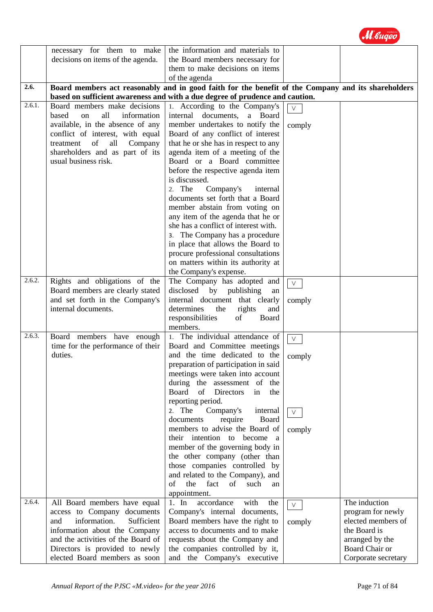|        | necessary for them to make<br>decisions on items of the agenda.      | the information and materials to<br>the Board members necessary for                                |        |                                    |
|--------|----------------------------------------------------------------------|----------------------------------------------------------------------------------------------------|--------|------------------------------------|
|        |                                                                      | them to make decisions on items<br>of the agenda                                                   |        |                                    |
| 2.6.   |                                                                      | Board members act reasonably and in good faith for the benefit of the Company and its shareholders |        |                                    |
|        |                                                                      | based on sufficient awareness and with a due degree of prudence and caution.                       |        |                                    |
| 2.6.1. | Board members make decisions<br>all<br>based<br>information<br>on    | 1. According to the Company's<br>internal documents, a Board                                       |        |                                    |
|        | available, in the absence of any<br>conflict of interest, with equal | member undertakes to notify the<br>Board of any conflict of interest                               | comply |                                    |
|        | of<br>Company<br>treatment<br>all<br>shareholders and as part of its | that he or she has in respect to any<br>agenda item of a meeting of the                            |        |                                    |
|        | usual business risk.                                                 | Board or a Board committee                                                                         |        |                                    |
|        |                                                                      | before the respective agenda item<br>is discussed.                                                 |        |                                    |
|        |                                                                      | 2. The<br>Company's<br>internal                                                                    |        |                                    |
|        |                                                                      | documents set forth that a Board<br>member abstain from voting on                                  |        |                                    |
|        |                                                                      | any item of the agenda that he or<br>she has a conflict of interest with.                          |        |                                    |
|        |                                                                      | 3. The Company has a procedure                                                                     |        |                                    |
|        |                                                                      | in place that allows the Board to<br>procure professional consultations                            |        |                                    |
|        |                                                                      | on matters within its authority at<br>the Company's expense.                                       |        |                                    |
| 2.6.2. | Rights and obligations of the                                        | The Company has adopted and                                                                        | $\vee$ |                                    |
|        | Board members are clearly stated                                     | disclosed<br>by publishing<br>an                                                                   |        |                                    |
|        | and set forth in the Company's<br>internal documents.                | internal document that clearly<br>determines<br>the<br>rights<br>and                               | comply |                                    |
|        |                                                                      | responsibilities<br>of<br>Board<br>members.                                                        |        |                                    |
| 2.6.3. | Board members have enough                                            | 1. The individual attendance of                                                                    | $\vee$ |                                    |
|        | time for the performance of their<br>duties.                         | Board and Committee meetings<br>and the time dedicated to the                                      | comply |                                    |
|        |                                                                      | preparation of participation in said<br>meetings were taken into account                           |        |                                    |
|        |                                                                      | during the assessment of the                                                                       |        |                                    |
|        |                                                                      | of<br><b>Directors</b><br>Board<br>in<br>the<br>reporting period.                                  |        |                                    |
|        |                                                                      | Company's<br>2. The<br>internal<br>Board                                                           | $\vee$ |                                    |
|        |                                                                      | require<br>documents<br>members to advise the Board of                                             | comply |                                    |
|        |                                                                      | their intention to become<br><sub>a</sub><br>member of the governing body in                       |        |                                    |
|        |                                                                      | the other company (other than                                                                      |        |                                    |
|        |                                                                      | those companies controlled by<br>and related to the Company), and                                  |        |                                    |
|        |                                                                      | of<br>the<br>fact<br>of<br>such<br>an<br>appointment.                                              |        |                                    |
| 2.6.4. | All Board members have equal                                         | accordance<br>with<br>$1.$ In<br>the                                                               | V.     | The induction                      |
|        | access to Company documents                                          | Company's internal documents,                                                                      |        | program for newly                  |
|        | information.<br>and<br>Sufficient<br>information about the Company   | Board members have the right to<br>access to documents and to make                                 | comply | elected members of<br>the Board is |
|        | and the activities of the Board of                                   | requests about the Company and                                                                     |        | arranged by the                    |
|        | Directors is provided to newly                                       | the companies controlled by it,                                                                    |        | Board Chair or                     |
|        | elected Board members as soon                                        | and the Company's executive                                                                        |        | Corporate secretary                |

M. Bugeo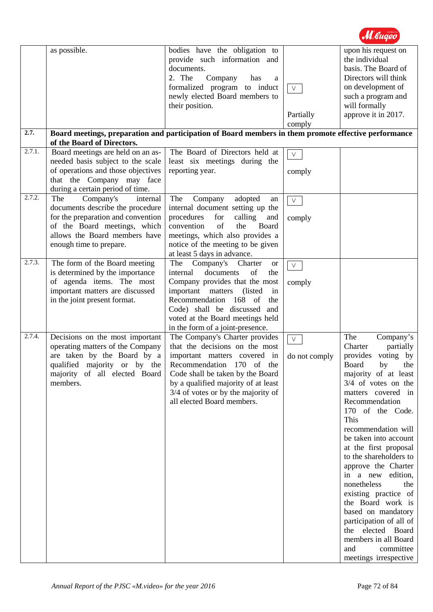|                      | as possible.                                                     | bodies have the obligation to                                                                               |                     | upon his request on                                                                |
|----------------------|------------------------------------------------------------------|-------------------------------------------------------------------------------------------------------------|---------------------|------------------------------------------------------------------------------------|
|                      |                                                                  | provide such information and<br>documents.<br>2. The<br>Company<br>has<br>a<br>formalized program to induct | $\vee$              | the individual<br>basis. The Board of<br>Directors will think<br>on development of |
|                      |                                                                  | newly elected Board members to                                                                              |                     | such a program and                                                                 |
|                      |                                                                  | their position.                                                                                             | Partially<br>comply | will formally<br>approve it in 2017.                                               |
| 2.7.                 |                                                                  | Board meetings, preparation and participation of Board members in them promote effective performance        |                     |                                                                                    |
| 2.7.1.               | of the Board of Directors.<br>Board meetings are held on an as-  | The Board of Directors held at                                                                              | $\vee$              |                                                                                    |
|                      | needed basis subject to the scale                                | least six meetings during the                                                                               |                     |                                                                                    |
|                      | of operations and those objectives                               | reporting year.                                                                                             | comply              |                                                                                    |
|                      | that the Company may face                                        |                                                                                                             |                     |                                                                                    |
| 2.7.2.               | during a certain period of time.<br>Company's<br>The<br>internal | The<br>Company<br>adopted                                                                                   |                     |                                                                                    |
|                      | documents describe the procedure                                 | an<br>internal document setting up the                                                                      | $\vee$              |                                                                                    |
|                      | for the preparation and convention                               | procedures<br>for<br>calling<br>and                                                                         | comply              |                                                                                    |
|                      | of the Board meetings, which                                     | of<br>convention<br>Board<br>the                                                                            |                     |                                                                                    |
|                      | allows the Board members have                                    | meetings, which also provides a                                                                             |                     |                                                                                    |
|                      | enough time to prepare.                                          | notice of the meeting to be given<br>at least 5 days in advance.                                            |                     |                                                                                    |
| $\overline{2.7.3}$ . | The form of the Board meeting                                    | The<br>Company's Charter<br><b>or</b>                                                                       | $\vee$              |                                                                                    |
|                      | is determined by the importance                                  | documents<br>of<br>internal<br>the                                                                          |                     |                                                                                    |
|                      | of agenda items. The most                                        | Company provides that the most                                                                              | comply              |                                                                                    |
|                      | important matters are discussed<br>in the joint present format.  | important matters<br>(listed)<br>in<br>Recommendation 168 of<br>the                                         |                     |                                                                                    |
|                      |                                                                  | Code) shall be discussed and                                                                                |                     |                                                                                    |
|                      |                                                                  | voted at the Board meetings held                                                                            |                     |                                                                                    |
| 2.7.4.               | Decisions on the most important                                  | in the form of a joint-presence.<br>The Company's Charter provides                                          |                     | The                                                                                |
|                      | operating matters of the Company                                 | that the decisions on the most                                                                              | $\vee$              | Company's<br>Charter<br>partially                                                  |
|                      | are taken by the Board by a                                      | important matters covered in                                                                                | do not comply       | voting by<br>provides                                                              |
|                      | qualified majority or by the                                     | Recommendation 170 of the                                                                                   |                     | Board<br>by<br>the                                                                 |
|                      | majority of all elected Board<br>members.                        | Code shall be taken by the Board                                                                            |                     | majority of at least<br>$3/4$ of votes on the                                      |
|                      |                                                                  | by a qualified majority of at least<br>3/4 of votes or by the majority of                                   |                     | matters covered in                                                                 |
|                      |                                                                  | all elected Board members.                                                                                  |                     | Recommendation                                                                     |
|                      |                                                                  |                                                                                                             |                     | 170 of the Code.                                                                   |
|                      |                                                                  |                                                                                                             |                     | This                                                                               |
|                      |                                                                  |                                                                                                             |                     | recommendation will<br>be taken into account                                       |
|                      |                                                                  |                                                                                                             |                     | at the first proposal                                                              |
|                      |                                                                  |                                                                                                             |                     | to the shareholders to                                                             |
|                      |                                                                  |                                                                                                             |                     | approve the Charter                                                                |
|                      |                                                                  |                                                                                                             |                     | in a new<br>edition,<br>nonetheless<br>the                                         |
|                      |                                                                  |                                                                                                             |                     | existing practice of                                                               |
|                      |                                                                  |                                                                                                             |                     | the Board work is                                                                  |
|                      |                                                                  |                                                                                                             |                     | based on mandatory                                                                 |
|                      |                                                                  |                                                                                                             |                     | participation of all of<br>the elected Board                                       |
|                      |                                                                  |                                                                                                             |                     | members in all Board                                                               |
|                      |                                                                  |                                                                                                             |                     | committee<br>and                                                                   |
|                      |                                                                  |                                                                                                             |                     | meetings irrespective                                                              |

M. bugeo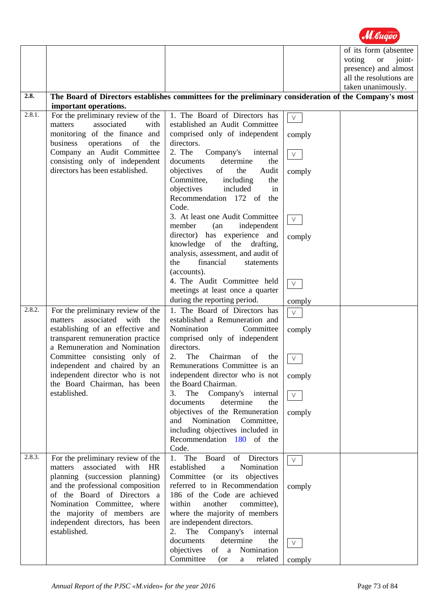|        |                                              |                                                                                                       |                | of its form (absentee         |
|--------|----------------------------------------------|-------------------------------------------------------------------------------------------------------|----------------|-------------------------------|
|        |                                              |                                                                                                       |                | voting<br><b>or</b><br>joint- |
|        |                                              |                                                                                                       |                | presence) and almost          |
|        |                                              |                                                                                                       |                | all the resolutions are       |
|        |                                              |                                                                                                       |                | taken unanimously.            |
| 2.8.   |                                              | The Board of Directors establishes committees for the preliminary consideration of the Company's most |                |                               |
|        |                                              |                                                                                                       |                |                               |
| 2.8.1. | important operations.                        |                                                                                                       |                |                               |
|        | For the preliminary review of the            | 1. The Board of Directors has                                                                         | $\vee$         |                               |
|        | associated<br>matters<br>with                | established an Audit Committee                                                                        |                |                               |
|        | monitoring of the finance and                | comprised only of independent                                                                         | comply         |                               |
|        | business operations of<br>the                | directors.                                                                                            |                |                               |
|        | Company an Audit Committee                   | 2. The<br>Company's<br>internal                                                                       | $\mathsf{V}^-$ |                               |
|        | consisting only of independent               | determine<br>documents<br>the                                                                         |                |                               |
|        | directors has been established.              | objectives<br>of<br>the<br>Audit                                                                      | comply         |                               |
|        |                                              | Committee, including<br>the                                                                           |                |                               |
|        |                                              | objectives<br>included<br>in                                                                          |                |                               |
|        |                                              | Recommendation 172 of the                                                                             |                |                               |
|        |                                              | Code.                                                                                                 |                |                               |
|        |                                              | 3. At least one Audit Committee                                                                       |                |                               |
|        |                                              | independent<br>member<br>(an                                                                          | $V_{\perp}$    |                               |
|        |                                              | director) has experience and                                                                          | comply         |                               |
|        |                                              | knowledge of the drafting,                                                                            |                |                               |
|        |                                              | analysis, assessment, and audit of                                                                    |                |                               |
|        |                                              | financial<br>the<br>statements                                                                        |                |                               |
|        |                                              | (accounts).                                                                                           |                |                               |
|        |                                              | 4. The Audit Committee held                                                                           |                |                               |
|        |                                              | meetings at least once a quarter                                                                      | $\vee$         |                               |
|        |                                              | during the reporting period.                                                                          | comply         |                               |
| 2.8.2. | For the preliminary review of the            | 1. The Board of Directors has                                                                         |                |                               |
|        | associated<br>with<br>the<br>matters         | established a Remuneration and                                                                        | $\vee$         |                               |
|        | establishing of an effective and             | Nomination<br>Committee                                                                               |                |                               |
|        | transparent remuneration practice            | comprised only of independent                                                                         | comply         |                               |
|        | a Remuneration and Nomination                | directors.                                                                                            |                |                               |
|        | Committee consisting only of                 | 2.<br>The<br>Chairman of the                                                                          |                |                               |
|        | independent and chaired by an                | Remunerations Committee is an                                                                         | $\vee$         |                               |
|        | independent director who is not              | independent director who is not                                                                       |                |                               |
|        |                                              | the Board Chairman.                                                                                   | comply         |                               |
|        | the Board Chairman, has been<br>established. | The<br>3.<br>internal                                                                                 |                |                               |
|        |                                              | Company's<br>determine<br>documents<br>the                                                            | $\vee$         |                               |
|        |                                              | objectives of the Remuneration                                                                        |                |                               |
|        |                                              | Nomination<br>and<br>Committee,                                                                       | comply         |                               |
|        |                                              | including objectives included in                                                                      |                |                               |
|        |                                              | Recommendation 180 of the                                                                             |                |                               |
|        |                                              | Code.                                                                                                 |                |                               |
| 2.8.3. | For the preliminary review of the            | 1. The Board of Directors                                                                             |                |                               |
|        | associated<br>matters<br>with<br>HR          | established<br>Nomination<br>a                                                                        | $\vee$         |                               |
|        | planning (succession planning)               | Committee (or its objectives                                                                          |                |                               |
|        | and the professional composition             | referred to in Recommendation                                                                         |                |                               |
|        | of the Board of Directors a                  | 186 of the Code are achieved                                                                          | comply         |                               |
|        | Nomination Committee, where                  | within<br>another                                                                                     |                |                               |
|        |                                              | committee),                                                                                           |                |                               |
|        | the majority of members are                  | where the majority of members                                                                         |                |                               |
|        | independent directors, has been              | are independent directors.                                                                            |                |                               |
|        | established.                                 | The Company's internal<br>2.                                                                          |                |                               |
|        |                                              | determine<br>documents<br>the                                                                         | $\vee$         |                               |
|        |                                              | objectives<br>Nomination<br>of a                                                                      |                |                               |
|        |                                              | Committee<br>(or<br>related<br>$\rm{a}$                                                               | comply         |                               |

M. Guaeo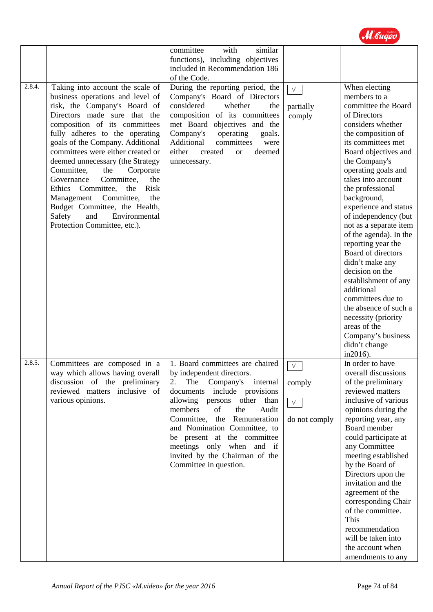

|        |                                                                                                                                                                                                                                                                                                                                                                                                                                                                                                                                                                     | with<br>similar<br>committee<br>functions), including objectives<br>included in Recommendation 186<br>of the Code.                                                                                                                                                                                                                                                                        |                                             |                                                                                                                                                                                                                                                                                                                                                                                                                                                                                                                                                                                                                                     |
|--------|---------------------------------------------------------------------------------------------------------------------------------------------------------------------------------------------------------------------------------------------------------------------------------------------------------------------------------------------------------------------------------------------------------------------------------------------------------------------------------------------------------------------------------------------------------------------|-------------------------------------------------------------------------------------------------------------------------------------------------------------------------------------------------------------------------------------------------------------------------------------------------------------------------------------------------------------------------------------------|---------------------------------------------|-------------------------------------------------------------------------------------------------------------------------------------------------------------------------------------------------------------------------------------------------------------------------------------------------------------------------------------------------------------------------------------------------------------------------------------------------------------------------------------------------------------------------------------------------------------------------------------------------------------------------------------|
| 2.8.4. | Taking into account the scale of<br>business operations and level of<br>risk, the Company's Board of<br>Directors made sure that the<br>composition of its committees<br>fully adheres to the operating<br>goals of the Company. Additional<br>committees were either created or<br>deemed unnecessary (the Strategy<br>Committee,<br>the<br>Corporate<br>Governance<br>Committee,<br>the<br>Ethics Committee,<br>the<br>Risk<br>Committee,<br>Management<br>the<br>Budget Committee, the Health,<br>Environmental<br>Safety<br>and<br>Protection Committee, etc.). | During the reporting period, the<br>Company's Board of Directors<br>considered<br>whether<br>the<br>composition of its committees<br>met Board objectives and the<br>Company's<br>operating<br>goals.<br>Additional<br>committees<br>were<br>either<br>created<br>deemed<br><b>or</b><br>unnecessary.                                                                                     | $\vee$<br>partially<br>comply               | When electing<br>members to a<br>committee the Board<br>of Directors<br>considers whether<br>the composition of<br>its committees met<br>Board objectives and<br>the Company's<br>operating goals and<br>takes into account<br>the professional<br>background,<br>experience and status<br>of independency (but<br>not as a separate item<br>of the agenda). In the<br>reporting year the<br>Board of directors<br>didn't make any<br>decision on the<br>establishment of any<br>additional<br>committees due to<br>the absence of such a<br>necessity (priority<br>areas of the<br>Company's business<br>didn't change<br>in2016). |
| 2.8.5. | Committees are composed in a<br>way which allows having overall<br>discussion of the preliminary<br>reviewed matters inclusive of<br>various opinions.                                                                                                                                                                                                                                                                                                                                                                                                              | 1. Board committees are chaired<br>by independent directors.<br>The<br>Company's<br>2.<br>internal<br>documents include provisions<br>allowing persons other than<br>members<br>of<br>the<br>Audit<br>Committee, the Remuneration<br>and Nomination Committee, to<br>be present at the committee<br>meetings only when and if<br>invited by the Chairman of the<br>Committee in question. | $\vee$<br>comply<br>$\vee$<br>do not comply | In order to have<br>overall discussions<br>of the preliminary<br>reviewed matters<br>inclusive of various<br>opinions during the<br>reporting year, any<br>Board member<br>could participate at<br>any Committee<br>meeting established<br>by the Board of<br>Directors upon the<br>invitation and the<br>agreement of the<br>corresponding Chair<br>of the committee.<br>This<br>recommendation<br>will be taken into<br>the account when<br>amendments to any                                                                                                                                                                     |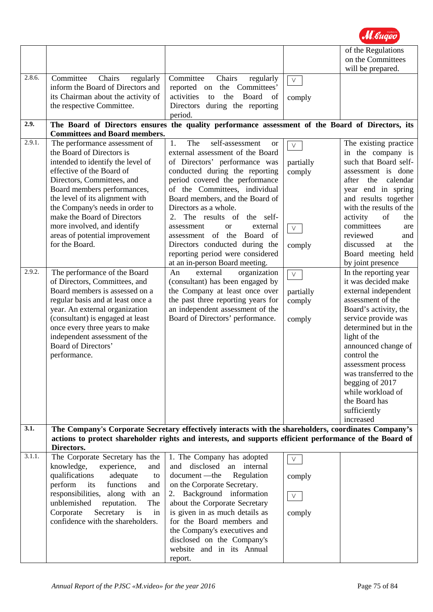|        |                                      |                                                                                                         |            | of the Regulations       |
|--------|--------------------------------------|---------------------------------------------------------------------------------------------------------|------------|--------------------------|
|        |                                      |                                                                                                         |            | on the Committees        |
|        |                                      |                                                                                                         |            | will be prepared.        |
| 2.8.6. | Committee<br>Chairs<br>regularly     | Committee<br>Chairs<br>regularly                                                                        | $\vee$     |                          |
|        | inform the Board of Directors and    | reported on the Committees'                                                                             |            |                          |
|        | its Chairman about the activity of   | activities<br>the<br>Board<br>to<br>of                                                                  | comply     |                          |
|        | the respective Committee.            | during the reporting<br>Directors                                                                       |            |                          |
|        |                                      | period.                                                                                                 |            |                          |
| 2.9.   |                                      | The Board of Directors ensures the quality performance assessment of the Board of Directors, its        |            |                          |
|        | <b>Committees and Board members.</b> |                                                                                                         |            |                          |
| 2.9.1. | The performance assessment of        | 1.<br>The<br>self-assessment<br><b>or</b>                                                               | $\vee$     | The existing practice    |
|        | the Board of Directors is            | external assessment of the Board                                                                        |            | in the company is        |
|        | intended to identify the level of    | of Directors' performance was                                                                           | partially  | such that Board self-    |
|        | effective of the Board of            | conducted during the reporting                                                                          | comply     | assessment is done       |
|        | Directors, Committees, and           | period covered the performance                                                                          |            | calendar<br>after<br>the |
|        | Board members performances,          | of the Committees, individual                                                                           |            | year end in spring       |
|        |                                      | Board members, and the Board of                                                                         |            | and results together     |
|        | the level of its alignment with      |                                                                                                         |            |                          |
|        | the Company's needs in order to      | Directors as a whole.                                                                                   |            | with the results of the  |
|        | make the Board of Directors          | 2. The results of the self-                                                                             |            | activity<br>of<br>the    |
|        | more involved, and identify          | assessment<br><sub>or</sub><br>external                                                                 | $\vee$     | committees<br>are        |
|        | areas of potential improvement       | assessment of the<br>Board<br>- of                                                                      |            | reviewed<br>and          |
|        | for the Board.                       | Directors conducted during the                                                                          | comply     | discussed<br>the<br>at   |
|        |                                      | reporting period were considered                                                                        |            | Board meeting held       |
|        |                                      | at an in-person Board meeting.                                                                          |            | by joint presence        |
| 2.9.2. | The performance of the Board         | An<br>external<br>organization                                                                          | $\sqrt{ }$ | In the reporting year    |
|        | of Directors, Committees, and        | (consultant) has been engaged by                                                                        |            | it was decided make      |
|        | Board members is assessed on a       | the Company at least once over                                                                          | partially  | external independent     |
|        | regular basis and at least once a    | the past three reporting years for                                                                      | comply     | assessment of the        |
|        | year. An external organization       | an independent assessment of the                                                                        |            | Board's activity, the    |
|        | (consultant) is engaged at least     | Board of Directors' performance.                                                                        | comply     | service provide was      |
|        | once every three years to make       |                                                                                                         |            | determined but in the    |
|        | independent assessment of the        |                                                                                                         |            | light of the             |
|        | <b>Board of Directors'</b>           |                                                                                                         |            | announced change of      |
|        | performance.                         |                                                                                                         |            | control the              |
|        |                                      |                                                                                                         |            | assessment process       |
|        |                                      |                                                                                                         |            | was transferred to the   |
|        |                                      |                                                                                                         |            | begging of 2017          |
|        |                                      |                                                                                                         |            | while workload of        |
|        |                                      |                                                                                                         |            | the Board has            |
|        |                                      |                                                                                                         |            | sufficiently             |
|        |                                      |                                                                                                         |            | increased                |
| 3.1.   |                                      | The Company's Corporate Secretary effectively interacts with the shareholders, coordinates Company's    |            |                          |
|        |                                      | actions to protect shareholder rights and interests, and supports efficient performance of the Board of |            |                          |
|        | Directors.                           |                                                                                                         |            |                          |
| 3.1.1. | The Corporate Secretary has the      | 1. The Company has adopted                                                                              |            |                          |
|        | knowledge,<br>experience,<br>and     | and disclosed an internal                                                                               | $\vee$     |                          |
|        | qualifications<br>adequate<br>to     | document —the<br>Regulation                                                                             |            |                          |
|        | perform<br>functions<br>its<br>and   | on the Corporate Secretary.                                                                             | comply     |                          |
|        | responsibilities,<br>along with an   | Background information                                                                                  |            |                          |
|        | reputation.<br>unblemished<br>The    | about the Corporate Secretary                                                                           | $\vee$     |                          |
|        | Corporate<br>Secretary<br>is<br>in   | is given in as much details as                                                                          |            |                          |
|        | confidence with the shareholders.    | for the Board members and                                                                               | comply     |                          |
|        |                                      |                                                                                                         |            |                          |
|        |                                      | the Company's executives and                                                                            |            |                          |
|        |                                      | disclosed on the Company's                                                                              |            |                          |
|        |                                      | website and in its Annual                                                                               |            |                          |
|        |                                      | report.                                                                                                 |            |                          |

M. Guaeo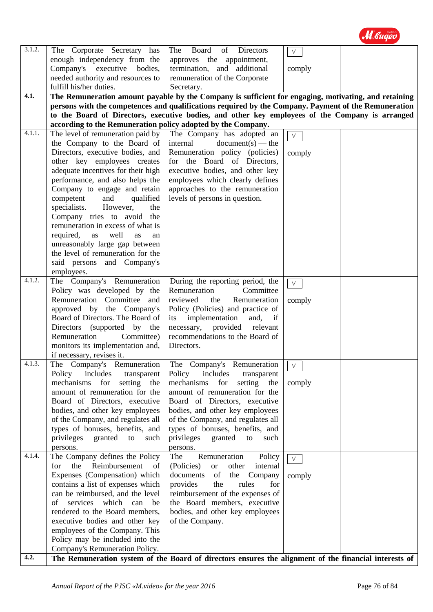| 3.1.2. | The Corporate Secretary has                                           | The<br>Board<br><b>Directors</b><br>of                                                                | $\vee$        |  |
|--------|-----------------------------------------------------------------------|-------------------------------------------------------------------------------------------------------|---------------|--|
|        | enough independency from the                                          | approves the appointment,                                                                             |               |  |
|        | Company's executive bodies,                                           | termination, and additional                                                                           | comply        |  |
|        | needed authority and resources to                                     | remuneration of the Corporate                                                                         |               |  |
|        | fulfill his/her duties.                                               | Secretary.                                                                                            |               |  |
| 4.1.   |                                                                       | The Remuneration amount payable by the Company is sufficient for engaging, motivating, and retaining  |               |  |
|        |                                                                       | persons with the competences and qualifications required by the Company. Payment of the Remuneration  |               |  |
|        |                                                                       | to the Board of Directors, executive bodies, and other key employees of the Company is arranged       |               |  |
|        | according to the Remuneration policy adopted by the Company.          |                                                                                                       |               |  |
| 4.1.1. | The level of remuneration paid by                                     | The Company has adopted an                                                                            | $\vee$        |  |
|        | the Company to the Board of                                           | internal<br>$document(s) - the$                                                                       |               |  |
|        | Directors, executive bodies, and                                      | Remuneration policy (policies)                                                                        | comply        |  |
|        | other key employees creates                                           | for the Board of Directors,                                                                           |               |  |
|        | adequate incentives for their high                                    | executive bodies, and other key                                                                       |               |  |
|        | performance, and also helps the                                       | employees which clearly defines                                                                       |               |  |
|        | Company to engage and retain<br>competent<br>and<br>qualified         | approaches to the remuneration<br>levels of persons in question.                                      |               |  |
|        | specialists.<br>However,<br>the                                       |                                                                                                       |               |  |
|        | Company tries to avoid the                                            |                                                                                                       |               |  |
|        | remuneration in excess of what is                                     |                                                                                                       |               |  |
|        | required,<br>well<br>as<br>as<br>an                                   |                                                                                                       |               |  |
|        | unreasonably large gap between                                        |                                                                                                       |               |  |
|        | the level of remuneration for the                                     |                                                                                                       |               |  |
|        | said persons and Company's                                            |                                                                                                       |               |  |
|        | employees.                                                            |                                                                                                       |               |  |
| 4.1.2. | The Company's Remuneration                                            | During the reporting period, the                                                                      | $\vee$        |  |
|        | Policy was developed by the                                           | Remuneration<br>Committee                                                                             |               |  |
|        | Remuneration Committee and                                            | reviewed<br>the<br>Remuneration                                                                       | comply        |  |
|        | approved by the Company's                                             | Policy (Policies) and practice of                                                                     |               |  |
|        | Board of Directors. The Board of                                      | implementation<br>and,<br>if<br>its                                                                   |               |  |
|        | Directors (supported by the                                           | necessary,<br>provided<br>relevant                                                                    |               |  |
|        | Remuneration<br>Committee)                                            | recommendations to the Board of                                                                       |               |  |
|        | monitors its implementation and,                                      | Directors.                                                                                            |               |  |
| 4.1.3. | if necessary, revises it.                                             |                                                                                                       |               |  |
|        | The Company's Remuneration                                            | The Company's Remuneration                                                                            | $\vee$<br>— 1 |  |
|        | Policy<br>includes<br>transparent<br>for<br>setting the<br>mechanisms | Policy<br>includes<br>transparent<br>for<br>setting the<br>mechanisms                                 |               |  |
|        | amount of remuneration for the                                        | amount of remuneration for the                                                                        | comply        |  |
|        | Board of Directors, executive                                         | Board of Directors, executive                                                                         |               |  |
|        | bodies, and other key employees                                       | bodies, and other key employees                                                                       |               |  |
|        | of the Company, and regulates all                                     | of the Company, and regulates all                                                                     |               |  |
|        | types of bonuses, benefits, and                                       | types of bonuses, benefits, and                                                                       |               |  |
|        | privileges<br>granted to<br>such                                      | privileges<br>granted<br>to<br>such                                                                   |               |  |
|        | persons.                                                              | persons.                                                                                              |               |  |
| 4.1.4. | The Company defines the Policy                                        | The<br>Policy<br>Remuneration                                                                         | $\vee$        |  |
|        | Reimbursement<br>for<br>the<br>of                                     | (Policies)<br><b>or</b><br>other<br>internal                                                          |               |  |
|        | Expenses (Compensation) which                                         | documents<br>the Company<br>of                                                                        | comply        |  |
|        | contains a list of expenses which                                     | for<br>provides<br>the<br>rules                                                                       |               |  |
|        | can be reimbursed, and the level                                      | reimbursement of the expenses of                                                                      |               |  |
|        | services<br>which<br>of<br>can<br>be                                  | the Board members, executive                                                                          |               |  |
|        | rendered to the Board members,                                        | bodies, and other key employees                                                                       |               |  |
|        | executive bodies and other key                                        | of the Company.                                                                                       |               |  |
|        | employees of the Company. This                                        |                                                                                                       |               |  |
|        | Policy may be included into the                                       |                                                                                                       |               |  |
|        | Company's Remuneration Policy.                                        |                                                                                                       |               |  |
| 4.2.   |                                                                       | The Remuneration system of the Board of directors ensures the alignment of the financial interests of |               |  |

M. Gugeo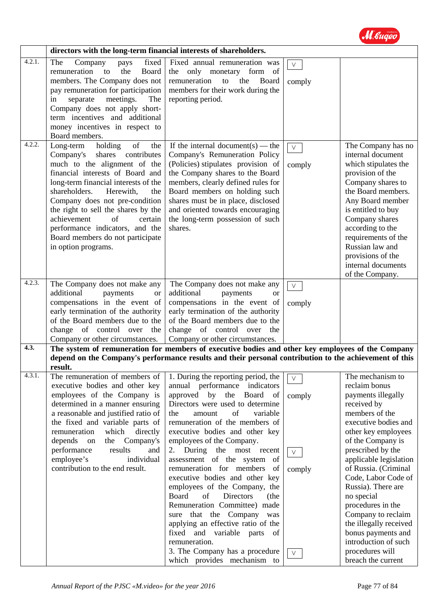

|        | directors with the long-term financial interests of shareholders.                                                                                                                                                                                                                                                                                                                                                               |                                                                                                                                                                                                                                                                                                                                                                                                                                                                                                                                                                                                                                                                                                         |                                                |                                                                                                                                                                                                                                                                                                                                                                                                                                                            |
|--------|---------------------------------------------------------------------------------------------------------------------------------------------------------------------------------------------------------------------------------------------------------------------------------------------------------------------------------------------------------------------------------------------------------------------------------|---------------------------------------------------------------------------------------------------------------------------------------------------------------------------------------------------------------------------------------------------------------------------------------------------------------------------------------------------------------------------------------------------------------------------------------------------------------------------------------------------------------------------------------------------------------------------------------------------------------------------------------------------------------------------------------------------------|------------------------------------------------|------------------------------------------------------------------------------------------------------------------------------------------------------------------------------------------------------------------------------------------------------------------------------------------------------------------------------------------------------------------------------------------------------------------------------------------------------------|
| 4.2.1. | fixed<br>The<br>Company<br>pays<br>remuneration<br>the<br>Board<br>to<br>members. The Company does not<br>pay remuneration for participation<br>separate<br>meetings.<br>The<br>in<br>Company does not apply short-<br>term incentives and additional<br>money incentives in respect to<br>Board members.                                                                                                                       | Fixed annual remuneration was<br>form of<br>the only monetary<br>remuneration<br>the<br>to<br>Board<br>members for their work during the<br>reporting period.                                                                                                                                                                                                                                                                                                                                                                                                                                                                                                                                           | $\vee$<br>comply                               |                                                                                                                                                                                                                                                                                                                                                                                                                                                            |
| 4.2.2. | holding<br>Long-term<br>of<br>the<br>Company's<br>contributes<br>shares<br>much to the alignment of the<br>financial interests of Board and<br>long-term financial interests of the<br>shareholders.<br>Herewith,<br>the<br>Company does not pre-condition<br>the right to sell the shares by the<br>achievement<br>of<br>certain<br>performance indicators, and the<br>Board members do not participate<br>in option programs. | If the internal document(s) — the<br>Company's Remuneration Policy<br>(Policies) stipulates provision of<br>the Company shares to the Board<br>members, clearly defined rules for<br>Board members on holding such<br>shares must be in place, disclosed<br>and oriented towards encouraging<br>the long-term possession of such<br>shares.                                                                                                                                                                                                                                                                                                                                                             | $\vee$<br>comply                               | The Company has no<br>internal document<br>which stipulates the<br>provision of the<br>Company shares to<br>the Board members.<br>Any Board member<br>is entitled to buy<br>Company shares<br>according to the<br>requirements of the<br>Russian law and<br>provisions of the<br>internal documents<br>of the Company.                                                                                                                                     |
| 4.2.3. | The Company does not make any<br>additional<br>payments<br><b>or</b><br>compensations in the event of<br>early termination of the authority<br>of the Board members due to the<br>change of control over<br>the<br>Company or other circumstances.                                                                                                                                                                              | The Company does not make any<br>additional<br>payments<br><sub>or</sub><br>compensations in the event of<br>early termination of the authority<br>of the Board members due to the<br>change of control over the<br>Company or other circumstances.                                                                                                                                                                                                                                                                                                                                                                                                                                                     | $\vee$<br>comply                               |                                                                                                                                                                                                                                                                                                                                                                                                                                                            |
| 4.3.   |                                                                                                                                                                                                                                                                                                                                                                                                                                 | The system of remuneration for members of executive bodies and other key employees of the Company                                                                                                                                                                                                                                                                                                                                                                                                                                                                                                                                                                                                       |                                                |                                                                                                                                                                                                                                                                                                                                                                                                                                                            |
|        | result.                                                                                                                                                                                                                                                                                                                                                                                                                         | depend on the Company's performance results and their personal contribution to the achievement of this                                                                                                                                                                                                                                                                                                                                                                                                                                                                                                                                                                                                  |                                                |                                                                                                                                                                                                                                                                                                                                                                                                                                                            |
| 4.3.1. | The remuneration of members of<br>executive bodies and other key<br>employees of the Company is<br>determined in a manner ensuring<br>a reasonable and justified ratio of<br>the fixed and variable parts of<br>remuneration<br>which<br>directly<br>depends<br>the<br>Company's<br>on<br>performance<br>results<br>and<br>employee's<br>individual<br>contribution to the end result.                                          | 1. During the reporting period, the<br>annual performance indicators<br>Board of<br>approved by the<br>Directors were used to determine<br>of<br>variable<br>the<br>amount<br>remuneration of the members of<br>executive bodies and other key<br>employees of the Company.<br>2. During the most recent<br>assessment of the system of<br>remuneration for members<br>of<br>executive bodies and other key<br>employees of the Company, the<br>Board<br>of<br>Directors<br>(the<br>Remuneration Committee) made<br>sure that the Company was<br>applying an effective ratio of the<br>fixed and variable parts<br>of<br>remuneration.<br>3. The Company has a procedure<br>which provides mechanism to | $\vee$<br>comply<br>$\vee$<br>comply<br>$\vee$ | The mechanism to<br>reclaim bonus<br>payments illegally<br>received by<br>members of the<br>executive bodies and<br>other key employees<br>of the Company is<br>prescribed by the<br>applicable legislation<br>of Russia. (Criminal<br>Code, Labor Code of<br>Russia). There are<br>no special<br>procedures in the<br>Company to reclaim<br>the illegally received<br>bonus payments and<br>introduction of such<br>procedures will<br>breach the current |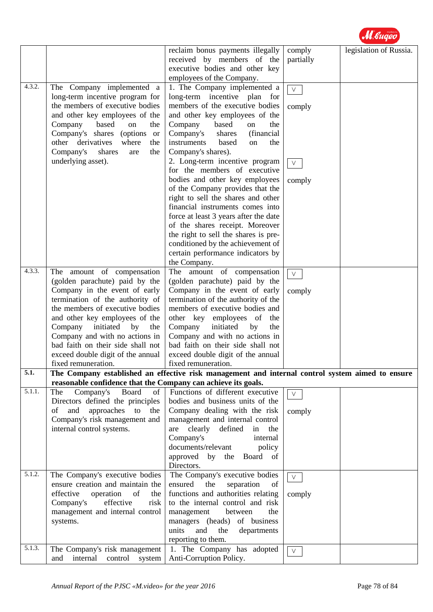|        |                                                                                                                                                                                                                                                                                                                                                                         | reclaim bonus payments illegally<br>received by members of the<br>executive bodies and other key<br>employees of the Company.                                                                                                                                                                                                                                                    | comply<br>partially                  | legislation of Russia. |
|--------|-------------------------------------------------------------------------------------------------------------------------------------------------------------------------------------------------------------------------------------------------------------------------------------------------------------------------------------------------------------------------|----------------------------------------------------------------------------------------------------------------------------------------------------------------------------------------------------------------------------------------------------------------------------------------------------------------------------------------------------------------------------------|--------------------------------------|------------------------|
| 4.3.2. | The Company implemented a<br>long-term incentive program for<br>the members of executive bodies<br>and other key employees of the<br>Company<br>based<br>on<br>the<br>Company's shares<br>(options)<br><sub>or</sub><br>other derivatives<br>where<br>the<br>Company's<br>shares<br>the<br>are<br>underlying asset).                                                    | 1. The Company implemented a<br>long-term incentive plan<br>for<br>members of the executive bodies<br>and other key employees of the<br>Company<br>based<br>the<br>on<br>Company's<br>shares<br>(financial<br>instruments<br>based<br>the<br>on<br>Company's shares).<br>2. Long-term incentive program<br>for the members of executive<br>bodies and other key employees        | $\vee$<br>comply<br>$\vee$<br>comply |                        |
|        |                                                                                                                                                                                                                                                                                                                                                                         | of the Company provides that the<br>right to sell the shares and other<br>financial instruments comes into<br>force at least 3 years after the date<br>of the shares receipt. Moreover<br>the right to sell the shares is pre-<br>conditioned by the achievement of<br>certain performance indicators by<br>the Company.                                                         |                                      |                        |
| 4.3.3. | The amount of compensation<br>(golden parachute) paid by the<br>Company in the event of early<br>termination of the authority of<br>the members of executive bodies<br>and other key employees of the<br>Company initiated by<br>the<br>Company and with no actions in<br>bad faith on their side shall not<br>exceed double digit of the annual<br>fixed remuneration. | The amount of compensation<br>(golden parachute) paid by the<br>Company in the event of early<br>termination of the authority of the<br>members of executive bodies and<br>other key employees of<br>the<br>Company<br>initiated<br>by<br>the<br>Company and with no actions in<br>bad faith on their side shall not<br>exceed double digit of the annual<br>fixed remuneration. | $\overline{\vee}$<br>comply          |                        |
| 5.1.   |                                                                                                                                                                                                                                                                                                                                                                         | The Company established an effective risk management and internal control system aimed to ensure                                                                                                                                                                                                                                                                                 |                                      |                        |
| 5.1.1. | reasonable confidence that the Company can achieve its goals.<br>Company's<br>Board<br>of<br>The<br>Directors defined the principles<br>of and approaches to<br>the<br>Company's risk management and<br>internal control systems.                                                                                                                                       | Functions of different executive<br>bodies and business units of the<br>Company dealing with the risk<br>management and internal control<br>clearly defined<br>are<br>in<br>the<br>Company's<br>internal<br>documents/relevant<br>policy                                                                                                                                         | $\vee$<br>comply                     |                        |
| 5.1.2. | The Company's executive bodies<br>ensure creation and maintain the                                                                                                                                                                                                                                                                                                      | approved by<br>the Board of<br>Directors.<br>The Company's executive bodies<br>the<br>of<br>ensured<br>separation                                                                                                                                                                                                                                                                | V.                                   |                        |
|        | effective<br>operation<br>of<br>the<br>Company's<br>effective<br>risk<br>management and internal control<br>systems.                                                                                                                                                                                                                                                    | functions and authorities relating<br>to the internal control and risk<br>management<br>between<br>the<br>managers (heads) of business<br>units<br>and<br>the<br>departments<br>reporting to them.                                                                                                                                                                               | comply                               |                        |
| 5.1.3. | The Company's risk management<br>internal<br>control<br>system<br>and                                                                                                                                                                                                                                                                                                   | 1. The Company has adopted<br>Anti-Corruption Policy.                                                                                                                                                                                                                                                                                                                            | $\vee$                               |                        |

M. Guqeo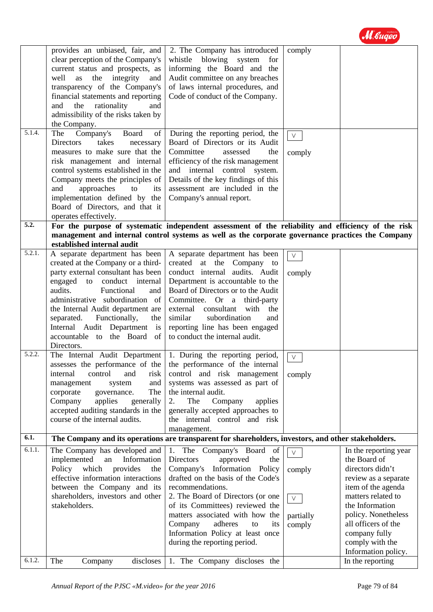

| 5.1.4.           | provides an unbiased, fair, and<br>clear perception of the Company's<br>current status and prospects, as<br>integrity<br>well<br>as<br>the<br>and<br>transparency of the Company's<br>financial statements and reporting<br>the<br>rationality<br>and<br>and<br>admissibility of the risks taken by<br>the Company.<br>Company's<br>Board<br>of<br>The               | 2. The Company has introduced<br>whistle blowing system<br>for<br>informing the Board and the<br>Audit committee on any breaches<br>of laws internal procedures, and<br>Code of conduct of the Company.<br>During the reporting period, the                                                                                                                                     | comply                                            |                                                                                                                                                                                                                                                           |
|------------------|----------------------------------------------------------------------------------------------------------------------------------------------------------------------------------------------------------------------------------------------------------------------------------------------------------------------------------------------------------------------|---------------------------------------------------------------------------------------------------------------------------------------------------------------------------------------------------------------------------------------------------------------------------------------------------------------------------------------------------------------------------------|---------------------------------------------------|-----------------------------------------------------------------------------------------------------------------------------------------------------------------------------------------------------------------------------------------------------------|
| 5.2.             | <b>Directors</b><br>takes<br>necessary<br>measures to make sure that the<br>risk management and internal<br>control systems established in the<br>Company meets the principles of<br>and<br>approaches<br>to<br>its<br>implementation defined by the<br>Board of Directors, and that it<br>operates effectively.                                                     | Board of Directors or its Audit<br>Committee<br>assessed<br>the<br>efficiency of the risk management<br>and internal control<br>system.<br>Details of the key findings of this<br>assessment are included in the<br>Company's annual report.                                                                                                                                    | $\vee$<br>comply                                  |                                                                                                                                                                                                                                                           |
|                  | established internal audit                                                                                                                                                                                                                                                                                                                                           | For the purpose of systematic independent assessment of the reliability and efficiency of the risk<br>management and internal control systems as well as the corporate governance practices the Company                                                                                                                                                                         |                                                   |                                                                                                                                                                                                                                                           |
| 5.2.1.<br>5.2.2. | A separate department has been<br>created at the Company or a third-<br>party external consultant has been<br>engaged to conduct internal<br>audits.<br>Functional<br>and<br>administrative subordination of<br>the Internal Audit department are<br>Functionally,<br>separated.<br>the<br>Internal Audit Department is<br>accountable to the Board of<br>Directors. | A separate department has been<br>created at the Company to<br>conduct internal audits. Audit<br>Department is accountable to the<br>Board of Directors or to the Audit<br>Committee. Or a third-party<br>external<br>consultant<br>with<br>the<br>subordination<br>similar<br>and<br>reporting line has been engaged<br>to conduct the internal audit.                         | $\vee$<br>comply                                  |                                                                                                                                                                                                                                                           |
|                  | The Internal Audit Department<br>assesses the performance of the<br>internal<br>control<br>risk<br>and<br>and<br>management<br>system<br>corporate<br>governance.<br>The<br>Company<br>generally<br>applies<br>accepted auditing standards in the<br>course of the internal audits.                                                                                  | 1. During the reporting period,<br>the performance of the internal<br>control and risk management<br>systems was assessed as part of<br>the internal audit.<br>Company<br>The<br>applies<br>2.<br>generally accepted approaches to<br>the internal control and risk<br>management.                                                                                              | $\vee$<br>comply                                  |                                                                                                                                                                                                                                                           |
| 6.1.             |                                                                                                                                                                                                                                                                                                                                                                      | The Company and its operations are transparent for shareholders, investors, and other stakeholders.                                                                                                                                                                                                                                                                             |                                                   |                                                                                                                                                                                                                                                           |
| 6.1.1.           | The Company has developed and<br>implemented<br>Information<br>${\rm an}$<br>Policy which<br>provides<br>the<br>effective information interactions<br>between the Company and its<br>shareholders, investors and other<br>stakeholders.                                                                                                                              | 1. The Company's Board of<br><b>Directors</b><br>approved<br>the<br>Information Policy<br>Company's<br>drafted on the basis of the Code's<br>recommendations.<br>2. The Board of Directors (or one<br>of its Committees) reviewed the<br>matters associated with how the<br>adheres<br>Company<br>to<br>its<br>Information Policy at least once<br>during the reporting period. | $\vee$<br>comply<br>$\vee$<br>partially<br>comply | In the reporting year<br>the Board of<br>directors didn't<br>review as a separate<br>item of the agenda<br>matters related to<br>the Information<br>policy. Nonetheless<br>all officers of the<br>company fully<br>comply with the<br>Information policy. |
| 6.1.2.           | The<br>discloses<br>Company                                                                                                                                                                                                                                                                                                                                          | 1. The Company discloses the                                                                                                                                                                                                                                                                                                                                                    |                                                   | In the reporting                                                                                                                                                                                                                                          |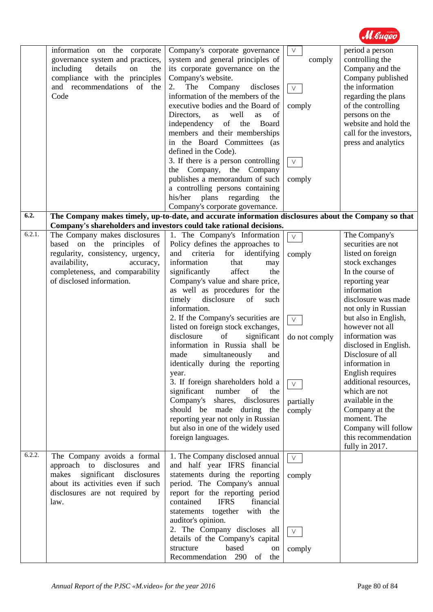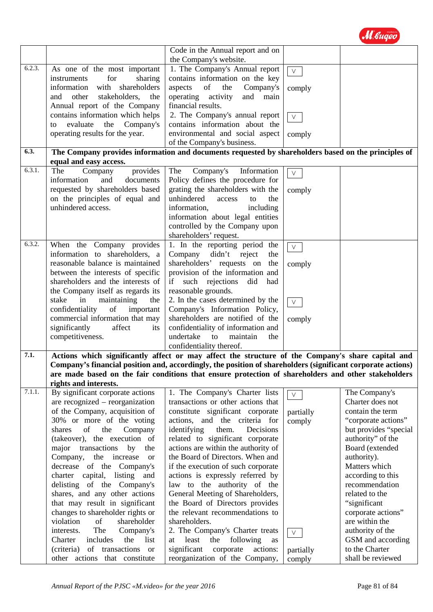

| Code in the Annual report and on<br>the Company's website. |                                                                                                                                                                                                                    |                                                                                                     |           |                       |
|------------------------------------------------------------|--------------------------------------------------------------------------------------------------------------------------------------------------------------------------------------------------------------------|-----------------------------------------------------------------------------------------------------|-----------|-----------------------|
| 6.2.3.                                                     | As one of the most important                                                                                                                                                                                       | 1. The Company's Annual report                                                                      |           |                       |
|                                                            |                                                                                                                                                                                                                    |                                                                                                     | $\vee$    |                       |
| for<br>sharing<br>instruments                              |                                                                                                                                                                                                                    | contains information on the key                                                                     |           |                       |
|                                                            | information<br>with shareholders                                                                                                                                                                                   | aspects<br>of<br>the<br>Company's                                                                   | comply    |                       |
|                                                            | other<br>stakeholders,<br>operating activity<br>and<br>main<br>and<br>the                                                                                                                                          |                                                                                                     |           |                       |
|                                                            | Annual report of the Company                                                                                                                                                                                       | financial results.                                                                                  |           |                       |
|                                                            | contains information which helps                                                                                                                                                                                   | 2. The Company's annual report<br>$\vee$                                                            |           |                       |
|                                                            | evaluate<br>the<br>Company's<br>to                                                                                                                                                                                 | contains information about the                                                                      |           |                       |
|                                                            | operating results for the year.                                                                                                                                                                                    | environmental and social aspect                                                                     | comply    |                       |
|                                                            |                                                                                                                                                                                                                    | of the Company's business.                                                                          |           |                       |
| 6.3.                                                       |                                                                                                                                                                                                                    | The Company provides information and documents requested by shareholders based on the principles of |           |                       |
| 6.3.1.                                                     | equal and easy access.<br>The<br>Company<br>provides                                                                                                                                                               | Company's<br>Information<br>The                                                                     | $\vee$    |                       |
|                                                            | information<br>documents<br>and                                                                                                                                                                                    | Policy defines the procedure for                                                                    |           |                       |
|                                                            | requested by shareholders based                                                                                                                                                                                    | grating the shareholders with the                                                                   | comply    |                       |
|                                                            | on the principles of equal and                                                                                                                                                                                     | unhindered<br>access<br>to<br>the                                                                   |           |                       |
|                                                            | unhindered access.                                                                                                                                                                                                 | information,<br>including                                                                           |           |                       |
|                                                            |                                                                                                                                                                                                                    | information about legal entities                                                                    |           |                       |
|                                                            |                                                                                                                                                                                                                    | controlled by the Company upon                                                                      |           |                       |
|                                                            |                                                                                                                                                                                                                    | shareholders' request.                                                                              |           |                       |
| 6.3.2.                                                     |                                                                                                                                                                                                                    |                                                                                                     |           |                       |
|                                                            | When the Company provides                                                                                                                                                                                          | 1. In the reporting period the                                                                      | $\vee$    |                       |
|                                                            | information to shareholders, a                                                                                                                                                                                     | Company<br>didn't<br>reject<br>the                                                                  |           |                       |
|                                                            | reasonable balance is maintained                                                                                                                                                                                   | shareholders' requests on the                                                                       | comply    |                       |
| between the interests of specific                          |                                                                                                                                                                                                                    | provision of the information and                                                                    |           |                       |
|                                                            | shareholders and the interests of                                                                                                                                                                                  | if such rejections<br>did<br>had                                                                    |           |                       |
|                                                            | the Company itself as regards its                                                                                                                                                                                  | reasonable grounds.                                                                                 |           |                       |
|                                                            | in<br>stake<br>maintaining<br>the                                                                                                                                                                                  | 2. In the cases determined by the                                                                   | $\vee$    |                       |
|                                                            | confidentiality<br>of<br>important                                                                                                                                                                                 | Company's Information Policy,                                                                       |           |                       |
|                                                            | commercial information that may                                                                                                                                                                                    | shareholders are notified of the                                                                    | comply    |                       |
|                                                            | significantly<br>affect<br>its                                                                                                                                                                                     | confidentiality of information and                                                                  |           |                       |
|                                                            | competitiveness.                                                                                                                                                                                                   | undertake<br>to<br>maintain<br>the                                                                  |           |                       |
|                                                            |                                                                                                                                                                                                                    | confidentiality thereof.                                                                            |           |                       |
| 7.1.                                                       |                                                                                                                                                                                                                    | Actions which significantly affect or may affect the structure of the Company's share capital and   |           |                       |
|                                                            | Company's financial position and, accordingly, the position of shareholders (significant corporate actions)<br>are made based on the fair conditions that ensure protection of shareholders and other stakeholders |                                                                                                     |           |                       |
|                                                            | rights and interests.                                                                                                                                                                                              |                                                                                                     |           |                       |
| 7.1.1.                                                     | By significant corporate actions                                                                                                                                                                                   | 1. The Company's Charter lists                                                                      |           | The Company's         |
|                                                            | are recognized – reorganization                                                                                                                                                                                    | transactions or other actions that                                                                  | $\vee$    | Charter does not      |
|                                                            | of the Company, acquisition of                                                                                                                                                                                     | constitute significant corporate                                                                    |           | contain the term      |
|                                                            | 30% or more of the voting                                                                                                                                                                                          | actions, and the criteria for                                                                       | partially | "corporate actions"   |
|                                                            | of<br>the<br>Company<br>shares                                                                                                                                                                                     | identifying<br>them.<br>Decisions                                                                   | comply    | but provides "special |
|                                                            | (takeover), the execution of                                                                                                                                                                                       | related to significant corporate                                                                    |           | authority" of the     |
|                                                            |                                                                                                                                                                                                                    |                                                                                                     |           | Board (extended       |
|                                                            | major transactions<br>by<br>the                                                                                                                                                                                    | actions are within the authority of<br>the Board of Directors. When and                             |           |                       |
|                                                            | Company, the increase<br><sub>or</sub>                                                                                                                                                                             |                                                                                                     |           | authority).           |
|                                                            | decrease of the Company's                                                                                                                                                                                          | if the execution of such corporate                                                                  |           | Matters which         |
|                                                            | charter capital, listing<br>and                                                                                                                                                                                    | actions is expressly referred by                                                                    |           | according to this     |
|                                                            | delisting of the Company's                                                                                                                                                                                         | law to the authority of the                                                                         |           | recommendation        |
|                                                            | shares, and any other actions                                                                                                                                                                                      | General Meeting of Shareholders,                                                                    |           | related to the        |
|                                                            | that may result in significant                                                                                                                                                                                     | the Board of Directors provides                                                                     |           | "significant          |
|                                                            | changes to shareholder rights or                                                                                                                                                                                   | the relevant recommendations to                                                                     |           | corporate actions"    |
|                                                            | violation<br>shareholder<br>of                                                                                                                                                                                     | shareholders.                                                                                       |           | are within the        |
|                                                            | The<br>Company's<br>interests.                                                                                                                                                                                     | 2. The Company's Charter treats                                                                     | $\vee$    | authority of the      |
|                                                            | the<br>includes<br>list<br>Charter                                                                                                                                                                                 | following<br>least the<br>at<br>as                                                                  |           | GSM and according     |
|                                                            | (criteria)<br>of transactions or                                                                                                                                                                                   | significant<br>corporate<br>actions:                                                                | partially | to the Charter        |
|                                                            | other actions that constitute                                                                                                                                                                                      | reorganization of the Company,                                                                      | comply    | shall be reviewed     |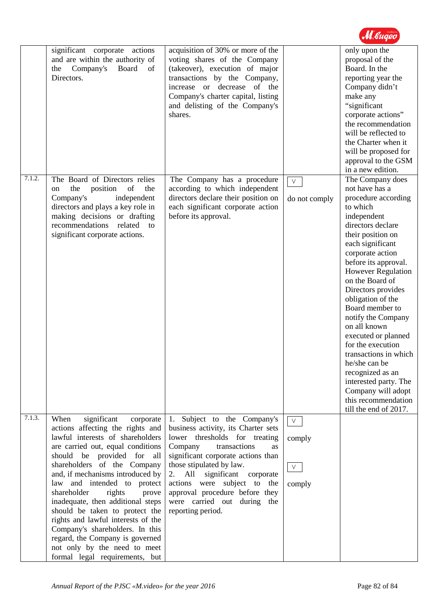|        | significant corporate actions<br>and are within the authority of<br>Company's<br>the<br>Board<br>of<br>Directors.                                                                                                                                                                                                                                                                                                                                                                                                                                                       | acquisition of 30% or more of the<br>voting shares of the Company<br>(takeover), execution of major<br>transactions by the Company,<br>increase or decrease of the<br>Company's charter capital, listing<br>and delisting of the Company's<br>shares.                                                                                                                   |                                      | only upon the<br>proposal of the<br>Board. In the<br>reporting year the<br>Company didn't<br>make any<br>"significant<br>corporate actions"<br>the recommendation<br>will be reflected to<br>the Charter when it<br>will be proposed for<br>approval to the GSM<br>in a new edition.                                                                                                                                                                                                                                                                 |
|--------|-------------------------------------------------------------------------------------------------------------------------------------------------------------------------------------------------------------------------------------------------------------------------------------------------------------------------------------------------------------------------------------------------------------------------------------------------------------------------------------------------------------------------------------------------------------------------|-------------------------------------------------------------------------------------------------------------------------------------------------------------------------------------------------------------------------------------------------------------------------------------------------------------------------------------------------------------------------|--------------------------------------|------------------------------------------------------------------------------------------------------------------------------------------------------------------------------------------------------------------------------------------------------------------------------------------------------------------------------------------------------------------------------------------------------------------------------------------------------------------------------------------------------------------------------------------------------|
| 7.1.2. | The Board of Directors relies<br>of<br>the<br>position<br>the<br>on<br>Company's<br>independent<br>directors and plays a key role in<br>making decisions or drafting<br>recommendations<br>related<br>to<br>significant corporate actions.                                                                                                                                                                                                                                                                                                                              | The Company has a procedure<br>according to which independent<br>directors declare their position on<br>each significant corporate action<br>before its approval.                                                                                                                                                                                                       | $\vee$<br>do not comply              | The Company does<br>not have has a<br>procedure according<br>to which<br>independent<br>directors declare<br>their position on<br>each significant<br>corporate action<br>before its approval.<br>However Regulation<br>on the Board of<br>Directors provides<br>obligation of the<br>Board member to<br>notify the Company<br>on all known<br>executed or planned<br>for the execution<br>transactions in which<br>he/she can be<br>recognized as an<br>interested party. The<br>Company will adopt<br>this recommendation<br>till the end of 2017. |
| 7.1.3. | significant<br>When<br>corporate<br>actions affecting the rights and<br>lawful interests of shareholders<br>are carried out, equal conditions<br>should be provided for<br>all<br>shareholders of the Company<br>and, if mechanisms introduced by<br>law and intended to protect<br>shareholder<br>rights<br>prove<br>inadequate, then additional steps<br>should be taken to protect the<br>rights and lawful interests of the<br>Company's shareholders. In this<br>regard, the Company is governed<br>not only by the need to meet<br>formal legal requirements, but | Subject to the Company's<br>1.<br>business activity, its Charter sets<br>lower thresholds for treating<br>Company<br>transactions<br>as<br>significant corporate actions than<br>those stipulated by law.<br>significant corporate<br>All<br>2.<br>actions were subject to<br>the<br>approval procedure before they<br>were carried out during the<br>reporting period. | $\vee$<br>comply<br>$\vee$<br>comply |                                                                                                                                                                                                                                                                                                                                                                                                                                                                                                                                                      |

M. Gugeo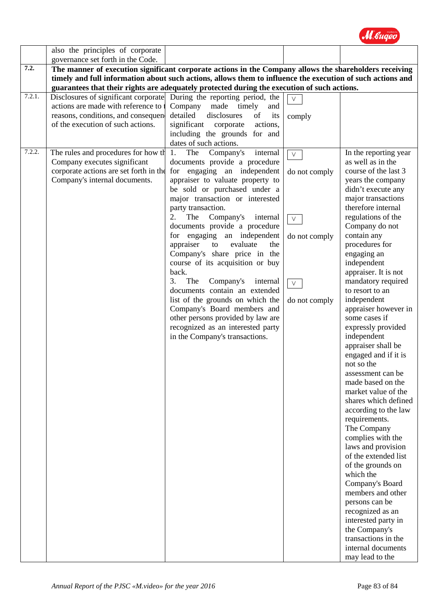

|        | also the principles of corporate                                                                                                                |                                                                                                                                                                                                                                                                                                                                                                                                                                                                                                                                                                                                                                                                                                             |                                                                               |                                                                                                                                                                                                                                                                                                                                                                                                                                                                                                                                                                                                                                                                                                                                                                                                                                                                                                                                        |
|--------|-------------------------------------------------------------------------------------------------------------------------------------------------|-------------------------------------------------------------------------------------------------------------------------------------------------------------------------------------------------------------------------------------------------------------------------------------------------------------------------------------------------------------------------------------------------------------------------------------------------------------------------------------------------------------------------------------------------------------------------------------------------------------------------------------------------------------------------------------------------------------|-------------------------------------------------------------------------------|----------------------------------------------------------------------------------------------------------------------------------------------------------------------------------------------------------------------------------------------------------------------------------------------------------------------------------------------------------------------------------------------------------------------------------------------------------------------------------------------------------------------------------------------------------------------------------------------------------------------------------------------------------------------------------------------------------------------------------------------------------------------------------------------------------------------------------------------------------------------------------------------------------------------------------------|
|        | governance set forth in the Code.                                                                                                               |                                                                                                                                                                                                                                                                                                                                                                                                                                                                                                                                                                                                                                                                                                             |                                                                               |                                                                                                                                                                                                                                                                                                                                                                                                                                                                                                                                                                                                                                                                                                                                                                                                                                                                                                                                        |
| 7.2.   |                                                                                                                                                 | The manner of execution significant corporate actions in the Company allows the shareholders receiving                                                                                                                                                                                                                                                                                                                                                                                                                                                                                                                                                                                                      |                                                                               |                                                                                                                                                                                                                                                                                                                                                                                                                                                                                                                                                                                                                                                                                                                                                                                                                                                                                                                                        |
|        |                                                                                                                                                 | timely and full information about such actions, allows them to influence the execution of such actions and                                                                                                                                                                                                                                                                                                                                                                                                                                                                                                                                                                                                  |                                                                               |                                                                                                                                                                                                                                                                                                                                                                                                                                                                                                                                                                                                                                                                                                                                                                                                                                                                                                                                        |
|        |                                                                                                                                                 | guarantees that their rights are adequately protected during the execution of such actions.                                                                                                                                                                                                                                                                                                                                                                                                                                                                                                                                                                                                                 |                                                                               |                                                                                                                                                                                                                                                                                                                                                                                                                                                                                                                                                                                                                                                                                                                                                                                                                                                                                                                                        |
| 7.2.1. | actions are made with reference to<br>reasons, conditions, and consequen<br>of the execution of such actions.                                   | Disclosures of significant corporate During the reporting period, the<br>Company<br>made<br>timely<br>and<br>detailed<br>disclosures<br>of<br>its<br>significant corporate<br>actions,<br>including the grounds for and<br>dates of such actions.                                                                                                                                                                                                                                                                                                                                                                                                                                                           | $\vee$<br>comply                                                              |                                                                                                                                                                                                                                                                                                                                                                                                                                                                                                                                                                                                                                                                                                                                                                                                                                                                                                                                        |
| 7.2.2. | The rules and procedures for how the<br>Company executes significant<br>corporate actions are set forth in the<br>Company's internal documents. | The<br>Company's<br>internal<br>1.<br>documents provide a procedure<br>for engaging an independent<br>appraiser to valuate property to<br>be sold or purchased under a<br>major transaction or interested<br>party transaction.<br>2.<br>The Company's<br>internal<br>documents provide a procedure<br>for engaging an independent<br>appraiser<br>evaluate<br>to<br>the<br>Company's share price in the<br>course of its acquisition or buy<br>back.<br>The<br>Company's<br>3.<br>internal<br>documents contain an extended<br>list of the grounds on which the<br>Company's Board members and<br>other persons provided by law are<br>recognized as an interested party<br>in the Company's transactions. | $\vee$<br>do not comply<br>$\vee$<br>do not comply<br>$\vee$<br>do not comply | In the reporting year<br>as well as in the<br>course of the last 3<br>years the company<br>didn't execute any<br>major transactions<br>therefore internal<br>regulations of the<br>Company do not<br>contain any<br>procedures for<br>engaging an<br>independent<br>appraiser. It is not<br>mandatory required<br>to resort to an<br>independent<br>appraiser however in<br>some cases if<br>expressly provided<br>independent<br>appraiser shall be<br>engaged and if it is<br>not so the<br>assessment can be<br>made based on the<br>market value of the<br>shares which defined<br>according to the law<br>requirements.<br>The Company<br>complies with the<br>laws and provision<br>of the extended list<br>of the grounds on<br>which the<br>Company's Board<br>members and other<br>persons can be<br>recognized as an<br>interested party in<br>the Company's<br>transactions in the<br>internal documents<br>may lead to the |